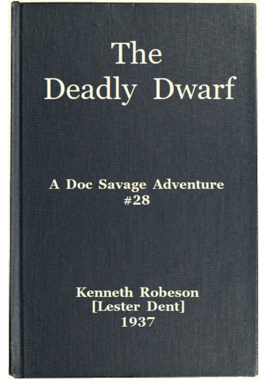# The Deadly Dwarf

# **A Doc Savage Adventure** #28

**Kenneth Robeson** [Lester Dent] 1937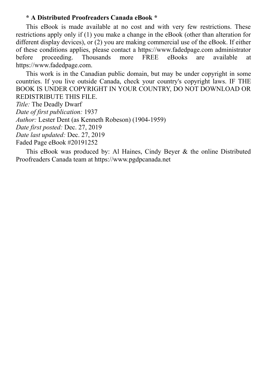#### **\* A Distributed Proofreaders Canada eBook \***

This eBook is made available at no cost and with very few restrictions. These restrictions apply only if (1) you make a change in the eBook (other than alteration for different display devices), or (2) you are making commercial use of the eBook. If either of these conditions applies, please contact a https://www.fadedpage.com administrator before proceeding. Thousands more FREE eBooks are available at https://www.fadedpage.com.

This work is in the Canadian public domain, but may be under copyright in some countries. If you live outside Canada, check your country's copyright laws. IF THE BOOK IS UNDER COPYRIGHT IN YOUR COUNTRY, DO NOT DOWNLOAD OR REDISTRIBUTE THIS FILE. *Title:* The Deadly Dwarf *Date of first publication:* 1937 *Author:* Lester Dent (as Kenneth Robeson) (1904-1959) *Date first posted:* Dec. 27, 2019

*Date last updated:* Dec. 27, 2019

Faded Page eBook #20191252

This eBook was produced by: Al Haines, Cindy Beyer & the online Distributed Proofreaders Canada team at https://www.pgdpcanada.net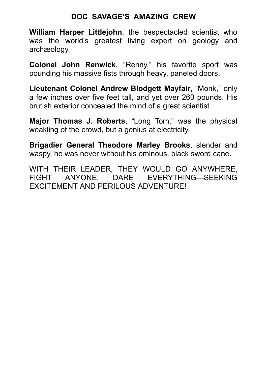### **DOC SAVAGE'S AMAZING CREW**

**William Harper Littlejohn**, the bespectacled scientist who was the world's greatest living expert on geology and archæology.

**Colonel John Renwick**, "Renny," his favorite sport was pounding his massive fists through heavy, paneled doors.

**Lieutenant Colonel Andrew Blodgett Mayfair**, "Monk," only a few inches over five feet tall, and yet over 260 pounds. His brutish exterior concealed the mind of a great scientist.

**Major Thomas J. Roberts**, "Long Tom," was the physical weakling of the crowd, but a genius at electricity.

**Brigadier General Theodore Marley Brooks**, slender and waspy, he was never without his ominous, black sword cane.

WITH THEIR LEADER, THEY WOULD GO ANYWHERE, FIGHT ANYONE, DARE EVERYTHING—SEEKING EXCITEMENT AND PERILOUS ADVENTURE!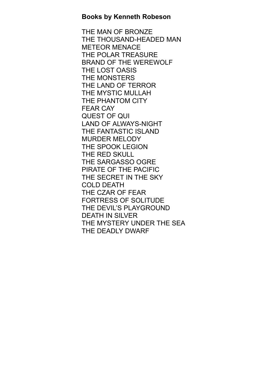#### **Books by Kenneth Robeson**

THE MAN OF BRONZE THE THOUSAND-HEADED MAN METEOR MENACE THE POLAR TREASURE BRAND OF THE WEREWOLF THE LOST OASIS THE MONSTERS THE LAND OF TERROR THE MYSTIC MULLAH THE PHANTOM CITY FEAR CAY QUEST OF QUI LAND OF ALWAYS-NIGHT THE FANTASTIC ISLAND MURDER MELODY THE SPOOK LEGION THE RED SKULL THE SARGASSO OGRE PIRATE OF THE PACIFIC THE SECRET IN THE SKY COLD DEATH THE CZAR OF FEAR FORTRESS OF SOLITUDE THE DEVIL'S PLAYGROUND DEATH IN SILVER THE MYSTERY UNDER THE SEA THE DEADLY DWARF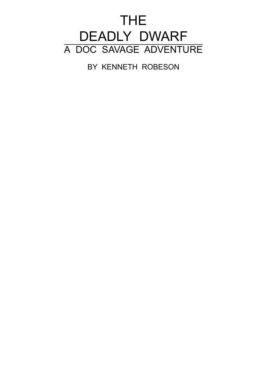# THE DEADLY DWARF A DOC SAVAGE ADVENTURE

BY KENNETH ROBESON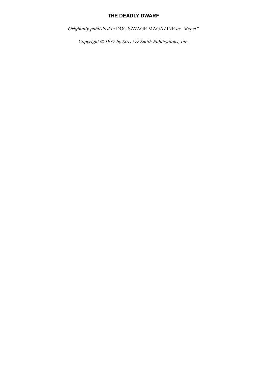#### **THE DEADLY DWARF**

*Originally published in* DOC SAVAGE MAGAZINE *as "Repel"*

*Copyright © 1937 by Street & Smith Publications, Inc.*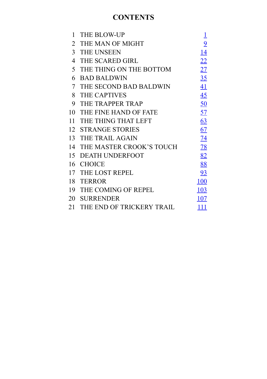## **CONTENTS**

| 1              | THE BLOW-UP               | <u>1</u>       |
|----------------|---------------------------|----------------|
| $\mathfrak{D}$ | THE MAN OF MIGHT          | $\overline{2}$ |
| $\mathcal{E}$  | THE UNSEEN                | <u>14</u>      |
| 4              | THE SCARED GIRL           | 22             |
| 5              | THE THING ON THE BOTTOM   | 27             |
| 6              | <b>BAD BALDWIN</b>        | 35             |
| 7              | THE SECOND BAD BALDWIN    | 41             |
| 8              | THE CAPTIVES              | 45             |
| 9              | THE TRAPPER TRAP          | 50             |
| 10             | THE FINE HAND OF FATE     | <u>57</u>      |
| 11             | THE THING THAT LEFT       | 63             |
| 12             | <b>STRANGE STORIES</b>    | 67             |
| 13             | THE TRAIL AGAIN           | 74             |
| 14             | THE MASTER CROOK'S TOUCH  | <u>78</u>      |
| 15             | <b>DEATH UNDERFOOT</b>    | 82             |
| 16             | <b>CHOICE</b>             | 88             |
| 17             | THE LOST REPEL            | <u>93</u>      |
|                | 18 TERROR                 | <u>100</u>     |
|                | 19 THE COMING OF REPEL    | 103            |
|                | 20 SURRENDER              | 107            |
| 21             | THE END OF TRICKERY TRAIL | 111            |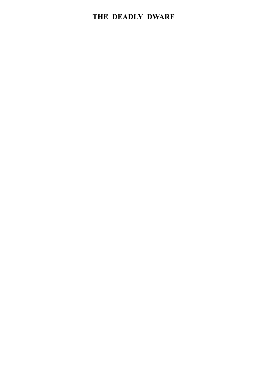## **THE DEADLY DWARF**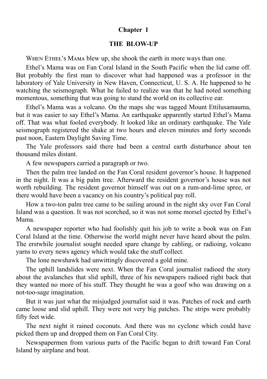#### **Chapter 1**

#### **THE BLOW-UP**

<span id="page-8-0"></span>WHEN ETHEL'S MAMA blew up, she shook the earth in more ways than one.

Ethel's Mama was on Fan Coral Island in the South Pacific when the lid came off. But probably the first man to discover what had happened was a professor in the laboratory of Yale University in New Haven, Connecticut, U. S. A. He happened to be watching the seismograph. What he failed to realize was that he had noted something momentous, something that was going to stand the world on its collective ear.

Ethel's Mama was a volcano. On the maps she was tagged Mount Ettilusamauma, but it was easier to say Ethel's Mama. An earthquake apparently started Ethel's Mama off. That was what fooled everybody. It looked like an ordinary earthquake. The Yale seismograph registered the shake at two hours and eleven minutes and forty seconds past noon, Eastern Daylight Saving Time.

The Yale professors said there had been a central earth disturbance about ten thousand miles distant.

A few newspapers carried a paragraph or two.

Then the palm tree landed on the Fan Coral resident governor's house. It happened in the night. It was a big palm tree. Afterward the resident governor's house was not worth rebuilding. The resident governor himself was out on a rum-and-lime spree, or there would have been a vacancy on his country's political pay roll.

How a two-ton palm tree came to be sailing around in the night sky over Fan Coral Island was a question. It was not scorched, so it was not some morsel ejected by Ethel's Mama.

A newspaper reporter who had foolishly quit his job to write a book was on Fan Coral Island at the time. Otherwise the world might never have heard about the palm. The erstwhile journalist sought needed spare change by cabling, or radioing, volcano yarns to every news agency which would take the stuff collect.

The lone newshawk had unwittingly discovered a gold mine.

The uphill landslides were next. When the Fan Coral journalist radioed the story about the avalanches that slid uphill, three of his newspapers radioed right back that they wanted no more of his stuff. They thought he was a goof who was drawing on a not-too-sage imagination.

But it was just what the misjudged journalist said it was. Patches of rock and earth came loose and slid uphill. They were not very big patches. The strips were probably fifty feet wide.

The next night it rained coconuts. And there was no cyclone which could have picked them up and dropped them on Fan Coral City.

Newspapermen from various parts of the Pacific began to drift toward Fan Coral Island by airplane and boat.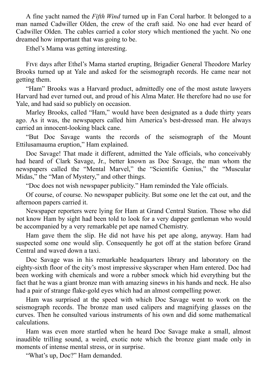A fine yacht named the *Fifth Wind* turned up in Fan Coral harbor. It belonged to a man named Cadwiller Olden, the crew of the craft said. No one had ever heard of Cadwiller Olden. The cables carried a color story which mentioned the yacht. No one dreamed how important that was going to be.

Ethel's Mama was getting interesting.

FIVE days after Ethel's Mama started erupting, Brigadier General Theodore Marley Brooks turned up at Yale and asked for the seismograph records. He came near not getting them.

"Ham" Brooks was a Harvard product, admittedly one of the most astute lawyers Harvard had ever turned out, and proud of his Alma Mater. He therefore had no use for Yale, and had said so publicly on occasion.

Marley Brooks, called "Ham," would have been designated as a dude thirty years ago. As it was, the newspapers called him America's best-dressed man. He always carried an innocent-looking black cane.

"But Doc Savage wants the records of the seismograph of the Mount Ettilusamauma eruption," Ham explained.

Doc Savage! That made it different, admitted the Yale officials, who conceivably had heard of Clark Savage, Jr., better known as Doc Savage, the man whom the newspapers called the "Mental Marvel," the "Scientific Genius," the "Muscular Midas," the "Man of Mystery," and other things.

"Doc does not wish newspaper publicity." Ham reminded the Yale officials.

Of course, of course. No newspaper publicity. But some one let the cat out, and the afternoon papers carried it.

Newspaper reporters were lying for Ham at Grand Central Station. Those who did not know Ham by sight had been told to look for a very dapper gentleman who would be accompanied by a very remarkable pet ape named Chemistry.

Ham gave them the slip. He did not have his pet ape along, anyway. Ham had suspected some one would slip. Consequently he got off at the station before Grand Central and waved down a taxi.

Doc Savage was in his remarkable headquarters library and laboratory on the eighty-sixth floor of the city's most impressive skyscraper when Ham entered. Doc had been working with chemicals and wore a rubber smock which hid everything but the fact that he was a giant bronze man with amazing sinews in his hands and neck. He also had a pair of strange flake-gold eyes which had an almost compelling power.

Ham was surprised at the speed with which Doc Savage went to work on the seismograph records. The bronze man used calipers and magnifying glasses on the curves. Then he consulted various instruments of his own and did some mathematical calculations.

Ham was even more startled when he heard Doc Savage make a small, almost inaudible trilling sound, a weird, exotic note which the bronze giant made only in moments of intense mental stress, or in surprise.

"What's up, Doc?" Ham demanded.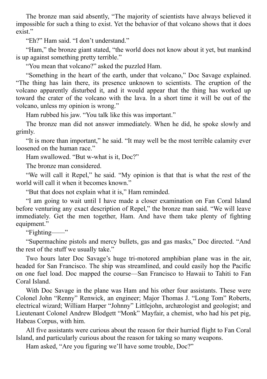The bronze man said absently, "The majority of scientists have always believed it impossible for such a thing to exist. Yet the behavior of that volcano shows that it does exist."

"Eh?" Ham said. "I don't understand."

"Ham," the bronze giant stated, "the world does not know about it yet, but mankind is up against something pretty terrible."

"You mean that volcano?" asked the puzzled Ham.

"Something in the heart of the earth, under that volcano," Doc Savage explained. "The thing has lain there, its presence unknown to scientists. The eruption of the volcano apparently disturbed it, and it would appear that the thing has worked up toward the crater of the volcano with the lava. In a short time it will be out of the volcano, unless my opinion is wrong."

Ham rubbed his jaw. "You talk like this was important."

The bronze man did not answer immediately. When he did, he spoke slowly and grimly.

"It is more than important," he said. "It may well be the most terrible calamity ever loosened on the human race."

Ham swallowed. "But w-what is it, Doc?"

The bronze man considered.

"We will call it Repel," he said. "My opinion is that that is what the rest of the world will call it when it becomes known."

"But that does not explain what it is," Ham reminded.

"I am going to wait until I have made a closer examination on Fan Coral Island before venturing any exact description of Repel," the bronze man said. "We will leave immediately. Get the men together, Ham. And have them take plenty of fighting equipment."

"Fighting——"

"Supermachine pistols and mercy bullets, gas and gas masks," Doc directed. "And the rest of the stuff we usually take."

Two hours later Doc Savage's huge tri-motored amphibian plane was in the air, headed for San Francisco. The ship was streamlined, and could easily hop the Pacific on one fuel load. Doc mapped the course—San Francisco to Hawaii to Tahiti to Fan Coral Island.

With Doc Savage in the plane was Ham and his other four assistants. These were Colonel John "Renny" Renwick, an engineer; Major Thomas J. "Long Tom" Roberts, electrical wizard; William Harper "Johnny" Littlejohn, archæologist and geologist; and Lieutenant Colonel Andrew Blodgett "Monk" Mayfair, a chemist, who had his pet pig, Habeas Corpus, with him.

All five assistants were curious about the reason for their hurried flight to Fan Coral Island, and particularly curious about the reason for taking so many weapons.

Ham asked, "Are you figuring we'll have some trouble, Doc?"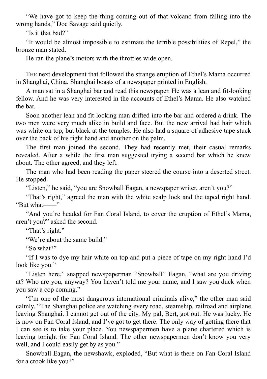"We have got to keep the thing coming out of that volcano from falling into the wrong hands," Doc Savage said quietly.

"Is it that bad?"

"It would be almost impossible to estimate the terrible possibilities of Repel," the bronze man stated.

He ran the plane's motors with the throttles wide open.

THE next development that followed the strange eruption of Ethel's Mama occurred in Shanghai, China. Shanghai boasts of a newspaper printed in English.

A man sat in a Shanghai bar and read this newspaper. He was a lean and fit-looking fellow. And he was very interested in the accounts of Ethel's Mama. He also watched the bar.

Soon another lean and fit-looking man drifted into the bar and ordered a drink. The two men were very much alike in build and face. But the new arrival had hair which was white on top, but black at the temples. He also had a square of adhesive tape stuck over the back of his right hand and another on the palm.

The first man joined the second. They had recently met, their casual remarks revealed. After a while the first man suggested trying a second bar which he knew about. The other agreed, and they left.

The man who had been reading the paper steered the course into a deserted street. He stopped.

"Listen," he said, "you are Snowball Eagan, a newspaper writer, aren't you?"

"That's right," agreed the man with the white scalp lock and the taped right hand. "But what——"

"And you're headed for Fan Coral Island, to cover the eruption of Ethel's Mama, aren't you?" asked the second.

"That's right."

"We're about the same build."

"So what?"

"If I was to dye my hair white on top and put a piece of tape on my right hand I'd look like you."

"Listen here," snapped newspaperman "Snowball" Eagan, "what are you driving at? Who are you, anyway? You haven't told me your name, and I saw you duck when you saw a cop coming."

"I'm one of the most dangerous international criminals alive," the other man said calmly. "The Shanghai police are watching every road, steamship, railroad and airplane leaving Shanghai. I cannot get out of the city. My pal, Bert, got out. He was lucky. He is now on Fan Coral Island, and I've got to get there. The only way of getting there that I can see is to take your place. You newspapermen have a plane chartered which is leaving tonight for Fan Coral Island. The other newspapermen don't know you very well, and I could easily get by as you."

Snowball Eagan, the newshawk, exploded, "But what is there on Fan Coral Island for a crook like you?"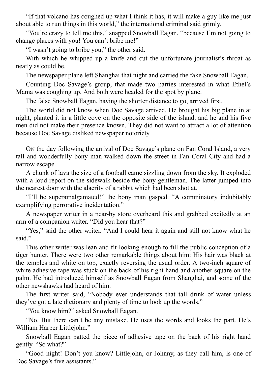"If that volcano has coughed up what I think it has, it will make a guy like me just about able to run things in this world," the international criminal said grimly.

"You're crazy to tell me this," snapped Snowball Eagan, "because I'm not going to change places with you! You can't bribe me!"

"I wasn't going to bribe you," the other said.

With which he whipped up a knife and cut the unfortunate journalist's throat as neatly as could be.

The newspaper plane left Shanghai that night and carried the fake Snowball Eagan.

Counting Doc Savage's group, that made two parties interested in what Ethel's Mama was coughing up. And both were headed for the spot by plane.

The false Snowball Eagan, having the shorter distance to go, arrived first.

The world did not know when Doc Savage arrived. He brought his big plane in at night, planted it in a little cove on the opposite side of the island, and he and his five men did not make their presence known. They did not want to attract a lot of attention because Doc Savage disliked newspaper notoriety.

ON the day following the arrival of Doc Savage's plane on Fan Coral Island, a very tall and wonderfully bony man walked down the street in Fan Coral City and had a narrow escape.

A chunk of lava the size of a football came sizzling down from the sky. It exploded with a loud report on the sidewalk beside the bony gentleman. The latter jumped into the nearest door with the alacrity of a rabbit which had been shot at.

"I'll be superamalgamated!" the bony man gasped. "A comminatory indubitably examplifying perrorative incidentation."

A newspaper writer in a near-by store overheard this and grabbed excitedly at an arm of a companion writer. "Did you hear that?"

"Yes," said the other writer. "And I could hear it again and still not know what he said."

This other writer was lean and fit-looking enough to fill the public conception of a tiger hunter. There were two other remarkable things about him: His hair was black at the temples and white on top, exactly reversing the usual order. A two-inch square of white adhesive tape was stuck on the back of his right hand and another square on the palm. He had introduced himself as Snowball Eagan from Shanghai, and some of the other newshawks had heard of him.

The first writer said, "Nobody ever understands that tall drink of water unless they've got a late dictionary and plenty of time to look up the words."

"You know him?" asked Snowball Eagan.

"No. But there can't be any mistake. He uses the words and looks the part. He's William Harper Littlejohn."

Snowball Eagan patted the piece of adhesive tape on the back of his right hand gently. "So what?"

"Good night! Don't you know? Littlejohn, or Johnny, as they call him, is one of Doc Savage's five assistants."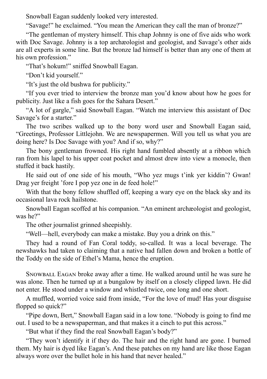Snowball Eagan suddenly looked very interested.

"Savage!" he exclaimed. "You mean the American they call the man of bronze?"

"The gentleman of mystery himself. This chap Johnny is one of five aids who work with Doc Savage. Johnny is a top archæologist and geologist, and Savage's other aids are all experts in some line. But the bronze lad himself is better than any one of them at his own profession."

"That's hokum!" sniffed Snowball Eagan.

"Don't kid yourself."

"It's just the old bushwa for publicity."

"If you ever tried to interview the bronze man you'd know about how he goes for publicity. Just like a fish goes for the Sahara Desert."

"A lot of gargle," said Snowball Eagan. "Watch me interview this assistant of Doc Savage's for a starter."

The two scribes walked up to the bony word user and Snowball Eagan said, "Greetings, Professor Littlejohn. We are newspapermen. Will you tell us what you are doing here? Is Doc Savage with you? And if so, why?"

The bony gentleman frowned. His right hand fumbled absently at a ribbon which ran from his lapel to his upper coat pocket and almost drew into view a monocle, then stuffed it back hastily.

He said out of one side of his mouth, "Who yez mugs t'ink yer kiddin'? Gwan! Drag yer freight 'fore I pop yez one in de feed hole!"

With that the bony fellow shuffled off, keeping a wary eye on the black sky and its occasional lava rock hailstone.

Snowball Eagan scoffed at his companion. "An eminent archæologist and geologist, was he?"

The other journalist grinned sheepishly.

"Well—hell, everybody can make a mistake. Buy you a drink on this."

They had a round of Fan Coral toddy, so-called. It was a local beverage. The newshawks had taken to claiming that a native had fallen down and broken a bottle of the Toddy on the side of Ethel's Mama, hence the eruption.

SNOWBALL EAGAN broke away after a time. He walked around until he was sure he was alone. Then he turned up at a bungalow by itself on a closely clipped lawn. He did not enter. He stood under a window and whistled twice, one long and one short.

A muffled, worried voice said from inside, "For the love of mud! Has your disguise flopped so quick?"

"Pipe down, Bert," Snowball Eagan said in a low tone. "Nobody is going to find me out. I used to be a newspaperman, and that makes it a cinch to put this across."

"But what if they find the real Snowball Eagan's body?"

"They won't identify it if they do. The hair and the right hand are gone. I burned them. My hair is dyed like Eagan's. And these patches on my hand are like those Eagan always wore over the bullet hole in his hand that never healed."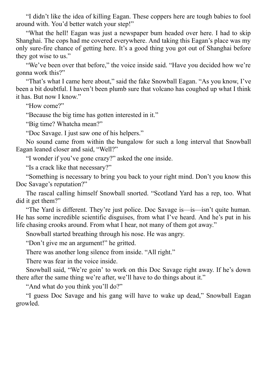"I didn't like the idea of killing Eagan. These coppers here are tough babies to fool around with. You'd better watch your step!"

"What the hell! Eagan was just a newspaper bum headed over here. I had to skip Shanghai. The cops had me covered everywhere. And taking this Eagan's place was my only sure-fire chance of getting here. It's a good thing you got out of Shanghai before they got wise to us."

"We've been over that before," the voice inside said. "Have you decided how we're gonna work this?"

"That's what I came here about," said the fake Snowball Eagan. "As you know, I've been a bit doubtful. I haven't been plumb sure that volcano has coughed up what I think it has. But now I know."

"How come?"

"Because the big time has gotten interested in it."

"Big time? Whatcha mean?"

"Doc Savage. I just saw one of his helpers."

No sound came from within the bungalow for such a long interval that Snowball Eagan leaned closer and said, "Well?"

"I wonder if you've gone crazy?" asked the one inside.

"Is a crack like that necessary?"

"Something is necessary to bring you back to your right mind. Don't you know this Doc Savage's reputation?"

The rascal calling himself Snowball snorted. "Scotland Yard has a rep, too. What did it get them?"

"The Yard is different. They're just police. Doc Savage is—is—isn't quite human. He has some incredible scientific disguises, from what I've heard. And he's put in his life chasing crooks around. From what I hear, not many of them got away."

Snowball started breathing through his nose. He was angry.

"Don't give me an argument!" he gritted.

There was another long silence from inside. "All right."

There was fear in the voice inside.

Snowball said, "We're goin' to work on this Doc Savage right away. If he's down there after the same thing we're after, we'll have to do things about it."

"And what do you think you'll do?"

"I guess Doc Savage and his gang will have to wake up dead," Snowball Eagan growled.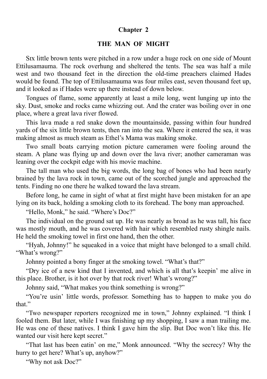#### **Chapter 2**

#### **THE MAN OF MIGHT**

<span id="page-15-0"></span>SIX little brown tents were pitched in a row under a huge rock on one side of Mount Ettilusamauma. The rock overhung and sheltered the tents. The sea was half a mile west and two thousand feet in the direction the old-time preachers claimed Hades would be found. The top of Ettilusamauma was four miles east, seven thousand feet up, and it looked as if Hades were up there instead of down below.

Tongues of flame, some apparently at least a mile long, went lunging up into the sky. Dust, smoke and rocks came whizzing out. And the crater was boiling over in one place, where a great lava river flowed.

This lava made a red snake down the mountainside, passing within four hundred yards of the six little brown tents, then ran into the sea. Where it entered the sea, it was making almost as much steam as Ethel's Mama was making smoke.

Two small boats carrying motion picture cameramen were fooling around the steam. A plane was flying up and down over the lava river; another cameraman was leaning over the cockpit edge with his movie machine.

The tall man who used the big words, the long bag of bones who had been nearly brained by the lava rock in town, came out of the scorched jungle and approached the tents. Finding no one there he walked toward the lava stream.

Before long, he came in sight of what at first might have been mistaken for an ape lying on its back, holding a smoking cloth to its forehead. The bony man approached.

"Hello, Monk," he said. "Where's Doc?"

The individual on the ground sat up. He was nearly as broad as he was tall, his face was mostly mouth, and he was covered with hair which resembled rusty shingle nails. He held the smoking towel in first one hand, then the other.

"Hyah, Johnny!" he squeaked in a voice that might have belonged to a small child. "What's wrong?"

Johnny pointed a bony finger at the smoking towel. "What's that?"

"Dry ice of a new kind that I invented, and which is all that's keepin' me alive in this place. Brother, is it hot over by that rock river! What's wrong?"

Johnny said, "What makes you think something is wrong?"

"You're usin' little words, professor. Something has to happen to make you do that."

"Two newspaper reporters recognized me in town," Johnny explained. "I think I fooled them. But later, while I was finishing up my shopping, I saw a man trailing me. He was one of these natives. I think I gave him the slip. But Doc won't like this. He wanted our visit here kept secret."

"That last has been eatin' on me," Monk announced. "Why the secrecy? Why the hurry to get here? What's up, anyhow?"

"Why not ask Doc?"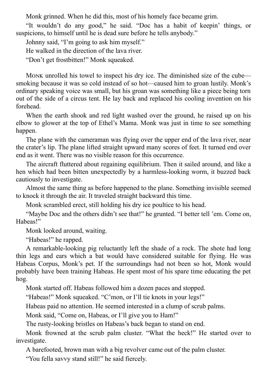Monk grinned. When he did this, most of his homely face became grim.

"It wouldn't do any good," he said. "Doc has a habit of keepin' things, or suspicions, to himself until he is dead sure before he tells anybody."

Johnny said, "I'm going to ask him myself."

He walked in the direction of the lava river.

"Don't get frostbitten!" Monk squeaked.

MONK unrolled his towel to inspect his dry ice. The diminished size of the cube smoking because it was so cold instead of so hot—caused him to groan lustily. Monk's ordinary speaking voice was small, but his groan was something like a piece being torn out of the side of a circus tent. He lay back and replaced his cooling invention on his forehead.

When the earth shook and red light washed over the ground, he raised up on his elbow to glower at the top of Ethel's Mama. Monk was just in time to see something happen.

The plane with the cameraman was flying over the upper end of the lava river, near the crater's lip. The plane lifted straight upward many scores of feet. It turned end over end as it went. There was no visible reason for this occurrence.

The aircraft fluttered about regaining equilibrium. Then it sailed around, and like a hen which had been bitten unexpectedly by a harmless-looking worm, it buzzed back cautiously to investigate.

Almost the same thing as before happened to the plane. Something invisible seemed to knock it through the air. It traveled straight backward this time.

Monk scrambled erect, still holding his dry ice poultice to his head.

"Maybe Doc and the others didn't see that!" he grunted. "I better tell 'em. Come on, Habeas!"

Monk looked around, waiting.

"Habeas!" he rapped.

A remarkable-looking pig reluctantly left the shade of a rock. The shote had long thin legs and ears which a bat would have considered suitable for flying. He was Habeas Corpus, Monk's pet. If the surroundings had not been so hot, Monk would probably have been training Habeas. He spent most of his spare time educating the pet hog.

Monk started off. Habeas followed him a dozen paces and stopped.

"Habeas!" Monk squeaked. "C'mon, or I'll tie knots in your legs!"

Habeas paid no attention. He seemed interested in a clump of scrub palms.

Monk said, "Come on, Habeas, or I'll give you to Ham!"

The rusty-looking bristles on Habeas's back began to stand on end.

Monk frowned at the scrub palm cluster. "What the heck!" He started over to investigate.

A barefooted, brown man with a big revolver came out of the palm cluster.

"You fella savvy stand still!" he said fiercely.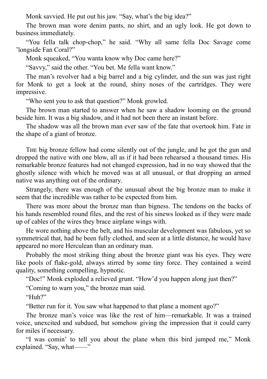Monk savvied. He put out his jaw. "Say, what's the big idea?"

The brown man wore denim pants, no shirt, and an ugly look. He got down to business immediately.

"You fella talk chop-chop," he said. "Why all same fella Doc Savage come 'longside Fan Coral?"

Monk squeaked, "You wanta know why Doc came here?"

"Savvy," said the other. "You bet. Me fella want know."

The man's revolver had a big barrel and a big cylinder, and the sun was just right for Monk to get a look at the round, shiny noses of the cartridges. They were impressive.

"Who sent you to ask that question?" Monk growled.

The brown man started to answer when he saw a shadow looming on the ground beside him. It was a big shadow, and it had not been there an instant before.

The shadow was all the brown man ever saw of the fate that overtook him. Fate in the shape of a giant of bronze.

THE big bronze fellow had come silently out of the jungle, and he got the gun and dropped the native with one blow, all as if it had been rehearsed a thousand times. His remarkable bronze features had not changed expression, had in no way showed that the ghostly silence with which he moved was at all unusual, or that dropping an armed native was anything out of the ordinary.

Strangely, there was enough of the unusual about the big bronze man to make it seem that the incredible was rather to be expected from him.

There was more about the bronze man than bigness. The tendons on the backs of his hands resembled round files, and the rest of his sinews looked as if they were made up of cables of the wires they brace airplane wings with.

He wore nothing above the belt, and his muscular development was fabulous, yet so symmetrical that, had he been fully clothed, and seen at a little distance, he would have appeared no more Herculean than an ordinary man.

Probably the most striking thing about the bronze giant was his eyes. They were like pools of flake-gold, always stirred by some tiny force. They contained a weird quality, something compelling, hypnotic.

"Doc!" Monk exploded a relieved grunt. "How'd you happen along just then?"

"Coming to warn you," the bronze man said.

"Huh?"

"Better run for it. You saw what happened to that plane a moment ago?"

The bronze man's voice was like the rest of him—remarkable. It was a trained voice, unexcited and subdued, but somehow giving the impression that it could carry for miles if necessary.

"I was comin' to tell you about the plane when this bird jumped me," Monk explained. "Say, what——"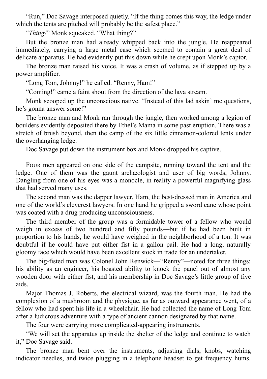"Run," Doc Savage interposed quietly. "If the thing comes this way, the ledge under which the tents are pitched will probably be the safest place."

"*Thing!*" Monk squeaked. "What thing?"

But the bronze man had already whipped back into the jungle. He reappeared immediately, carrying a large metal case which seemed to contain a great deal of delicate apparatus. He had evidently put this down while he crept upon Monk's captor.

The bronze man raised his voice. It was a crash of volume, as if stepped up by a power amplifier.

"Long Tom, Johnny!" he called. "Renny, Ham!"

"Coming!" came a faint shout from the direction of the lava stream.

Monk scooped up the unconscious native. "Instead of this lad askin' me questions, he's gonna answer some!"

The bronze man and Monk ran through the jungle, then worked among a legion of boulders evidently deposited there by Ethel's Mama in some past eruption. There was a stretch of brush beyond, then the camp of the six little cinnamon-colored tents under the overhanging ledge.

Doc Savage put down the instrument box and Monk dropped his captive.

FOUR men appeared on one side of the campsite, running toward the tent and the ledge. One of them was the gaunt archæologist and user of big words, Johnny. Dangling from one of his eyes was a monocle, in reality a powerful magnifying glass that had served many uses.

The second man was the dapper lawyer, Ham, the best-dressed man in America and one of the world's cleverest lawyers. In one hand he gripped a sword cane whose point was coated with a drug producing unconsciousness.

The third member of the group was a formidable tower of a fellow who would weigh in excess of two hundred and fifty pounds—but if he had been built in proportion to his hands, he would have weighed in the neighborhood of a ton. It was doubtful if he could have put either fist in a gallon pail. He had a long, naturally gloomy face which would have been excellent stock in trade for an undertaker.

The big-fisted man was Colonel John Renwick—"Renny"—noted for three things: his ability as an engineer, his boasted ability to knock the panel out of almost any wooden door with either fist, and his membership in Doc Savage's little group of five aids.

Major Thomas J. Roberts, the electrical wizard, was the fourth man. He had the complexion of a mushroom and the physique, as far as outward appearance went, of a fellow who had spent his life in a wheelchair. He had collected the name of Long Tom after a ludicrous adventure with a type of ancient cannon designated by that name.

The four were carrying more complicated-appearing instruments.

"We will set the apparatus up inside the shelter of the ledge and continue to watch it," Doc Savage said.

The bronze man bent over the instruments, adjusting dials, knobs, watching indicator needles, and twice plugging in a telephone headset to get frequency hums.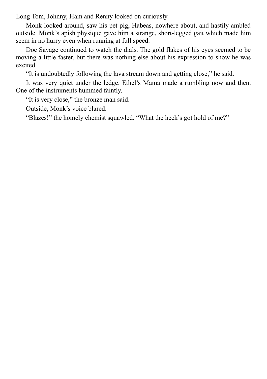Long Tom, Johnny, Ham and Renny looked on curiously.

Monk looked around, saw his pet pig, Habeas, nowhere about, and hastily ambled outside. Monk's apish physique gave him a strange, short-legged gait which made him seem in no hurry even when running at full speed.

Doc Savage continued to watch the dials. The gold flakes of his eyes seemed to be moving a little faster, but there was nothing else about his expression to show he was excited.

"It is undoubtedly following the lava stream down and getting close," he said.

It was very quiet under the ledge. Ethel's Mama made a rumbling now and then. One of the instruments hummed faintly.

"It is very close," the bronze man said.

Outside, Monk's voice blared.

"Blazes!" the homely chemist squawled. "What the heck's got hold of me?"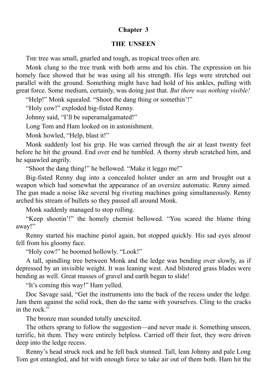#### **Chapter 3**

#### **THE UNSEEN**

<span id="page-20-0"></span>THE tree was small, gnarled and tough, as tropical trees often are.

Monk clung to the tree trunk with both arms and his chin. The expression on his homely face showed that he was using all his strength. His legs were stretched out parallel with the ground. Something might have had hold of his ankles, pulling with great force. Some medium, certainly, was doing just that. *But there was nothing visible!*

"Help!" Monk squealed. "Shoot the dang thing or somethin'!"

"Holy cow!" exploded big-fisted Renny.

Johnny said, "I'll be superamalgamated!"

Long Tom and Ham looked on in astonishment.

Monk howled, "Help, blast it!"

Monk suddenly lost his grip. He was carried through the air at least twenty feet before he hit the ground. End over end he tumbled. A thorny shrub scratched him, and he squawled angrily.

"Shoot the dang thing!" he bellowed. "Make it leggo me!"

Big-fisted Renny dug into a concealed holster under an arm and brought out a weapon which had somewhat the appearance of an oversize automatic. Renny aimed. The gun made a noise like several big riveting machines going simultaneously. Renny arched his stream of bullets so they passed all around Monk.

Monk suddenly managed to stop rolling.

"Keep shootin'!" the homely chemist bellowed. "You scared the blame thing away!"

Renny started his machine pistol again, but stopped quickly. His sad eyes almost fell from his gloomy face.

"Holy cow!" he boomed hollowly. "Look!"

A tall, spindling tree between Monk and the ledge was bending over slowly, as if depressed by an invisible weight. It was leaning west. And blistered grass blades were bending as well. Great masses of gravel and earth began to slide!

"It's coming this way!" Ham yelled.

Doc Savage said, "Get the instruments into the back of the recess under the ledge. Jam them against the solid rock, then do the same with yourselves. Cling to the cracks in the rock."

The bronze man sounded totally unexcited.

The others sprang to follow the suggestion—and never made it. Something unseen, terrific, hit them. They were entirely helpless. Carried off their feet, they were driven deep into the ledge recess.

Renny's head struck rock and he fell back stunned. Tall, lean Johnny and pale Long Tom got entangled, and hit with enough force to take air out of them both. Ham hit the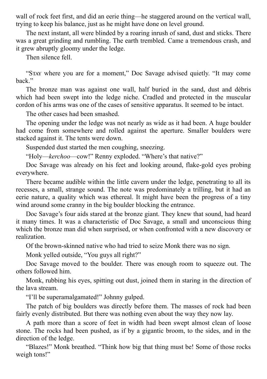wall of rock feet first, and did an eerie thing—he staggered around on the vertical wall, trying to keep his balance, just as he might have done on level ground.

The next instant, all were blinded by a roaring inrush of sand, dust and sticks. There was a great grinding and rumbling. The earth trembled. Came a tremendous crash, and it grew abruptly gloomy under the ledge.

Then silence fell.

"STAY where you are for a moment," Doc Savage advised quietly. "It may come back."

The bronze man was against one wall, half buried in the sand, dust and débris which had been swept into the ledge niche. Cradled and protected in the muscular cordon of his arms was one of the cases of sensitive apparatus. It seemed to be intact.

The other cases had been smashed.

The opening under the ledge was not nearly as wide as it had been. A huge boulder had come from somewhere and rolled against the aperture. Smaller boulders were stacked against it. The tents were down.

Suspended dust started the men coughing, sneezing.

"Holy—*kerchoo*—cow!" Renny exploded. "Where's that native?"

Doc Savage was already on his feet and looking around, flake-gold eyes probing everywhere.

There became audible within the little cavern under the ledge, penetrating to all its recesses, a small, strange sound. The note was predominately a trilling, but it had an eerie nature, a quality which was ethereal. It might have been the progress of a tiny wind around some cranny in the big boulder blocking the entrance.

Doc Savage's four aids stared at the bronze giant. They knew that sound, had heard it many times. It was a characteristic of Doc Savage, a small and unconscious thing which the bronze man did when surprised, or when confronted with a new discovery or realization.

Of the brown-skinned native who had tried to seize Monk there was no sign.

Monk yelled outside, "You guys all right?"

Doc Savage moved to the boulder. There was enough room to squeeze out. The others followed him.

Monk, rubbing his eyes, spitting out dust, joined them in staring in the direction of the lava stream.

"I'll be superamalgamated!" Johnny gulped.

The patch of big boulders was directly before them. The masses of rock had been fairly evenly distributed. But there was nothing even about the way they now lay.

A path more than a score of feet in width had been swept almost clean of loose stone. The rocks had been pushed, as if by a gigantic broom, to the sides, and in the direction of the ledge.

"Blazes!" Monk breathed. "Think how big that thing must be! Some of those rocks weigh tons!"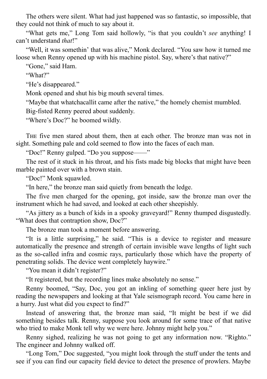The others were silent. What had just happened was so fantastic, so impossible, that they could not think of much to say about it.

"What gets me," Long Tom said hollowly, "is that you couldn't *see* anything! I can't understand *that*!"

"Well, it was somethin' that was alive," Monk declared. "You saw how it turned me loose when Renny opened up with his machine pistol. Say, where's that native?"

"Gone," said Ham.

"What?"

"He's disappeared."

Monk opened and shut his big mouth several times.

"Maybe that whatchacallit came after the native," the homely chemist mumbled.

Big-fisted Renny peered about suddenly.

"Where's Doc?" he boomed wildly.

THE five men stared about them, then at each other. The bronze man was not in sight. Something pale and cold seemed to flow into the faces of each man.

"Doc!" Renny gulped. "Do you suppose——"

The rest of it stuck in his throat, and his fists made big blocks that might have been marble painted over with a brown stain.

"Doc!" Monk squawled.

"In here," the bronze man said quietly from beneath the ledge.

The five men charged for the opening, got inside, saw the bronze man over the instrument which he had saved, and looked at each other sheepishly.

"As jittery as a bunch of kids in a spooky graveyard!" Renny thumped disgustedly. "What does that contraption show, Doc?"

The bronze man took a moment before answering.

"It is a little surprising," he said. "This is a device to register and measure automatically the presence and strength of certain invisible wave lengths of light such as the so-called infra and cosmic rays, particularly those which have the property of penetrating solids. The device went completely haywire."

"You mean it didn't register?"

"It registered, but the recording lines make absolutely no sense."

Renny boomed, "Say, Doc, you got an inkling of something queer here just by reading the newspapers and looking at that Yale seismograph record. You came here in a hurry. Just what did you expect to find?"

Instead of answering that, the bronze man said, "It might be best if we did something besides talk. Renny, suppose you look around for some trace of that native who tried to make Monk tell why we were here. Johnny might help you."

Renny sighed, realizing he was not going to get any information now. "Righto." The engineer and Johnny walked off.

"Long Tom," Doc suggested, "you might look through the stuff under the tents and see if you can find our capacity field device to detect the presence of prowlers. Maybe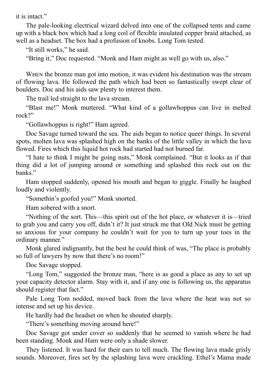it is intact."

The pale-looking electrical wizard delved into one of the collapsed tents and came up with a black box which had a long coil of flexible insulated copper braid attached, as well as a headset. The box had a profusion of knobs. Long Tom tested.

"It still works," he said.

"Bring it," Doc requested. "Monk and Ham might as well go with us, also."

WHEN the bronze man got into motion, it was evident his destination was the stream of flowing lava. He followed the path which had been so fantastically swept clear of boulders. Doc and his aids saw plenty to interest them.

The trail led straight to the lava stream.

"Blast me!" Monk muttered. "What kind of a gollawhoppus can live in melted rock?"

"Gollawhoppus is right!" Ham agreed.

Doc Savage turned toward the sea. The aids began to notice queer things. In several spots, molten lava was splashed high on the banks of the little valley in which the lava flowed. Fires which this liquid hot rock had started had not burned far.

"I hate to think I might be going nuts," Monk complained. "But it looks as if that thing did a lot of jumping around or something and splashed this rock out on the banks."

Ham stopped suddenly, opened his mouth and began to giggle. Finally he laughed loudly and violently.

"Somethin's goofed you!" Monk snorted.

Ham sobered with a snort.

"Nothing of the sort. This—this spirit out of the hot place, or whatever it is—tried to grab you and carry you off, didn't it? It just struck me that Old Nick must be getting so anxious for your company he couldn't wait for you to turn up your toes in the ordinary manner."

Monk glared indignantly, but the best he could think of was, "The place is probably so full of lawyers by now that there's no room!"

Doc Savage stopped.

"Long Tom," suggested the bronze man, "here is as good a place as any to set up your capacity detector alarm. Stay with it, and if any one is following us, the apparatus should register that fact."

Pale Long Tom nodded, moved back from the lava where the heat was not so intense and set up his device.

He hardly had the headset on when he shouted sharply.

"There's something moving around here!"

Doc Savage got under cover so suddenly that he seemed to vanish where he had been standing. Monk and Ham were only a shade slower.

They listened. It was hard for their ears to tell much. The flowing lava made grisly sounds. Moreover, fires set by the splashing lava were crackling. Ethel's Mama made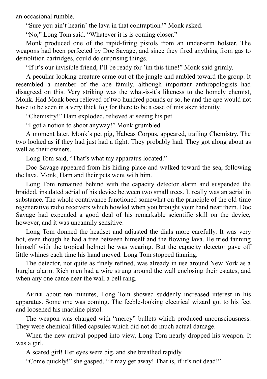an occasional rumble.

"Sure you ain't hearin' the lava in that contraption?" Monk asked.

"No," Long Tom said. "Whatever it is is coming closer."

Monk produced one of the rapid-firing pistols from an under-arm holster. The weapons had been perfected by Doc Savage, and since they fired anything from gas to demolition cartridges, could do surprising things.

"If it's our invisible friend, I'll be ready for 'im this time!" Monk said grimly.

A peculiar-looking creature came out of the jungle and ambled toward the group. It resembled a member of the ape family, although important anthropologists had disagreed on this. Very striking was the what-is-it's likeness to the homely chemist, Monk. Had Monk been relieved of two hundred pounds or so, he and the ape would not have to be seen in a very thick fog for there to be a case of mistaken identity.

"Chemistry!" Ham exploded, relieved at seeing his pet.

"I got a notion to shoot anyway!" Monk grumbled.

A moment later, Monk's pet pig, Habeas Corpus, appeared, trailing Chemistry. The two looked as if they had just had a fight. They probably had. They got along about as well as their owners.

Long Tom said, "That's what my apparatus located."

Doc Savage appeared from his hiding place and walked toward the sea, following the lava. Monk, Ham and their pets went with him.

Long Tom remained behind with the capacity detector alarm and suspended the braided, insulated aërial of his device between two small trees. It really was an aërial in substance. The whole contrivance functioned somewhat on the principle of the old-time regenerative radio receivers which howled when you brought your hand near them. Doc Savage had expended a good deal of his remarkable scientific skill on the device, however, and it was uncannily sensitive.

Long Tom donned the headset and adjusted the dials more carefully. It was very hot, even though he had a tree between himself and the flowing lava. He tried fanning himself with the tropical helmet he was wearing. But the capacity detector gave off little whines each time his hand moved. Long Tom stopped fanning.

The detector, not quite as finely refined, was already in use around New York as a burglar alarm. Rich men had a wire strung around the wall enclosing their estates, and when any one came near the wall a bell rang.

AFTER about ten minutes, Long Tom showed suddenly increased interest in his apparatus. Some one was coming. The feeble-looking electrical wizard got to his feet and loosened his machine pistol.

The weapon was charged with "mercy" bullets which produced unconsciousness. They were chemical-filled capsules which did not do much actual damage.

When the new arrival popped into view, Long Tom nearly dropped his weapon. It was a girl.

A scared girl! Her eyes were big, and she breathed rapidly.

"Come quickly!" she gasped. "It may get away! That is, if it's not dead!"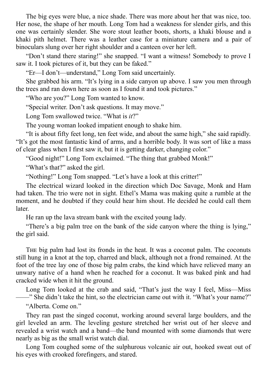The big eyes were blue, a nice shade. There was more about her that was nice, too. Her nose, the shape of her mouth. Long Tom had a weakness for slender girls, and this one was certainly slender. She wore stout leather boots, shorts, a khaki blouse and a khaki pith helmet. There was a leather case for a miniature camera and a pair of binoculars slung over her right shoulder and a canteen over her left.

"Don't stand there staring!" she snapped. "I want a witness! Somebody to prove I saw it. I took pictures of it, but they can be faked."

"Er—I don't—understand," Long Tom said uncertainly.

She grabbed his arm. "It's lying in a side canyon up above. I saw you men through the trees and ran down here as soon as I found it and took pictures."

"Who are you?" Long Tom wanted to know.

"Special writer. Don't ask questions. It may move."

Long Tom swallowed twice. "What is *it*?"

The young woman looked impatient enough to shake him.

"It is about fifty feet long, ten feet wide, and about the same high," she said rapidly. "It's got the most fantastic kind of arms, and a horrible body. It was sort of like a mass of clear glass when I first saw it, but it is getting darker, changing color."

"Good night!" Long Tom exclaimed. "The thing that grabbed Monk!"

"What's that?" asked the girl.

"Nothing!" Long Tom snapped. "Let's have a look at this critter!"

The electrical wizard looked in the direction which Doc Savage, Monk and Ham had taken. The trio were not in sight. Ethel's Mama was making quite a rumble at the moment, and he doubted if they could hear him shout. He decided he could call them later.

He ran up the lava stream bank with the excited young lady.

"There's a big palm tree on the bank of the side canyon where the thing is lying," the girl said.

THE big palm had lost its fronds in the heat. It was a coconut palm. The coconuts still hung in a knot at the top, charred and black, although not a frond remained. At the foot of the tree lay one of those big palm crabs, the kind which have relieved many an unwary native of a hand when he reached for a coconut. It was baked pink and had cracked wide when it hit the ground.

Long Tom looked at the crab and said, "That's just the way I feel, Miss—Miss ——" She didn't take the hint, so the electrician came out with it. "What's your name?"

"Alberta. Come on."

They ran past the singed coconut, working around several large boulders, and the girl leveled an arm. The leveling gesture stretched her wrist out of her sleeve and revealed a wrist watch and a band—the band mounted with some diamonds that were nearly as big as the small wrist watch dial.

Long Tom coughed some of the sulphurous volcanic air out, hooked sweat out of his eyes with crooked forefingers, and stared.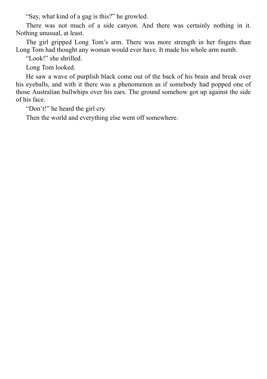"Say, what kind of a gag is this?" he growled.

There was not much of a side canyon. And there was certainly nothing in it. Nothing unusual, at least.

The girl gripped Long Tom's arm. There was more strength in her fingers than Long Tom had thought any woman would ever have. It made his whole arm numb.

"Look!" she shrilled.

Long Tom looked.

He saw a wave of purplish black come out of the back of his brain and break over his eyeballs, and with it there was a phenomenon as if somebody had popped one of those Australian bullwhips over his ears. The ground somehow got up against the side of his face.

"Don't!" he heard the girl cry.

Then the world and everything else went off somewhere.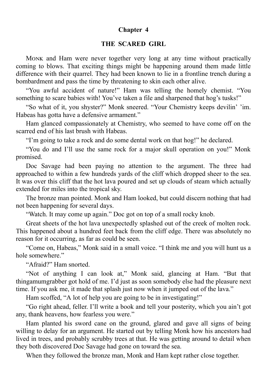#### **Chapter 4**

#### **THE SCARED GIRL**

<span id="page-27-0"></span>MONK and Ham were never together very long at any time without practically coming to blows. That exciting things might be happening around them made little difference with their quarrel. They had been known to lie in a frontline trench during a bombardment and pass the time by threatening to skin each other alive.

"You awful accident of nature!" Ham was telling the homely chemist. "You something to scare babies with! You've taken a file and sharpened that hog's tusks!"

"So what of it, you shyster?" Monk sneered. "Your Chemistry keeps devilin' 'im. Habeas has gotta have a defensive armament."

Ham glanced compassionately at Chemistry, who seemed to have come off on the scarred end of his last brush with Habeas.

"I'm going to take a rock and do some dental work on that hog!" he declared.

"You do and I'll use the same rock for a major skull operation on you!" Monk promised.

Doc Savage had been paying no attention to the argument. The three had approached to within a few hundreds yards of the cliff which dropped sheer to the sea. It was over this cliff that the hot lava poured and set up clouds of steam which actually extended for miles into the tropical sky.

The bronze man pointed. Monk and Ham looked, but could discern nothing that had not been happening for several days.

"Watch. It may come up again." Doc got on top of a small rocky knob.

Great sheets of the hot lava unexpectedly splashed out of the creek of molten rock. This happened about a hundred feet back from the cliff edge. There was absolutely no reason for it occurring, as far as could be seen.

"Come on, Habeas," Monk said in a small voice. "I think me and you will hunt us a hole somewhere."

"Afraid?" Ham snorted.

"Not of anything I can look at," Monk said, glancing at Ham. "But that thingamumgrabber got hold of me. I'd just as soon somebody else had the pleasure next time. If you ask me, it made that splash just now when it jumped out of the lava."

Ham scoffed, "A lot of help you are going to be in investigating!"

"Go right ahead, feller. I'll write a book and tell your posterity, which you ain't got any, thank heavens, how fearless you were."

Ham planted his sword cane on the ground, glared and gave all signs of being willing to delay for an argument. He started out by telling Monk how his ancestors had lived in trees, and probably scrubby trees at that. He was getting around to detail when they both discovered Doc Savage had gone on toward the sea.

When they followed the bronze man, Monk and Ham kept rather close together.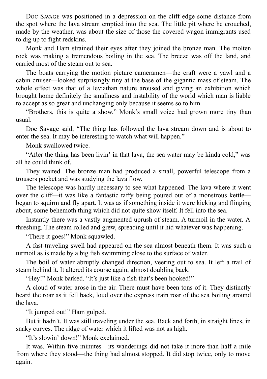Doc SAVAGE was positioned in a depression on the cliff edge some distance from the spot where the lava stream emptied into the sea. The little pit where he crouched, made by the weather, was about the size of those the covered wagon immigrants used to dig up to fight redskins.

Monk and Ham strained their eyes after they joined the bronze man. The molten rock was making a tremendous boiling in the sea. The breeze was off the land, and carried most of the steam out to sea.

The boats carrying the motion picture cameramen—the craft were a yawl and a cabin cruiser—looked surprisingly tiny at the base of the gigantic mass of steam. The whole effect was that of a leviathan nature aroused and giving an exhibition which brought home definitely the smallness and instability of the world which man is liable to accept as so great and unchanging only because it seems so to him.

"Brothers, this is quite a show." Monk's small voice had grown more tiny than usual.

Doc Savage said, "The thing has followed the lava stream down and is about to enter the sea. It may be interesting to watch what will happen."

Monk swallowed twice.

"After the thing has been livin' in that lava, the sea water may be kinda cold," was all he could think of.

They waited. The bronze man had produced a small, powerful telescope from a trousers pocket and was studying the lava flow.

The telescope was hardly necessary to see what happened. The lava where it went over the cliff—it was like a fantastic taffy being poured out of a monstrous kettle began to squirm and fly apart. It was as if something inside it were kicking and flinging about, some behemoth thing which did not quite show itself. It fell into the sea.

Instantly there was a vastly augmented uprush of steam. A turmoil in the water. A threshing. The steam rolled and grew, spreading until it hid whatever was happening.

"There it goes!" Monk squawled.

A fast-traveling swell had appeared on the sea almost beneath them. It was such a turmoil as is made by a big fish swimming close to the surface of water.

The boil of water abruptly changed direction, veering out to sea. It left a trail of steam behind it. It altered its course again, almost doubling back.

"Hey!" Monk barked. "It's just like a fish that's been hooked!"

A cloud of water arose in the air. There must have been tons of it. They distinctly heard the roar as it fell back, loud over the express train roar of the sea boiling around the lava.

"It jumped out!" Ham gulped.

But it hadn't. It was still traveling under the sea. Back and forth, in straight lines, in snaky curves. The ridge of water which it lifted was not as high.

"It's slowin' down!" Monk exclaimed.

It was. Within five minutes—its wanderings did not take it more than half a mile from where they stood—the thing had almost stopped. It did stop twice, only to move again.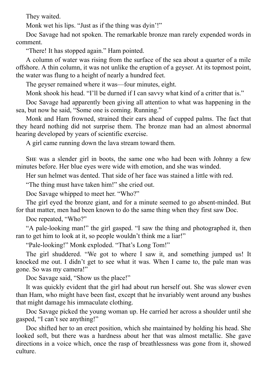They waited.

Monk wet his lips. "Just as if the thing was dyin'!"

Doc Savage had not spoken. The remarkable bronze man rarely expended words in comment.

"There! It has stopped again." Ham pointed.

A column of water was rising from the surface of the sea about a quarter of a mile offshore. A thin column, it was not unlike the eruption of a geyser. At its topmost point, the water was flung to a height of nearly a hundred feet.

The geyser remained where it was—four minutes, eight.

Monk shook his head. "I'll be durned if I can savvy what kind of a critter that is."

Doc Savage had apparently been giving all attention to what was happening in the sea, but now he said, "Some one is coming. Running."

Monk and Ham frowned, strained their ears ahead of cupped palms. The fact that they heard nothing did not surprise them. The bronze man had an almost abnormal hearing developed by years of scientific exercise.

A girl came running down the lava stream toward them.

SHE was a slender girl in boots, the same one who had been with Johnny a few minutes before. Her blue eyes were wide with emotion, and she was winded.

Her sun helmet was dented. That side of her face was stained a little with red.

"The thing must have taken him!" she cried out.

Doc Savage whipped to meet her. "Who?"

The girl eyed the bronze giant, and for a minute seemed to go absent-minded. But for that matter, men had been known to do the same thing when they first saw Doc.

Doc repeated, "Who?"

"A pale-looking man!" the girl gasped. "I saw the thing and photographed it, then ran to get him to look at it, so people wouldn't think me a liar!"

"Pale-looking!" Monk exploded. "That's Long Tom!"

The girl shuddered. "We got to where I saw it, and something jumped us! It knocked me out. I didn't get to see what it was. When I came to, the pale man was gone. So was my camera!"

Doc Savage said, "Show us the place!"

It was quickly evident that the girl had about run herself out. She was slower even than Ham, who might have been fast, except that he invariably went around any bushes that might damage his immaculate clothing.

Doc Savage picked the young woman up. He carried her across a shoulder until she gasped, "I can't see anything!"

Doc shifted her to an erect position, which she maintained by holding his head. She looked soft, but there was a hardness about her that was almost metallic. She gave directions in a voice which, once the rasp of breathlessness was gone from it, showed culture.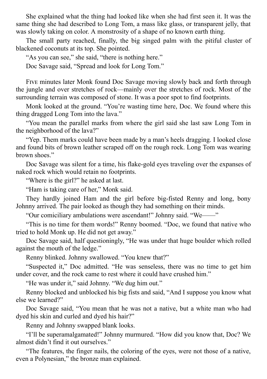She explained what the thing had looked like when she had first seen it. It was the same thing she had described to Long Tom, a mass like glass, or transparent jelly, that was slowly taking on color. A monstrosity of a shape of no known earth thing.

The small party reached, finally, the big singed palm with the pitiful cluster of blackened coconuts at its top. She pointed.

"As you can see," she said, "there is nothing here."

Doc Savage said, "Spread and look for Long Tom."

FIVE minutes later Monk found Doc Savage moving slowly back and forth through the jungle and over stretches of rock—mainly over the stretches of rock. Most of the surrounding terrain was composed of stone. It was a poor spot to find footprints.

Monk looked at the ground. "You're wasting time here, Doc. We found where this thing dragged Long Tom into the lava."

"You mean the parallel marks from where the girl said she last saw Long Tom in the neighborhood of the lava?"

"Yep. Them marks could have been made by a man's heels dragging. I looked close and found bits of brown leather scraped off on the rough rock. Long Tom was wearing brown shoes."

Doc Savage was silent for a time, his flake-gold eyes traveling over the expanses of naked rock which would retain no footprints.

"Where is the girl?" he asked at last.

"Ham is taking care of her," Monk said.

They hardly joined Ham and the girl before big-fisted Renny and long, bony Johnny arrived. The pair looked as though they had something on their minds.

"Our comiciliary ambulations were ascendant!" Johnny said. "We——"

"This is no time for them words!" Renny boomed. "Doc, we found that native who tried to hold Monk up. He did not get away."

Doc Savage said, half questioningly, "He was under that huge boulder which rolled against the mouth of the ledge."

Renny blinked. Johnny swallowed. "You knew that?"

"Suspected it," Doc admitted. "He was senseless, there was no time to get him under cover, and the rock came to rest where it could have crushed him."

"He was under it," said Johnny. "We dug him out."

Renny blocked and unblocked his big fists and said, "And I suppose you know what else we learned?"

Doc Savage said, "You mean that he was not a native, but a white man who had dyed his skin and curled and dyed his hair?"

Renny and Johnny swapped blank looks.

"I'll be superamalgamated!" Johnny murmured. "How did you know that, Doc? We almost didn't find it out ourselves."

"The features, the finger nails, the coloring of the eyes, were not those of a native, even a Polynesian," the bronze man explained.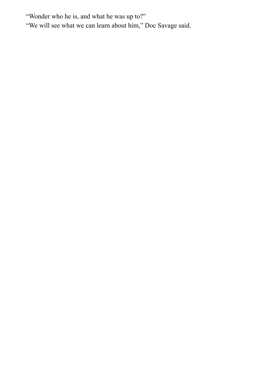"Wonder who he is, and what he was up to?"

"We will see what we can learn about him," Doc Savage said.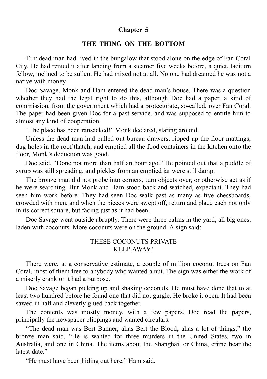#### **Chapter 5**

#### **THE THING ON THE BOTTOM**

<span id="page-32-0"></span>THE dead man had lived in the bungalow that stood alone on the edge of Fan Coral City. He had rented it after landing from a steamer five weeks before, a quiet, taciturn fellow, inclined to be sullen. He had mixed not at all. No one had dreamed he was not a native with money.

Doc Savage, Monk and Ham entered the dead man's house. There was a question whether they had the legal right to do this, although Doc had a paper, a kind of commission, from the government which had a protectorate, so-called, over Fan Coral. The paper had been given Doc for a past service, and was supposed to entitle him to almost any kind of coöperation.

"The place has been ransacked!" Monk declared, staring around.

Unless the dead man had pulled out bureau drawers, ripped up the floor mattings, dug holes in the roof thatch, and emptied all the food containers in the kitchen onto the floor, Monk's deduction was good.

Doc said, "Done not more than half an hour ago." He pointed out that a puddle of syrup was still spreading, and pickles from an emptied jar were still damp.

The bronze man did not probe into corners, turn objects over, or otherwise act as if he were searching. But Monk and Ham stood back and watched, expectant. They had seen him work before. They had seen Doc walk past as many as five chessboards, crowded with men, and when the pieces were swept off, return and place each not only in its correct square, but facing just as it had been.

Doc Savage went outside abruptly. There were three palms in the yard, all big ones, laden with coconuts. More coconuts were on the ground. A sign said:

#### THESE COCONUTS PRIVATE KEEP AWAY!

There were, at a conservative estimate, a couple of million coconut trees on Fan Coral, most of them free to anybody who wanted a nut. The sign was either the work of a miserly crank or it had a purpose.

Doc Savage began picking up and shaking coconuts. He must have done that to at least two hundred before he found one that did not gurgle. He broke it open. It had been sawed in half and cleverly glued back together.

The contents was mostly money, with a few papers. Doc read the papers, principally the newspaper clippings and wanted circulars.

"The dead man was Bert Banner, alias Bert the Blood, alias a lot of things," the bronze man said. "He is wanted for three murders in the United States, two in Australia, and one in China. The items about the Shanghai, or China, crime bear the latest date"

"He must have been hiding out here," Ham said.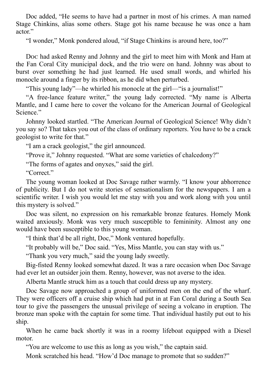Doc added, "He seems to have had a partner in most of his crimes. A man named Stage Chinkins, alias some others. Stage got his name because he was once a ham actor."

"I wonder," Monk pondered aloud, "if Stage Chinkins is around here, too?"

Doc had asked Renny and Johnny and the girl to meet him with Monk and Ham at the Fan Coral City municipal dock, and the trio were on hand. Johnny was about to burst over something he had just learned. He used small words, and whirled his monocle around a finger by its ribbon, as he did when perturbed.

"This young lady"—he whirled his monocle at the girl—"is a journalist!"

"A free-lance feature writer," the young lady corrected. "My name is Alberta Mantle, and I came here to cover the volcano for the American Journal of Geological Science<sup>"</sup>

Johnny looked startled. "The American Journal of Geological Science! Why didn't you say so? That takes you out of the class of ordinary reporters. You have to be a crack geologist to write for that."

"I am a crack geologist," the girl announced.

"Prove it," Johnny requested. "What are some varieties of chalcedony?"

"The forms of agates and onyxes," said the girl.

"Correct"

The young woman looked at Doc Savage rather warmly. "I know your abhorrence of publicity. But I do not write stories of sensationalism for the newspapers. I am a scientific writer. I wish you would let me stay with you and work along with you until this mystery is solved."

Doc was silent, no expression on his remarkable bronze features. Homely Monk waited anxiously. Monk was very much susceptible to femininity. Almost any one would have been susceptible to this young woman.

"I think that'd be all right, Doc," Monk ventured hopefully.

"It probably will be," Doc said. "Yes, Miss Mantle, you can stay with us."

"Thank you very much," said the young lady sweetly.

Big-fisted Renny looked somewhat dazed. It was a rare occasion when Doc Savage had ever let an outsider join them. Renny, however, was not averse to the idea.

Alberta Mantle struck him as a touch that could dress up any mystery.

Doc Savage now approached a group of uniformed men on the end of the wharf. They were officers off a cruise ship which had put in at Fan Coral during a South Sea tour to give the passengers the unusual privilege of seeing a volcano in eruption. The bronze man spoke with the captain for some time. That individual hastily put out to his ship.

When he came back shortly it was in a roomy lifeboat equipped with a Diesel motor.

"You are welcome to use this as long as you wish," the captain said.

Monk scratched his head. "How'd Doc manage to promote that so sudden?"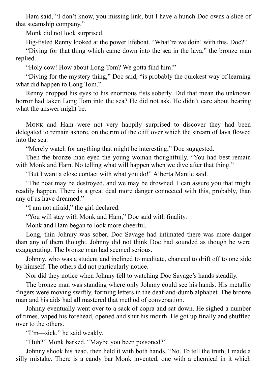Ham said, "I don't know, you missing link, but I have a hunch Doc owns a slice of that steamship company."

Monk did not look surprised.

Big-fisted Renny looked at the power lifeboat. "What're we doin' with this, Doc?"

"Diving for that thing which came down into the sea in the lava," the bronze man replied.

"Holy cow! How about Long Tom? We gotta find him!"

"Diving for the mystery thing," Doc said, "is probably the quickest way of learning what did happen to Long Tom."

Renny dropped his eyes to his enormous fists soberly. Did that mean the unknown horror had taken Long Tom into the sea? He did not ask. He didn't care about hearing what the answer might be.

MONK and Ham were not very happily surprised to discover they had been delegated to remain ashore, on the rim of the cliff over which the stream of lava flowed into the sea.

"Merely watch for anything that might be interesting," Doc suggested.

Then the bronze man eyed the young woman thoughtfully. "You had best remain with Monk and Ham. No telling what will happen when we dive after that thing."

"But I want a close contact with what you do!" Alberta Mantle said.

"The boat may be destroyed, and we may be drowned. I can assure you that might readily happen. There is a great deal more danger connected with this, probably, than any of us have dreamed."

"I am not afraid," the girl declared.

"You will stay with Monk and Ham," Doc said with finality.

Monk and Ham began to look more cheerful.

Long, thin Johnny was sober. Doc Savage had intimated there was more danger than any of them thought. Johnny did not think Doc had sounded as though he were exaggerating. The bronze man had seemed serious.

Johnny, who was a student and inclined to meditate, chanced to drift off to one side by himself. The others did not particularly notice.

Nor did they notice when Johnny fell to watching Doc Savage's hands steadily.

The bronze man was standing where only Johnny could see his hands. His metallic fingers were moving swiftly, forming letters in the deaf-and-dumb alphabet. The bronze man and his aids had all mastered that method of conversation.

Johnny eventually went over to a sack of copra and sat down. He sighed a number of times, wiped his forehead, opened and shut his mouth. He got up finally and shuffled over to the others.

"I'm—sick," he said weakly.

"Huh?" Monk barked. "Maybe you been poisoned?"

Johnny shook his head, then held it with both hands. "No. To tell the truth, I made a silly mistake. There is a candy bar Monk invented, one with a chemical in it which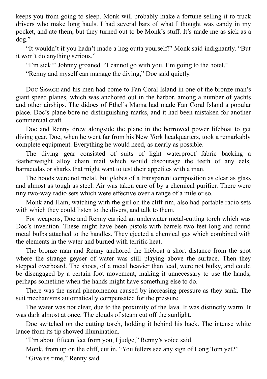keeps you from going to sleep. Monk will probably make a fortune selling it to truck drivers who make long hauls. I had several bars of what I thought was candy in my pocket, and ate them, but they turned out to be Monk's stuff. It's made me as sick as a dog."

"It wouldn't if you hadn't made a hog outta yourself!" Monk said indignantly. "But it won't do anything serious."

"I'm sick!" Johnny groaned. "I cannot go with you. I'm going to the hotel."

"Renny and myself can manage the diving," Doc said quietly.

Doc SAVAGE and his men had come to Fan Coral Island in one of the bronze man's giant speed planes, which was anchored out in the harbor, among a number of yachts and other airships. The didoes of Ethel's Mama had made Fan Coral Island a popular place. Doc's plane bore no distinguishing marks, and it had been mistaken for another commercial craft.

Doc and Renny drew alongside the plane in the borrowed power lifeboat to get diving gear. Doc, when he went far from his New York headquarters, took a remarkably complete equipment. Everything he would need, as nearly as possible.

The diving gear consisted of suits of light waterproof fabric backing a featherweight alloy chain mail which would discourage the teeth of any eels, barracudas or sharks that might want to test their appetites with a man.

The hoods were not metal, but globes of a transparent composition as clear as glass and almost as tough as steel. Air was taken care of by a chemical purifier. There were tiny two-way radio sets which were effective over a range of a mile or so.

Monk and Ham, watching with the girl on the cliff rim, also had portable radio sets with which they could listen to the divers, and talk to them.

For weapons, Doc and Renny carried an underwater metal-cutting torch which was Doc's invention. These might have been pistols with barrels two feet long and round metal bulbs attached to the handles. They ejected a chemical gas which combined with the elements in the water and burned with terrific heat.

The bronze man and Renny anchored the lifeboat a short distance from the spot where the strange geyser of water was still playing above the surface. Then they stepped overboard. The shoes, of a metal heavier than lead, were not bulky, and could be disengaged by a certain foot movement, making it unnecessary to use the hands, perhaps sometime when the hands might have something else to do.

There was the usual phenomenon caused by increasing pressure as they sank. The suit mechanisms automatically compensated for the pressure.

The water was not clear, due to the proximity of the lava. It was distinctly warm. It was dark almost at once. The clouds of steam cut off the sunlight.

Doc switched on the cutting torch, holding it behind his back. The intense white lance from its tip showed illumination.

"I'm about fifteen feet from you, I judge," Renny's voice said.

Monk, from up on the cliff, cut in, "You fellers see any sign of Long Tom yet?"

"Give us time," Renny said.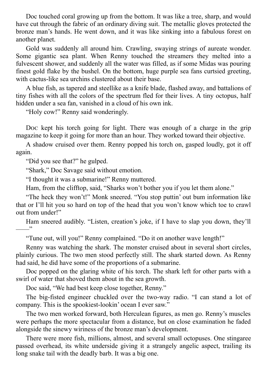Doc touched coral growing up from the bottom. It was like a tree, sharp, and would have cut through the fabric of an ordinary diving suit. The metallic gloves protected the bronze man's hands. He went down, and it was like sinking into a fabulous forest on another planet.

Gold was suddenly all around him. Crawling, swaying strings of aureate wonder. Some gigantic sea plant. When Renny touched the streamers they melted into a fulvescent shower, and suddenly all the water was filled, as if some Midas was pouring finest gold flake by the bushel. On the bottom, huge purple sea fans curtsied greeting, with cactus-like sea urchins clustered about their base.

A blue fish, as tapered and steellike as a knife blade, flashed away, and battalions of tiny fishes with all the colors of the spectrum fled for their lives. A tiny octopus, half hidden under a sea fan, vanished in a cloud of his own ink.

"Holy cow!" Renny said wonderingly.

Doc kept his torch going for light. There was enough of a charge in the grip magazine to keep it going for more than an hour. They worked toward their objective.

A shadow cruised over them. Renny popped his torch on, gasped loudly, got it off again.

"Did you see that?" he gulped.

"Shark," Doc Savage said without emotion.

"I thought it was a submarine!" Renny muttered.

Ham, from the clifftop, said, "Sharks won't bother you if you let them alone."

"The heck they won't!" Monk sneered. "You stop puttin' out bum information like that or I'll hit you so hard on top of the head that you won't know which toe to crawl out from under!"

Ham sneered audibly. "Listen, creation's joke, if I have to slap you down, they'll —<sup>"</sup>

"Tune out, will you!" Renny complained. "Do it on another wave length!"

Renny was watching the shark. The monster cruised about in several short circles, plainly curious. The two men stood perfectly still. The shark started down. As Renny had said, he did have some of the proportions of a submarine.

Doc popped on the glaring white of his torch. The shark left for other parts with a swirl of water that shoved them about in the sea growth.

Doc said, "We had best keep close together, Renny."

The big-fisted engineer chuckled over the two-way radio. "I can stand a lot of company. This is the spookiest-lookin' ocean I ever saw."

The two men worked forward, both Herculean figures, as men go. Renny's muscles were perhaps the more spectacular from a distance, but on close examination he faded alongside the sinewy wiriness of the bronze man's development.

There were more fish, millions, almost, and several small octopuses. One stingaree passed overhead, its white underside giving it a strangely angelic aspect, trailing its long snake tail with the deadly barb. It was a big one.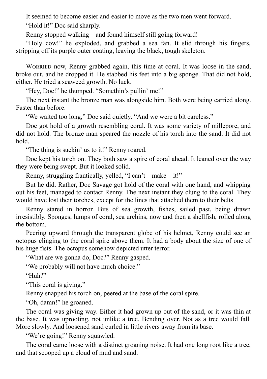It seemed to become easier and easier to move as the two men went forward.

"Hold it!" Doc said sharply.

Renny stopped walking—and found himself still going forward!

"Holy cow!" he exploded, and grabbed a sea fan. It slid through his fingers, stripping off its purple outer coating, leaving the black, tough skeleton.

WORRIED now, Renny grabbed again, this time at coral. It was loose in the sand, broke out, and he dropped it. He stabbed his feet into a big sponge. That did not hold, either. He tried a seaweed growth. No luck.

"Hey, Doc!" he thumped. "Somethin's pullin' me!"

The next instant the bronze man was alongside him. Both were being carried along. Faster than before.

"We waited too long," Doc said quietly. "And we were a bit careless."

Doc got hold of a growth resembling coral. It was some variety of millepore, and did not hold. The bronze man speared the nozzle of his torch into the sand. It did not hold.

"The thing is suckin' us to it!" Renny roared.

Doc kept his torch on. They both saw a spire of coral ahead. It leaned over the way they were being swept. But it looked solid.

Renny, struggling frantically, yelled, "I can't—make—it!"

But he did. Rather, Doc Savage got hold of the coral with one hand, and whipping out his feet, managed to contact Renny. The next instant they clung to the coral. They would have lost their torches, except for the lines that attached them to their belts.

Renny stared in horror. Bits of sea growth, fishes, sailed past, being drawn irresistibly. Sponges, lumps of coral, sea urchins, now and then a shellfish, rolled along the bottom.

Peering upward through the transparent globe of his helmet, Renny could see an octopus clinging to the coral spire above them. It had a body about the size of one of his huge fists. The octopus somehow depicted utter terror.

"What are we gonna do, Doc?" Renny gasped.

"We probably will not have much choice."

"Huh?"

"This coral is giving."

Renny snapped his torch on, peered at the base of the coral spire.

"Oh, damn!" he groaned.

The coral was giving way. Either it had grown up out of the sand, or it was thin at the base. It was uprooting, not unlike a tree. Bending over. Not as a tree would fall. More slowly. And loosened sand curled in little rivers away from its base.

"We're going!" Renny squawled.

The coral came loose with a distinct groaning noise. It had one long root like a tree, and that scooped up a cloud of mud and sand.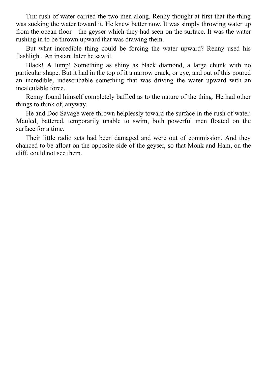THE rush of water carried the two men along. Renny thought at first that the thing was sucking the water toward it. He knew better now. It was simply throwing water up from the ocean floor—the geyser which they had seen on the surface. It was the water rushing in to be thrown upward that was drawing them.

But what incredible thing could be forcing the water upward? Renny used his flashlight. An instant later he saw it.

Black! A lump! Something as shiny as black diamond, a large chunk with no particular shape. But it had in the top of it a narrow crack, or eye, and out of this poured an incredible, indescribable something that was driving the water upward with an incalculable force.

Renny found himself completely baffled as to the nature of the thing. He had other things to think of, anyway.

He and Doc Savage were thrown helplessly toward the surface in the rush of water. Mauled, battered, temporarily unable to swim, both powerful men floated on the surface for a time.

Their little radio sets had been damaged and were out of commission. And they chanced to be afloat on the opposite side of the geyser, so that Monk and Ham, on the cliff, could not see them.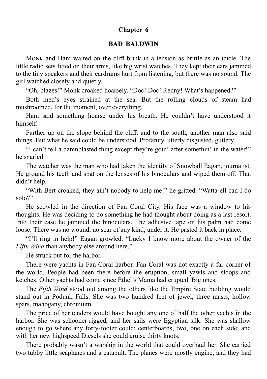## **Chapter 6**

#### **BAD BALDWIN**

MONK and Ham waited on the cliff brink in a tension as brittle as an icicle. The little radio sets fitted on their arms, like big wrist watches. They kept their ears jammed to the tiny speakers and their eardrums hurt from listening, but there was no sound. The girl watched closely and quietly.

"Oh, blazes!" Monk croaked hoarsely. "Doc! Doc! Renny! What's happened?"

Both men's eyes strained at the sea. But the rolling clouds of steam had mushroomed, for the moment, over everything.

Ham said something hoarse under his breath. He couldn't have understood it himself.

Farther up on the slope behind the cliff, and to the south, another man also said things. But what he said could be understood. Profanity, utterly disgusted, guttery.

"I can't tell a damnblasted thing except they're goin' after somethin' in the water!" he snarled.

The watcher was the man who had taken the identity of Snowball Eagan, journalist. He ground his teeth and spat on the lenses of his binoculars and wiped them off. That didn't help.

"With Bert croaked, they ain't nobody to help me!" he gritted. "Watta-ell can I do solo?"

He scowled in the direction of Fan Coral City. His face was a window to his thoughts. He was deciding to do something he had thought about doing as a last resort. Into their case he jammed the binoculars. The adhesive tape on his palm had come loose. There was no wound, no scar of any kind, under it. He pasted it back in place.

"I'll ring in help!" Eagan growled. "Lucky I know more about the owner of the *Fifth Wind* than anybody else around here."

He struck out for the harbor.

There were yachts in Fan Coral harbor. Fan Coral was not exactly a far corner of the world. People had been there before the eruption, small yawls and sloops and ketches. Other yachts had come since Ethel's Mama had erupted. Big ones.

The *Fifth Wind* stood out among the others like the Empire State building would stand out in Podunk Falls. She was two hundred feet of jewel, three masts, hollow spars, mahogany, chromium.

The price of her tenders would have bought any one of half the other yachts in the harbor. She was schooner-rigged, and her sails were Egyptian silk. She was shallow enough to go where any forty-footer could; centerboards, two, one on each side; and with her new highspeed Diesels she could cruise thirty knots.

There probably wasn't a warship in the world that could overhaul her. She carried two tubby little seaplanes and a catapult. The planes were mostly engine, and they had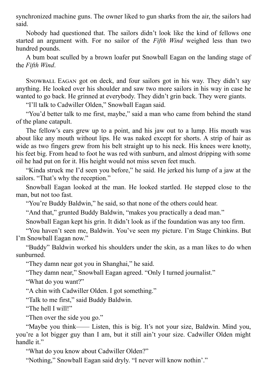synchronized machine guns. The owner liked to gun sharks from the air, the sailors had said.

Nobody had questioned that. The sailors didn't look like the kind of fellows one started an argument with. For no sailor of the *Fifth Wind* weighed less than two hundred pounds.

A bum boat sculled by a brown loafer put Snowball Eagan on the landing stage of the *Fifth Wind*.

SNOWBALL EAGAN got on deck, and four sailors got in his way. They didn't say anything. He looked over his shoulder and saw two more sailors in his way in case he wanted to go back. He grinned at everybody. They didn't grin back. They were giants.

"I'll talk to Cadwiller Olden," Snowball Eagan said.

"You'd better talk to me first, maybe," said a man who came from behind the stand of the plane catapult.

The fellow's ears grew up to a point, and his jaw out to a lump. His mouth was about like any mouth without lips. He was naked except for shorts. A strip of hair as wide as two fingers grew from his belt straight up to his neck. His knees were knotty, his feet big. From head to foot he was red with sunburn, and almost dripping with some oil he had put on for it. His height would not miss seven feet much.

"Kinda struck me I'd seen you before," he said. He jerked his lump of a jaw at the sailors. "That's why the reception."

Snowball Eagan looked at the man. He looked startled. He stepped close to the man, but not too fast.

"You're Buddy Baldwin," he said, so that none of the others could hear.

"And that," grunted Buddy Baldwin, "makes you practically a dead man."

Snowball Eagan kept his grin. It didn't look as if the foundation was any too firm.

"You haven't seen me, Baldwin. You've seen my picture. I'm Stage Chinkins. But I'm Snowball Eagan now."

"Buddy" Baldwin worked his shoulders under the skin, as a man likes to do when sunburned.

"They damn near got you in Shanghai," he said.

"They damn near," Snowball Eagan agreed. "Only I turned journalist."

"What do you want?"

"A chin with Cadwiller Olden. I got something."

"Talk to me first," said Buddy Baldwin.

"The hell I will!"

"Then over the side you go."

"Maybe you think—— Listen, this is big. It's not your size, Baldwin. Mind you, you're a lot bigger guy than I am, but it still ain't your size. Cadwiller Olden might handle it"

"What do you know about Cadwiller Olden?"

"Nothing," Snowball Eagan said dryly. "I never will know nothin'."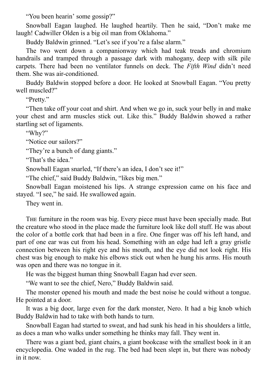"You been hearin' some gossip?"

Snowball Eagan laughed. He laughed heartily. Then he said, "Don't make me laugh! Cadwiller Olden is a big oil man from Oklahoma."

Buddy Baldwin grinned. "Let's see if you're a false alarm."

The two went down a companionway which had teak treads and chromium handrails and tramped through a passage dark with mahogany, deep with silk pile carpets. There had been no ventilator funnels on deck. The *Fifth Wind* didn't need them. She was air-conditioned.

Buddy Baldwin stopped before a door. He looked at Snowball Eagan. "You pretty well muscled?"

"Pretty."

"Then take off your coat and shirt. And when we go in, suck your belly in and make your chest and arm muscles stick out. Like this." Buddy Baldwin showed a rather startling set of ligaments.

"Why?"

"Notice our sailors?"

"They're a bunch of dang giants."

"That's the idea."

Snowball Eagan snarled, "If there's an idea, I don't see it!"

"The chief," said Buddy Baldwin, "likes big men."

Snowball Eagan moistened his lips. A strange expression came on his face and stayed. "I see," he said. He swallowed again.

They went in.

THE furniture in the room was big. Every piece must have been specially made. But the creature who stood in the place made the furniture look like doll stuff. He was about the color of a bottle cork that had been in a fire. One finger was off his left hand, and part of one ear was cut from his head. Something with an edge had left a gray gristle connection between his right eye and his mouth, and the eye did not look right. His chest was big enough to make his elbows stick out when he hung his arms. His mouth was open and there was no tongue in it.

He was the biggest human thing Snowball Eagan had ever seen.

"We want to see the chief, Nero," Buddy Baldwin said.

The monster opened his mouth and made the best noise he could without a tongue. He pointed at a door.

It was a big door, large even for the dark monster, Nero. It had a big knob which Buddy Baldwin had to take with both hands to turn.

Snowball Eagan had started to sweat, and had sunk his head in his shoulders a little, as does a man who walks under something he thinks may fall. They went in.

There was a giant bed, giant chairs, a giant bookcase with the smallest book in it an encyclopedia. One waded in the rug. The bed had been slept in, but there was nobody in it now.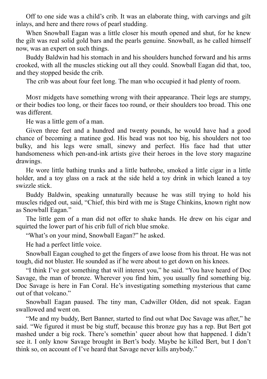Off to one side was a child's crib. It was an elaborate thing, with carvings and gilt inlays, and here and there rows of pearl studding.

When Snowball Eagan was a little closer his mouth opened and shut, for he knew the gilt was real solid gold bars and the pearls genuine. Snowball, as he called himself now, was an expert on such things.

Buddy Baldwin had his stomach in and his shoulders hunched forward and his arms crooked, with all the muscles sticking out all they could. Snowball Eagan did that, too, and they stopped beside the crib.

The crib was about four feet long. The man who occupied it had plenty of room.

Most midgets have something wrong with their appearance. Their legs are stumpy, or their bodies too long, or their faces too round, or their shoulders too broad. This one was different.

He was a little gem of a man.

Given three feet and a hundred and twenty pounds, he would have had a good chance of becoming a matinee god. His head was not too big, his shoulders not too bulky, and his legs were small, sinewy and perfect. His face had that utter handsomeness which pen-and-ink artists give their heroes in the love story magazine drawings.

He wore little bathing trunks and a little bathrobe, smoked a little cigar in a little holder, and a toy glass on a rack at the side held a toy drink in which leaned a toy swizzle stick.

Buddy Baldwin, speaking unnaturally because he was still trying to hold his muscles ridged out, said, "Chief, this bird with me is Stage Chinkins, known right now as Snowball Eagan."

The little gem of a man did not offer to shake hands. He drew on his cigar and squirted the lower part of his crib full of rich blue smoke.

"What's on your mind, Snowball Eagan?" he asked.

He had a perfect little voice.

Snowball Eagan coughed to get the fingers of awe loose from his throat. He was not tough, did not bluster. He sounded as if he were about to get down on his knees.

"I think I've got something that will interest you," he said. "You have heard of Doc Savage, the man of bronze. Wherever you find him, you usually find something big. Doc Savage is here in Fan Coral. He's investigating something mysterious that came out of that volcano."

Snowball Eagan paused. The tiny man, Cadwiller Olden, did not speak. Eagan swallowed and went on.

"Me and my buddy, Bert Banner, started to find out what Doc Savage was after," he said. "We figured it must be big stuff, because this bronze guy has a rep. But Bert got mashed under a big rock. There's somethin' queer about how that happened. I didn't see it. I only know Savage brought in Bert's body. Maybe he killed Bert, but I don't think so, on account of I've heard that Savage never kills anybody."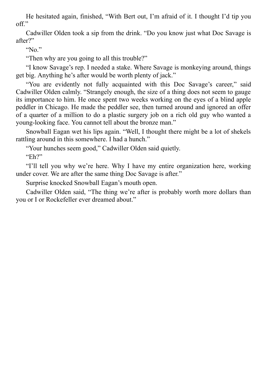He hesitated again, finished, "With Bert out, I'm afraid of it. I thought I'd tip you off."

Cadwiller Olden took a sip from the drink. "Do you know just what Doc Savage is after?"

" $No$ "

"Then why are you going to all this trouble?"

"I know Savage's rep. I needed a stake. Where Savage is monkeying around, things get big. Anything he's after would be worth plenty of jack."

"You are evidently not fully acquainted with this Doc Savage's career," said Cadwiller Olden calmly. "Strangely enough, the size of a thing does not seem to gauge its importance to him. He once spent two weeks working on the eyes of a blind apple peddler in Chicago. He made the peddler see, then turned around and ignored an offer of a quarter of a million to do a plastic surgery job on a rich old guy who wanted a young-looking face. You cannot tell about the bronze man."

Snowball Eagan wet his lips again. "Well, I thought there might be a lot of shekels rattling around in this somewhere. I had a hunch."

"Your hunches seem good," Cadwiller Olden said quietly.

"Eh?"

"I'll tell you why we're here. Why I have my entire organization here, working under cover. We are after the same thing Doc Savage is after."

Surprise knocked Snowball Eagan's mouth open.

Cadwiller Olden said, "The thing we're after is probably worth more dollars than you or I or Rockefeller ever dreamed about."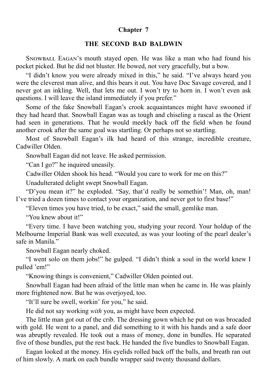#### **Chapter 7**

### **THE SECOND BAD BALDWIN**

SNOWBALL EAGAN's mouth stayed open. He was like a man who had found his pocket picked. But he did not bluster. He bowed, not very gracefully, but a bow.

"I didn't know you were already mixed in this," he said. "I've always heard you were the cleverest man alive, and this bears it out. You have Doc Savage covered, and I never got an inkling. Well, that lets me out. I won't try to horn in. I won't even ask questions. I will leave the island immediately if you prefer."

Some of the fake Snowball Eagan's crook acquaintances might have swooned if they had heard that. Snowball Eagan was as tough and chiseling a rascal as the Orient had seen in generations. That he would meekly back off the field when he found another crook after the same goal was startling. Or perhaps not so startling.

Most of Snowball Eagan's ilk had heard of this strange, incredible creature, Cadwiller Olden.

Snowball Eagan did not leave. He asked permission.

"Can I go?" he inquired uneasily.

Cadwiller Olden shook his head. "Would you care to work for me on this?"

Unadulterated delight swept Snowball Eagan.

"D'you mean it?" he exploded. "Say, that'd really be somethin'! Man, oh, man! I've tried a dozen times to contact your organization, and never got to first base!"

"Eleven times you have tried, to be exact," said the small, gemlike man.

"You knew about it!"

"Every time. I have been watching you, studying your record. Your holdup of the Melbourne Imperial Bank was well executed, as was your looting of the pearl dealer's safe in Manila."

Snowball Eagan nearly choked.

"I went solo on them jobs!" he gulped. "I didn't think a soul in the world knew I pulled 'em!"

"Knowing things is convenient," Cadwiller Olden pointed out.

Snowball Eagan had been afraid of the little man when he came in. He was plainly more frightened now. But he was overjoyed, too.

"It'll sure be swell, workin' for you," he said.

He did not say working *with* you, as might have been expected.

The little man got out of the crib. The dressing gown which he put on was brocaded with gold. He went to a panel, and did something to it with his hands and a safe door was abruptly revealed. He took out a mass of money, done in bundles. He separated five of those bundles, put the rest back. He handed the five bundles to Snowball Eagan.

Eagan looked at the money. His eyelids rolled back off the balls, and breath ran out of him slowly. A mark on each bundle wrapper said twenty thousand dollars.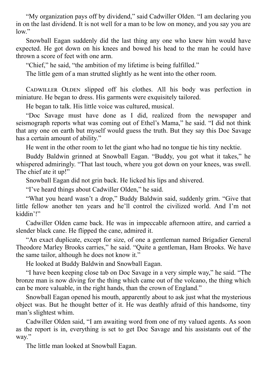"My organization pays off by dividend," said Cadwiller Olden. "I am declaring you in on the last dividend. It is not well for a man to be low on money, and you say you are low."

Snowball Eagan suddenly did the last thing any one who knew him would have expected. He got down on his knees and bowed his head to the man he could have thrown a score of feet with one arm.

"Chief," he said, "the ambition of my lifetime is being fulfilled."

The little gem of a man strutted slightly as he went into the other room.

CADWILLER OLDEN slipped off his clothes. All his body was perfection in miniature. He began to dress. His garments were exquisitely tailored.

He began to talk. His little voice was cultured, musical.

"Doc Savage must have done as I did, realized from the newspaper and seismograph reports what was coming out of Ethel's Mama," he said. "I did not think that any one on earth but myself would guess the truth. But they say this Doc Savage has a certain amount of ability."

He went in the other room to let the giant who had no tongue tie his tiny necktie.

Buddy Baldwin grinned at Snowball Eagan. "Buddy, you got what it takes," he whispered admiringly. "That last touch, where you got down on your knees, was swell. The chief ate it up!"

Snowball Eagan did not grin back. He licked his lips and shivered.

"I've heard things about Cadwiller Olden," he said.

"What you heard wasn't a drop," Buddy Baldwin said, suddenly grim. "Give that little fellow another ten years and he'll control the civilized world. And I'm not kiddin'!"

Cadwiller Olden came back. He was in impeccable afternoon attire, and carried a slender black cane. He flipped the cane, admired it.

"An exact duplicate, except for size, of one a gentleman named Brigadier General Theodore Marley Brooks carries," he said. "Quite a gentleman, Ham Brooks. We have the same tailor, although he does not know it."

He looked at Buddy Baldwin and Snowball Eagan.

"I have been keeping close tab on Doc Savage in a very simple way," he said. "The bronze man is now diving for the thing which came out of the volcano, the thing which can be more valuable, in the right hands, than the crown of England."

Snowball Eagan opened his mouth, apparently about to ask just what the mysterious object was. But he thought better of it. He was deathly afraid of this handsome, tiny man's slightest whim.

Cadwiller Olden said, "I am awaiting word from one of my valued agents. As soon as the report is in, everything is set to get Doc Savage and his assistants out of the way."

The little man looked at Snowball Eagan.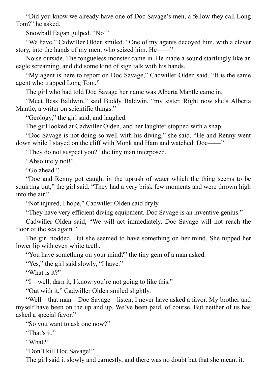"Did you know we already have one of Doc Savage's men, a fellow they call Long Tom?" he asked.

Snowball Eagan gulped. "No!"

"We have," Cadwiller Olden smiled. "One of my agents decoyed him, with a clever story, into the hands of my men, who seized him. He——"

Noise outside. The tongueless monster came in. He made a sound startlingly like an eagle screaming, and did some kind of sign talk with his hands.

"My agent is here to report on Doc Savage," Cadwiller Olden said. "It is the same agent who trapped Long Tom."

The girl who had told Doc Savage her name was Alberta Mantle came in.

"Meet Bess Baldwin," said Buddy Baldwin, "my sister. Right now she's Alberta Mantle, a writer on scientific things."

"Geology," the girl said, and laughed.

The girl looked at Cadwiller Olden, and her laughter stopped with a snap.

"Doc Savage is not doing so well with his diving," she said. "He and Renny went down while I stayed on the cliff with Monk and Ham and watched. Doc——"

"They do not suspect you?" the tiny man interposed.

"Absolutely not!"

"Go ahead"

"Doc and Renny got caught in the uprush of water which the thing seems to be squirting out," the girl said. "They had a very brisk few moments and were thrown high into the air."

"Not injured, I hope," Cadwiller Olden said dryly.

"They have very efficient diving equipment. Doc Savage is an inventive genius."

Cadwiller Olden said, "We will act immediately. Doc Savage will not reach the floor of the sea again."

The girl nodded. But she seemed to have something on her mind. She nipped her lower lip with even white teeth.

"You have something on your mind?" the tiny gem of a man asked.

"Yes," the girl said slowly, "I have."

"What is it?"

"I—well, darn it, I know you're not going to like this."

"Out with it." Cadwiller Olden smiled slightly.

"Well—that man—Doc Savage—listen, I never have asked a favor. My brother and myself have been on the up and up. We've been paid, of course. But neither of us has asked a special favor."

"So you want to ask one now?"

"That's it."

"What?"

"Don't kill Doc Savage!"

The girl said it slowly and earnestly, and there was no doubt but that she meant it.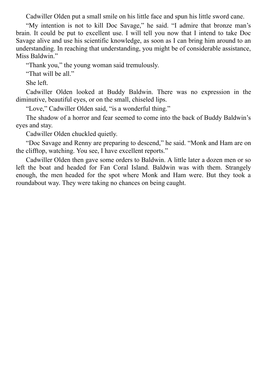Cadwiller Olden put a small smile on his little face and spun his little sword cane.

"My intention is not to kill Doc Savage," he said. "I admire that bronze man's brain. It could be put to excellent use. I will tell you now that I intend to take Doc Savage alive and use his scientific knowledge, as soon as I can bring him around to an understanding. In reaching that understanding, you might be of considerable assistance, Miss Baldwin."

"Thank you," the young woman said tremulously.

"That will be all."

She left.

Cadwiller Olden looked at Buddy Baldwin. There was no expression in the diminutive, beautiful eyes, or on the small, chiseled lips.

"Love," Cadwiller Olden said, "is a wonderful thing."

The shadow of a horror and fear seemed to come into the back of Buddy Baldwin's eyes and stay.

Cadwiller Olden chuckled quietly.

"Doc Savage and Renny are preparing to descend," he said. "Monk and Ham are on the clifftop, watching. You see, I have excellent reports."

Cadwiller Olden then gave some orders to Baldwin. A little later a dozen men or so left the boat and headed for Fan Coral Island. Baldwin was with them. Strangely enough, the men headed for the spot where Monk and Ham were. But they took a roundabout way. They were taking no chances on being caught.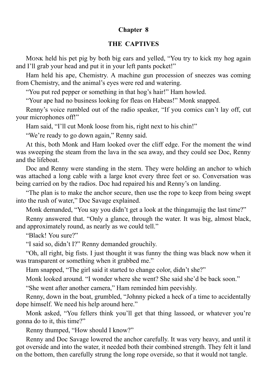### **Chapter 8**

## **THE CAPTIVES**

MONK held his pet pig by both big ears and yelled, "You try to kick my hog again and I'll grab your head and put it in your left pants pocket!"

Ham held his ape, Chemistry. A machine gun procession of sneezes was coming from Chemistry, and the animal's eyes were red and watering.

"You put red pepper or something in that hog's hair!" Ham howled.

"Your ape had no business looking for fleas on Habeas!" Monk snapped.

Renny's voice rumbled out of the radio speaker, "If you comics can't lay off, cut your microphones off!"

Ham said, "I'll cut Monk loose from his, right next to his chin!"

"We're ready to go down again," Renny said.

At this, both Monk and Ham looked over the cliff edge. For the moment the wind was sweeping the steam from the lava in the sea away, and they could see Doc, Renny and the lifeboat.

Doc and Renny were standing in the stern. They were holding an anchor to which was attached a long cable with a large knot every three feet or so. Conversation was being carried on by the radios. Doc had repaired his and Renny's on landing.

"The plan is to make the anchor secure, then use the rope to keep from being swept into the rush of water," Doc Savage explained.

Monk demanded, "You say you didn't get a look at the thingamajig the last time?"

Renny answered that. "Only a glance, through the water. It was big, almost black, and approximately round, as nearly as we could tell."

"Black! You sure?"

"I said so, didn't I?" Renny demanded grouchily.

"Oh, all right, big fists. I just thought it was funny the thing was black now when it was transparent or something when it grabbed me."

Ham snapped, "The girl said it started to change color, didn't she?"

Monk looked around. "I wonder where she went? She said she'd be back soon."

"She went after another camera," Ham reminded him peevishly.

Renny, down in the boat, grumbled, "Johnny picked a heck of a time to accidentally dope himself. We need his help around here."

Monk asked, "You fellers think you'll get that thing lassoed, or whatever you're gonna do to it, this time?"

Renny thumped, "How should I know?"

Renny and Doc Savage lowered the anchor carefully. It was very heavy, and until it got overside and into the water, it needed both their combined strength. They felt it land on the bottom, then carefully strung the long rope overside, so that it would not tangle.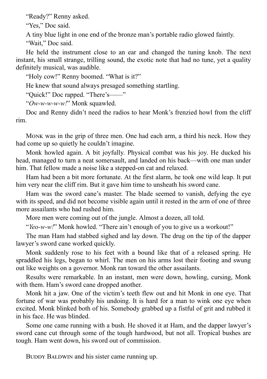"Ready?" Renny asked.

"Yes," Doc said.

A tiny blue light in one end of the bronze man's portable radio glowed faintly.

"Wait," Doc said.

He held the instrument close to an ear and changed the tuning knob. The next instant, his small strange, trilling sound, the exotic note that had no tune, yet a quality definitely musical, was audible.

"Holy cow!" Renny boomed. "What is it?"

He knew that sound always presaged something startling.

"Quick!" Doc rapped. "There's——"

"*Ow-w-w-w-w!*" Monk squawled.

Doc and Renny didn't need the radios to hear Monk's frenzied howl from the cliff rim.

MONK was in the grip of three men. One had each arm, a third his neck. How they had come up so quietly he couldn't imagine.

Monk howled again. A bit joyfully. Physical combat was his joy. He ducked his head, managed to turn a neat somersault, and landed on his back—with one man under him. That fellow made a noise like a stepped-on cat and relaxed.

Ham had been a bit more fortunate. At the first alarm, he took one wild leap. It put him very near the cliff rim. But it gave him time to unsheath his sword cane.

Ham was the sword cane's master. The blade seemed to vanish, defying the eye with its speed, and did not become visible again until it rested in the arm of one of three more assailants who had rushed him.

More men were coming out of the jungle. Almost a dozen, all told.

"*Yeo-w-w!*" Monk howled. "There ain't enough of you to give us a workout!"

The man Ham had stabbed sighed and lay down. The drug on the tip of the dapper lawyer's sword cane worked quickly.

Monk suddenly rose to his feet with a bound like that of a released spring. He spraddled his legs, began to whirl. The men on his arms lost their footing and swung out like weights on a governor. Monk ran toward the other assailants.

Results were remarkable. In an instant, men were down, howling, cursing, Monk with them. Ham's sword cane dropped another.

Monk hit a jaw. One of the victim's teeth flew out and hit Monk in one eye. That fortune of war was probably his undoing. It is hard for a man to wink one eye when excited. Monk blinked both of his. Somebody grabbed up a fistful of grit and rubbed it in his face. He was blinded.

Some one came running with a bush. He shoved it at Ham, and the dapper lawyer's sword cane cut through some of the tough hardwood, but not all. Tropical bushes are tough. Ham went down, his sword out of commission.

BUDDY BALDWIN and his sister came running up.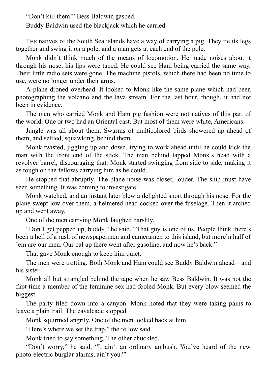"Don't kill them!" Bess Baldwin gasped.

Buddy Baldwin used the blackjack which he carried.

THE natives of the South Sea islands have a way of carrying a pig. They tie its legs together and swing it on a pole, and a man gets at each end of the pole.

Monk didn't think much of the means of locomotion. He made noises about it through his nose; his lips were taped. He could see Ham being carried the same way. Their little radio sets were gone. The machine pistols, which there had been no time to use, were no longer under their arms.

A plane droned overhead. It looked to Monk like the same plane which had been photographing the volcano and the lava stream. For the last hour, though, it had not been in evidence.

The men who carried Monk and Ham pig fashion were not natives of this part of the world. One or two had an Oriental cast. But most of them were white, Americans.

Jungle was all about them. Swarms of multicolored birds showered up ahead of them, and settled, squawking, behind them.

Monk twisted, jiggling up and down, trying to work ahead until he could kick the man with the front end of the stick. The man behind tapped Monk's head with a revolver barrel, discouraging that. Monk started swinging from side to side, making it as tough on the fellows carrying him as he could.

He stopped that abruptly. The plane noise was closer, louder. The ship must have seen something. It was coming to investigate!

Monk watched, and an instant later blew a delighted snort through his nose. For the plane swept low over them, a helmeted head cocked over the fuselage. Then it arched up and went away.

One of the men carrying Monk laughed harshly.

"Don't get pepped up, buddy," he said. "That guy is one of us. People think there's been a hell of a rush of newspapermen and cameramen to this island, but more'n half of 'em are our men. Our pal up there went after gasoline, and now he's back."

That gave Monk enough to keep him quiet.

The men were trotting. Both Monk and Ham could see Buddy Baldwin ahead—and his sister.

Monk all but strangled behind the tape when he saw Bess Baldwin. It was not the first time a member of the feminine sex had fooled Monk. But every blow seemed the biggest.

The party filed down into a canyon. Monk noted that they were taking pains to leave a plain trail. The cavalcade stopped.

Monk squirmed angrily. One of the men looked back at him.

"Here's where we set the trap," the fellow said.

Monk tried to say something. The other chuckled.

"Don't worry," he said. "It ain't an ordinary ambush. You've heard of the new photo-electric burglar alarms, ain't you?"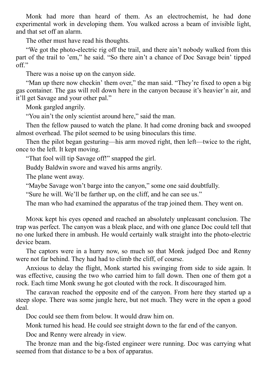Monk had more than heard of them. As an electrochemist, he had done experimental work in developing them. You walked across a beam of invisible light, and that set off an alarm.

The other must have read his thoughts.

"We got the photo-electric rig off the trail, and there ain't nobody walked from this part of the trail to 'em," he said. "So there ain't a chance of Doc Savage bein' tipped off."

There was a noise up on the canyon side.

"Man up there now checkin' them over," the man said. "They're fixed to open a big gas container. The gas will roll down here in the canyon because it's heavier'n air, and it'll get Savage and your other pal."

Monk gargled angrily.

"You ain't the only scientist around here," said the man.

Then the fellow paused to watch the plane. It had come droning back and swooped almost overhead. The pilot seemed to be using binoculars this time.

Then the pilot began gesturing—his arm moved right, then left—twice to the right, once to the left. It kept moving.

"That fool will tip Savage off!" snapped the girl.

Buddy Baldwin swore and waved his arms angrily.

The plane went away.

"Maybe Savage won't barge into the canyon," some one said doubtfully.

"Sure he will. We'll be farther up, on the cliff, and he can see us."

The man who had examined the apparatus of the trap joined them. They went on.

MONK kept his eyes opened and reached an absolutely unpleasant conclusion. The trap was perfect. The canyon was a bleak place, and with one glance Doc could tell that no one lurked there in ambush. He would certainly walk straight into the photo-electric device beam.

The captors were in a hurry now, so much so that Monk judged Doc and Renny were not far behind. They had had to climb the cliff, of course.

Anxious to delay the flight, Monk started his swinging from side to side again. It was effective, causing the two who carried him to fall down. Then one of them got a rock. Each time Monk swung he got clouted with the rock. It discouraged him.

The caravan reached the opposite end of the canyon. From here they started up a steep slope. There was some jungle here, but not much. They were in the open a good deal.

Doc could see them from below. It would draw him on.

Monk turned his head. He could see straight down to the far end of the canyon.

Doc and Renny were already in view.

The bronze man and the big-fisted engineer were running. Doc was carrying what seemed from that distance to be a box of apparatus.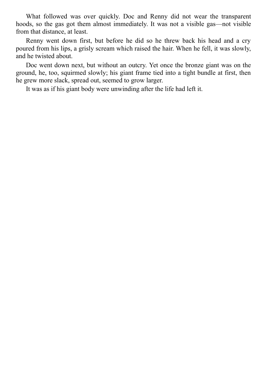What followed was over quickly. Doc and Renny did not wear the transparent hoods, so the gas got them almost immediately. It was not a visible gas—not visible from that distance, at least.

Renny went down first, but before he did so he threw back his head and a cry poured from his lips, a grisly scream which raised the hair. When he fell, it was slowly, and he twisted about.

Doc went down next, but without an outcry. Yet once the bronze giant was on the ground, he, too, squirmed slowly; his giant frame tied into a tight bundle at first, then he grew more slack, spread out, seemed to grow larger.

It was as if his giant body were unwinding after the life had left it.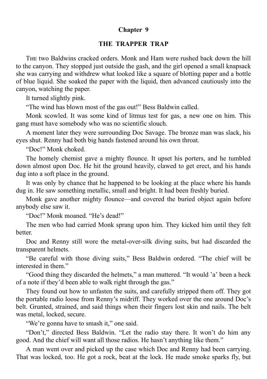# **Chapter 9**

## **THE TRAPPER TRAP**

THE two Baldwins cracked orders. Monk and Ham were rushed back down the hill to the canyon. They stopped just outside the gash, and the girl opened a small knapsack she was carrying and withdrew what looked like a square of blotting paper and a bottle of blue liquid. She soaked the paper with the liquid, then advanced cautiously into the canyon, watching the paper.

It turned slightly pink.

"The wind has blown most of the gas out!" Bess Baldwin called.

Monk scowled. It was some kind of litmus test for gas, a new one on him. This gang must have somebody who was no scientific slouch.

A moment later they were surrounding Doc Savage. The bronze man was slack, his eyes shut. Renny had both big hands fastened around his own throat.

"Doc!" Monk choked.

The homely chemist gave a mighty flounce. It upset his porters, and he tumbled down almost upon Doc. He hit the ground heavily, clawed to get erect, and his hands dug into a soft place in the ground.

It was only by chance that he happened to be looking at the place where his hands dug in. He saw something metallic, small and bright. It had been freshly buried.

Monk gave another mighty flounce—and covered the buried object again before anybody else saw it.

"Doc!" Monk moaned. "He's dead!"

The men who had carried Monk sprang upon him. They kicked him until they felt better.

Doc and Renny still wore the metal-over-silk diving suits, but had discarded the transparent helmets.

"Be careful with those diving suits," Bess Baldwin ordered. "The chief will be interested in them."

"Good thing they discarded the helmets," a man muttered. "It would 'a' been a heck of a note if they'd been able to walk right through the gas."

They found out how to unfasten the suits, and carefully stripped them off. They got the portable radio loose from Renny's midriff. They worked over the one around Doc's belt. Grunted, strained, and said things when their fingers lost skin and nails. The belt was metal, locked, secure.

"We're gonna have to smash it," one said.

"Don't," directed Bess Baldwin. "Let the radio stay there. It won't do him any good. And the chief will want all those radios. He hasn't anything like them."

A man went over and picked up the case which Doc and Renny had been carrying. That was locked, too. He got a rock, beat at the lock. He made smoke sparks fly, but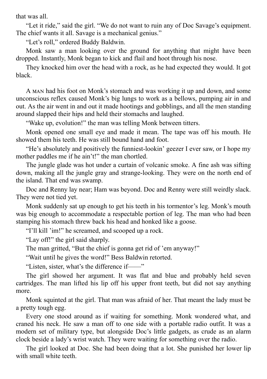that was all.

"Let it ride," said the girl. "We do not want to ruin any of Doc Savage's equipment. The chief wants it all. Savage is a mechanical genius."

"Let's roll," ordered Buddy Baldwin.

Monk saw a man looking over the ground for anything that might have been dropped. Instantly, Monk began to kick and flail and hoot through his nose.

They knocked him over the head with a rock, as he had expected they would. It got black.

A MAN had his foot on Monk's stomach and was working it up and down, and some unconscious reflex caused Monk's big lungs to work as a bellows, pumping air in and out. As the air went in and out it made hootings and gobblings, and all the men standing around slapped their hips and held their stomachs and laughed.

"Wake up, evolution!" the man was telling Monk between titters.

Monk opened one small eye and made it mean. The tape was off his mouth. He showed them his teeth. He was still bound hand and foot.

"He's absolutely and positively the funniest-lookin' geezer I ever saw, or I hope my mother paddles me if he ain't!" the man chortled.

The jungle glade was hot under a curtain of volcanic smoke. A fine ash was sifting down, making all the jungle gray and strange-looking. They were on the north end of the island. That end was swamp.

Doc and Renny lay near; Ham was beyond. Doc and Renny were still weirdly slack. They were not tied yet.

Monk suddenly sat up enough to get his teeth in his tormentor's leg. Monk's mouth was big enough to accommodate a respectable portion of leg. The man who had been stamping his stomach threw back his head and honked like a goose.

"I'll kill 'im!" he screamed, and scooped up a rock.

"Lay off!" the girl said sharply.

The man gritted, "But the chief is gonna get rid of 'em anyway!"

"Wait until he gives the word!" Bess Baldwin retorted.

"Listen, sister, what's the difference if——"

The girl showed her argument. It was flat and blue and probably held seven cartridges. The man lifted his lip off his upper front teeth, but did not say anything more.

Monk squinted at the girl. That man was afraid of her. That meant the lady must be a pretty tough egg.

Every one stood around as if waiting for something. Monk wondered what, and craned his neck. He saw a man off to one side with a portable radio outfit. It was a modern set of military type, but alongside Doc's little gadgets, as crude as an alarm clock beside a lady's wrist watch. They were waiting for something over the radio.

The girl looked at Doc. She had been doing that a lot. She punished her lower lip with small white teeth.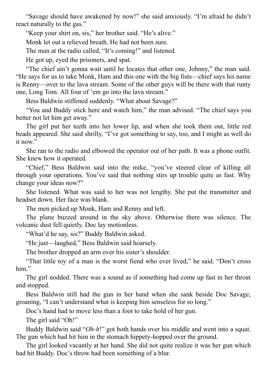"Savage should have awakened by now!" she said anxiously. "I'm afraid he didn't react naturally to the gas."

"Keep your shirt on, sis," her brother said. "He's alive."

Monk let out a relieved breath. He had not been sure.

The man at the radio called, "It's coming!" and listened.

He got up, eyed the prisoners, and spat.

"The chief ain't gonna wait until he locates that other one, Johnny," the man said. "He says for us to take Monk, Ham and this one with the big fists—chief says his name is Renny—over to the lava stream. Some of the other guys will be there with that runty one, Long Tom. All four of 'em go into the lava stream."

Bess Baldwin stiffened suddenly. "What about Savage?"

"You and Buddy stick here and watch him," the man advised. "The chief says you better not let him get away."

The girl put her teeth into her lower lip, and when she took them out, little red beads appeared. She said shrilly, "I've got something to say, too, and I might as well do it now"

She ran to the radio and elbowed the operator out of her path. It was a phone outfit. She knew how it operated.

"Chief," Bess Baldwin said into the mike, "you've steered clear of killing all through your operations. You've said that nothing stirs up trouble quite as fast. Why change your ideas now?"

She listened. What was said to her was not lengthy. She put the transmitter and headset down. Her face was blank.

The men picked up Monk, Ham and Renny and left.

The plane buzzed around in the sky above. Otherwise there was silence. The volcanic dust fell quietly. Doc lay motionless.

"What'd he say, sis?" Buddy Baldwin asked.

"He just—laughed," Bess Baldwin said hoarsely.

The brother dropped an arm over his sister's shoulder.

"That little toy of a man is the worst fiend who ever lived," he said. "Don't cross him."

The girl nodded. There was a sound as if something had come up fast in her throat and stopped.

Bess Baldwin still had the gun in her hand when she sank beside Doc Savage, groaning, "I can't understand what is keeping him senseless for so long."

Doc's hand had to move less than a foot to take hold of her gun.

The girl said "Oh!"

Buddy Baldwin said "*Oh-h*!" got both hands over his middle and went into a squat. The gun which had hit him in the stomach hippety-hopped over the ground.

The girl looked vacantly at her hand. She did not quite realize it was her gun which had hit Buddy. Doc's throw had been something of a blur.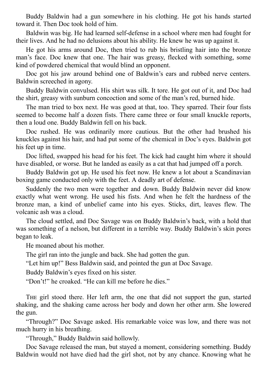Buddy Baldwin had a gun somewhere in his clothing. He got his hands started toward it. Then Doc took hold of him.

Baldwin was big. He had learned self-defense in a school where men had fought for their lives. And he had no delusions about his ability. He knew he was up against it.

He got his arms around Doc, then tried to rub his bristling hair into the bronze man's face. Doc knew that one. The hair was greasy, flecked with something, some kind of powdered chemical that would blind an opponent.

Doc got his jaw around behind one of Baldwin's ears and rubbed nerve centers. Baldwin screeched in agony.

Buddy Baldwin convulsed. His shirt was silk. It tore. He got out of it, and Doc had the shirt, greasy with sunburn concoction and some of the man's red, burned hide.

The man tried to box next. He was good at that, too. They sparred. Their four fists seemed to become half a dozen fists. There came three or four small knuckle reports, then a loud one. Buddy Baldwin fell on his back.

Doc rushed. He was ordinarily more cautious. But the other had brushed his knuckles against his hair, and had put some of the chemical in Doc's eyes. Baldwin got his feet up in time.

Doc lifted, swapped his head for his feet. The kick had caught him where it should have disabled, or worse. But he landed as easily as a cat that had jumped off a porch.

Buddy Baldwin got up. He used his feet now. He knew a lot about a Scandinavian boxing game conducted only with the feet. A deadly art of defense.

Suddenly the two men were together and down. Buddy Baldwin never did know exactly what went wrong. He used his fists. And when he felt the hardness of the bronze man, a kind of unbelief came into his eyes. Sticks, dirt, leaves flew. The volcanic ash was a cloud.

The cloud settled, and Doc Savage was on Buddy Baldwin's back, with a hold that was something of a nelson, but different in a terrible way. Buddy Baldwin's skin pores began to leak.

He moaned about his mother.

The girl ran into the jungle and back. She had gotten the gun.

"Let him up!" Bess Baldwin said, and pointed the gun at Doc Savage.

Buddy Baldwin's eyes fixed on his sister.

"Don't!" he croaked. "He can kill me before he dies."

THE girl stood there. Her left arm, the one that did not support the gun, started shaking, and the shaking came across her body and down her other arm. She lowered the gun.

"Through?" Doc Savage asked. His remarkable voice was low, and there was not much hurry in his breathing.

"Through," Buddy Baldwin said hollowly.

Doc Savage released the man, but stayed a moment, considering something. Buddy Baldwin would not have died had the girl shot, not by any chance. Knowing what he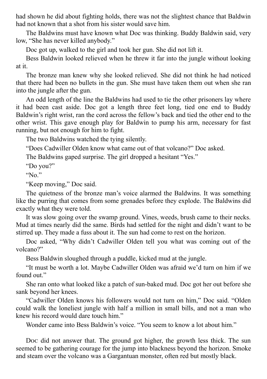had shown he did about fighting holds, there was not the slightest chance that Baldwin had not known that a shot from his sister would save him.

The Baldwins must have known what Doc was thinking. Buddy Baldwin said, very low, "She has never killed anybody."

Doc got up, walked to the girl and took her gun. She did not lift it.

Bess Baldwin looked relieved when he threw it far into the jungle without looking at it.

The bronze man knew why she looked relieved. She did not think he had noticed that there had been no bullets in the gun. She must have taken them out when she ran into the jungle after the gun.

An odd length of the line the Baldwins had used to tie the other prisoners lay where it had been cast aside. Doc got a length three feet long, tied one end to Buddy Baldwin's right wrist, ran the cord across the fellow's back and tied the other end to the other wrist. This gave enough play for Baldwin to pump his arm, necessary for fast running, but not enough for him to fight.

The two Baldwins watched the tying silently.

"Does Cadwiller Olden know what came out of that volcano?" Doc asked.

The Baldwins gaped surprise. The girl dropped a hesitant "Yes."

"Do you?"

" $N_0$ "

"Keep moving," Doc said.

The quietness of the bronze man's voice alarmed the Baldwins. It was something like the purring that comes from some grenades before they explode. The Baldwins did exactly what they were told.

It was slow going over the swamp ground. Vines, weeds, brush came to their necks. Mud at times nearly did the same. Birds had settled for the night and didn't want to be stirred up. They made a fuss about it. The sun had come to rest on the horizon.

Doc asked, "Why didn't Cadwiller Olden tell you what was coming out of the volcano?"

Bess Baldwin sloughed through a puddle, kicked mud at the jungle.

"It must be worth a lot. Maybe Cadwiller Olden was afraid we'd turn on him if we found out."

She ran onto what looked like a patch of sun-baked mud. Doc got her out before she sank beyond her knees.

"Cadwiller Olden knows his followers would not turn on him," Doc said. "Olden could walk the loneliest jungle with half a million in small bills, and not a man who knew his record would dare touch him."

Wonder came into Bess Baldwin's voice. "You seem to know a lot about him."

Doc did not answer that. The ground got higher, the growth less thick. The sun seemed to be gathering courage for the jump into blackness beyond the horizon. Smoke and steam over the volcano was a Gargantuan monster, often red but mostly black.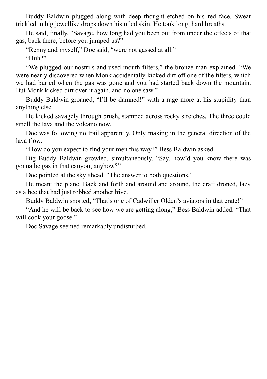Buddy Baldwin plugged along with deep thought etched on his red face. Sweat trickled in big jewellike drops down his oiled skin. He took long, hard breaths.

He said, finally, "Savage, how long had you been out from under the effects of that gas, back there, before you jumped us?"

"Renny and myself," Doc said, "were not gassed at all."

"Huh?"

"We plugged our nostrils and used mouth filters," the bronze man explained. "We were nearly discovered when Monk accidentally kicked dirt off one of the filters, which we had buried when the gas was gone and you had started back down the mountain. But Monk kicked dirt over it again, and no one saw."

Buddy Baldwin groaned, "I'll be damned!" with a rage more at his stupidity than anything else.

He kicked savagely through brush, stamped across rocky stretches. The three could smell the lava and the volcano now.

Doc was following no trail apparently. Only making in the general direction of the lava flow.

"How do you expect to find your men this way?" Bess Baldwin asked.

Big Buddy Baldwin growled, simultaneously, "Say, how'd you know there was gonna be gas in that canyon, anyhow?"

Doc pointed at the sky ahead. "The answer to both questions."

He meant the plane. Back and forth and around and around, the craft droned, lazy as a bee that had just robbed another hive.

Buddy Baldwin snorted, "That's one of Cadwiller Olden's aviators in that crate!"

"And he will be back to see how we are getting along," Bess Baldwin added. "That will cook your goose."

Doc Savage seemed remarkably undisturbed.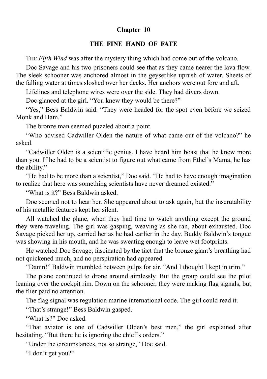## **Chapter 10**

## **THE FINE HAND OF FATE**

THE *Fifth Wind* was after the mystery thing which had come out of the volcano.

Doc Savage and his two prisoners could see that as they came nearer the lava flow. The sleek schooner was anchored almost in the geyserlike uprush of water. Sheets of the falling water at times sloshed over her decks. Her anchors were out fore and aft.

Lifelines and telephone wires were over the side. They had divers down.

Doc glanced at the girl. "You knew they would be there?"

"Yes," Bess Baldwin said. "They were headed for the spot even before we seized Monk and Ham."

The bronze man seemed puzzled about a point.

"Who advised Cadwiller Olden the nature of what came out of the volcano?" he asked.

"Cadwiller Olden is a scientific genius. I have heard him boast that he knew more than you. If he had to be a scientist to figure out what came from Ethel's Mama, he has the ability."

"He had to be more than a scientist," Doc said. "He had to have enough imagination to realize that here was something scientists have never dreamed existed."

"What is it?" Bess Baldwin asked.

Doc seemed not to hear her. She appeared about to ask again, but the inscrutability of his metallic features kept her silent.

All watched the plane, when they had time to watch anything except the ground they were traveling. The girl was gasping, weaving as she ran, about exhausted. Doc Savage picked her up, carried her as he had earlier in the day. Buddy Baldwin's tongue was showing in his mouth, and he was sweating enough to leave wet footprints.

He watched Doc Savage, fascinated by the fact that the bronze giant's breathing had not quickened much, and no perspiration had appeared.

"Damn!" Baldwin mumbled between gulps for air. "And I thought I kept in trim."

The plane continued to drone around aimlessly. But the group could see the pilot leaning over the cockpit rim. Down on the schooner, they were making flag signals, but the flier paid no attention.

The flag signal was regulation marine international code. The girl could read it.

"That's strange!" Bess Baldwin gasped.

"What is?" Doc asked.

"That aviator is one of Cadwiller Olden's best men," the girl explained after hesitating. "But there he is ignoring the chief's orders."

"Under the circumstances, not so strange," Doc said.

"I don't get you?"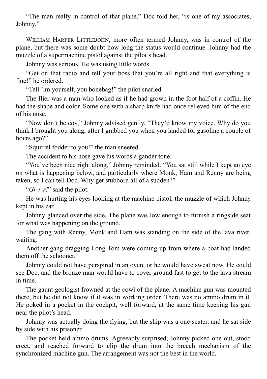"The man really in control of that plane," Doc told her, "is one of my associates, Johnny."

WILLIAM HARPER LITTLEJOHN, more often termed Johnny, was in control of the plane, but there was some doubt how long the status would continue. Johnny had the muzzle of a supermachine pistol against the pilot's head.

Johnny was serious. He was using little words.

"Get on that radio and tell your boss that you're all right and that everything is fine!" he ordered.

"Tell 'im yourself, you bonebag!" the pilot snarled.

The flier was a man who looked as if he had grown in the foot half of a coffin. He had the shape and color. Some one with a sharp knife had once relieved him of the end of his nose.

"Now don't be coy," Johnny advised gently. "They'd know my voice. Why do you think I brought you along, after I grabbed you when you landed for gasoline a couple of hours ago?"

"Squirrel fodder to you!" the man sneered.

The accident to his nose gave his words a gander tone.

"You've been nice right along," Johnny reminded. "You sat still while I kept an eye on what is happening below, and particularly where Monk, Ham and Renny are being taken, so I can tell Doc. Why get stubborn all of a sudden?"

"*Gr-r-r!*" said the pilot.

He was hurting his eyes looking at the machine pistol, the muzzle of which Johnny kept in his ear.

Johnny glanced over the side. The plane was low enough to furnish a ringside seat for what was happening on the ground.

The gang with Renny, Monk and Ham was standing on the side of the lava river, waiting.

Another gang dragging Long Tom were coming up from where a boat had landed them off the schooner.

Johnny could not have perspired in an oven, or he would have sweat now. He could see Doc, and the bronze man would have to cover ground fast to get to the lava stream in time.

The gaunt geologist frowned at the cowl of the plane. A machine gun was mounted there, but he did not know if it was in working order. There was no ammo drum in it. He poked in a pocket in the cockpit, well forward, at the same time keeping his gun near the pilot's head.

Johnny was actually doing the flying, but the ship was a one-seater, and he sat side by side with his prisoner.

The pocket held ammo drums. Agreeably surprised, Johnny picked one out, stood erect, and reached forward to clip the drum into the breech mechanism of the synchronized machine gun. The arrangement was not the best in the world.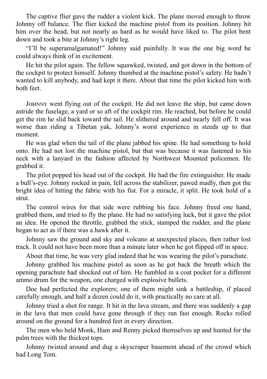The captive flier gave the rudder a violent kick. The plane moved enough to throw Johnny off balance. The flier kicked the machine pistol from its position. Johnny hit him over the head, but not nearly as hard as he would have liked to. The pilot bent down and took a bite at Johnny's right leg.

"I'll be superamalgamated!" Johnny said painfully. It was the one big word he could always think of in excitement.

He hit the pilot again. The fellow squawked, twisted, and got down in the bottom of the cockpit to protect himself. Johnny thumbed at the machine pistol's safety. He hadn't wanted to kill anybody, and had kept it there. About that time the pilot kicked him with both feet.

JOHNNY went flying out of the cockpit. He did not leave the ship, but came down astride the fuselage, a yard or so aft of the cockpit rim. He reached, but before he could get the rim he slid back toward the tail. He slithered around and nearly fell off. It was worse than riding a Tibetan yak, Johnny's worst experience in steeds up to that moment.

He was glad when the tail of the plane jabbed his spine. He had something to hold onto. He had not lost the machine pistol, but that was because it was fastened to his neck with a lanyard in the fashion affected by Northwest Mounted policemen. He grabbed it.

The pilot popped his head out of the cockpit. He had the fire extinguisher. He made a bull's-eye. Johnny rocked in pain, fell across the stabilizer, pawed madly, then got the bright idea of hitting the fabric with his fist. For a miracle, it split. He took hold of a strut.

The control wires for that side were rubbing his face. Johnny freed one hand, grabbed them, and tried to fly the plane. He had no satisfying luck, but it gave the pilot an idea. He opened the throttle, grabbed the stick, stamped the rudder, and the plane began to act as if there was a hawk after it.

Johnny saw the ground and sky and volcano at unexpected places, then rather lost track. It could not have been more than a minute later when he got flipped off in space.

About that time, he was very glad indeed that he was wearing the pilot's parachute.

Johnny grabbed his machine pistol as soon as he got back the breath which the opening parachute had shocked out of him. He fumbled in a coat pocket for a different ammo drum for the weapon, one charged with explosive bullets.

Doc had perfected the explorers; one of them might sink a battleship, if placed carefully enough, and half a dozen could do it, with practically no care at all.

Johnny tried a shot for range. It hit in the lava stream, and there was suddenly a gap in the lava that men could have gone through if they ran fast enough. Rocks rolled around on the ground for a hundred feet in every direction.

The men who held Monk, Ham and Renny picked themselves up and hunted for the palm trees with the thickest tops.

Johnny twisted around and dug a skyscraper basement ahead of the crowd which had Long Tom.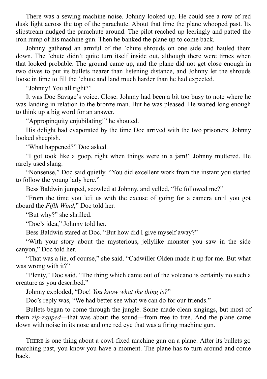There was a sewing-machine noise. Johnny looked up. He could see a row of red dusk light across the top of the parachute. About that time the plane whooped past. Its slipstream nudged the parachute around. The pilot reached up leeringly and patted the iron rump of his machine gun. Then he banked the plane up to come back.

Johnny gathered an armful of the 'chute shrouds on one side and hauled them down. The 'chute didn't quite turn itself inside out, although there were times when that looked probable. The ground came up, and the plane did not get close enough in two dives to put its bullets nearer than listening distance, and Johnny let the shrouds loose in time to fill the 'chute and land much harder than he had expected.

"Johnny! You all right?"

It was Doc Savage's voice. Close. Johnny had been a bit too busy to note where he was landing in relation to the bronze man. But he was pleased. He waited long enough to think up a big word for an answer.

"Appropinquity enjubilating!" he shouted.

His delight had evaporated by the time Doc arrived with the two prisoners. Johnny looked sheepish.

"What happened?" Doc asked.

"I got took like a goop, right when things were in a jam!" Johnny muttered. He rarely used slang.

"Nonsense," Doc said quietly. "You did excellent work from the instant you started to follow the young lady here."

Bess Baldwin jumped, scowled at Johnny, and yelled, "He followed me?"

"From the time you left us with the excuse of going for a camera until you got aboard the *Fifth Wind*," Doc told her.

"But why?" she shrilled.

"Doc's idea," Johnny told her.

Bess Baldwin stared at Doc. "But how did I give myself away?"

"With your story about the mysterious, jellylike monster you saw in the side canyon," Doc told her.

"That was a lie, of course," she said. "Cadwiller Olden made it up for me. But what was wrong with it?"

"Plenty," Doc said. "The thing which came out of the volcano is certainly no such a creature as you described."

Johnny exploded, "Doc! *You know what the thing is?*"

Doc's reply was, "We had better see what we can do for our friends."

Bullets began to come through the jungle. Some made clean singings, but most of them *zip-zapped*—that was about the sound—from tree to tree. And the plane came down with noise in its nose and one red eye that was a firing machine gun.

THERE is one thing about a cowl-fixed machine gun on a plane. After its bullets go marching past, you know you have a moment. The plane has to turn around and come back.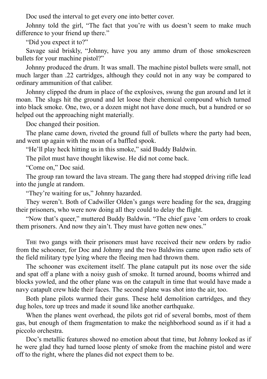Doc used the interval to get every one into better cover.

Johnny told the girl, "The fact that you're with us doesn't seem to make much difference to your friend up there."

"Did you expect it to?"

Savage said briskly, "Johnny, have you any ammo drum of those smokescreen bullets for your machine pistol?"

Johnny produced the drum. It was small. The machine pistol bullets were small, not much larger than .22 cartridges, although they could not in any way be compared to ordinary ammunition of that caliber.

Johnny clipped the drum in place of the explosives, swung the gun around and let it moan. The slugs hit the ground and let loose their chemical compound which turned into black smoke. One, two, or a dozen might not have done much, but a hundred or so helped out the approaching night materially.

Doc changed their position.

The plane came down, riveted the ground full of bullets where the party had been, and went up again with the moan of a baffled spook.

"He'll play heck hitting us in this smoke," said Buddy Baldwin.

The pilot must have thought likewise. He did not come back.

"Come on," Doc said.

The group ran toward the lava stream. The gang there had stopped driving rifle lead into the jungle at random.

"They're waiting for us," Johnny hazarded.

They weren't. Both of Cadwiller Olden's gangs were heading for the sea, dragging their prisoners, who were now doing all they could to delay the flight.

"Now that's queer," muttered Buddy Baldwin. "The chief gave 'em orders to croak them prisoners. And now they ain't. They must have gotten new ones."

THE two gangs with their prisoners must have received their new orders by radio from the schooner, for Doc and Johnny and the two Baldwins came upon radio sets of the field military type lying where the fleeing men had thrown them.

The schooner was excitement itself. The plane catapult put its nose over the side and spat off a plane with a noisy gush of smoke. It turned around, booms whirred and blocks yowled, and the other plane was on the catapult in time that would have made a navy catapult crew hide their faces. The second plane was shot into the air, too.

Both plane pilots warmed their guns. These held demolition cartridges, and they dug holes, tore up trees and made it sound like another earthquake.

When the planes went overhead, the pilots got rid of several bombs, most of them gas, but enough of them fragmentation to make the neighborhood sound as if it had a piccolo orchestra.

Doc's metallic features showed no emotion about that time, but Johnny looked as if he were glad they had turned loose plenty of smoke from the machine pistol and were off to the right, where the planes did not expect them to be.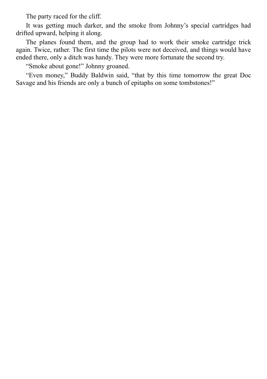The party raced for the cliff.

It was getting much darker, and the smoke from Johnny's special cartridges had drifted upward, helping it along.

The planes found them, and the group had to work their smoke cartridge trick again. Twice, rather. The first time the pilots were not deceived, and things would have ended there, only a ditch was handy. They were more fortunate the second try.

"Smoke about gone!" Johnny groaned.

"Even money," Buddy Baldwin said, "that by this time tomorrow the great Doc Savage and his friends are only a bunch of epitaphs on some tombstones!"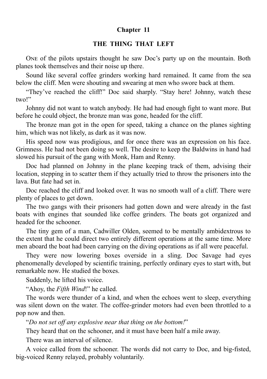## **Chapter 11**

## **THE THING THAT LEFT**

ONE of the pilots upstairs thought he saw Doc's party up on the mountain. Both planes took themselves and their noise up there.

Sound like several coffee grinders working hard remained. It came from the sea below the cliff. Men were shouting and swearing at men who swore back at them.

"They've reached the cliff!" Doc said sharply. "Stay here! Johnny, watch these two!"

Johnny did not want to watch anybody. He had had enough fight to want more. But before he could object, the bronze man was gone, headed for the cliff.

The bronze man got in the open for speed, taking a chance on the planes sighting him, which was not likely, as dark as it was now.

His speed now was prodigious, and for once there was an expression on his face. Grimness. He had not been doing so well. The desire to keep the Baldwins in hand had slowed his pursuit of the gang with Monk, Ham and Renny.

Doc had planned on Johnny in the plane keeping track of them, advising their location, stepping in to scatter them if they actually tried to throw the prisoners into the lava. But fate had set in.

Doc reached the cliff and looked over. It was no smooth wall of a cliff. There were plenty of places to get down.

The two gangs with their prisoners had gotten down and were already in the fast boats with engines that sounded like coffee grinders. The boats got organized and headed for the schooner.

The tiny gem of a man, Cadwiller Olden, seemed to be mentally ambidextrous to the extent that he could direct two entirely different operations at the same time. More men aboard the boat had been carrying on the diving operations as if all were peaceful.

They were now lowering boxes overside in a sling. Doc Savage had eyes phenomenally developed by scientific training, perfectly ordinary eyes to start with, but remarkable now. He studied the boxes.

Suddenly, he lifted his voice.

"Ahoy, the *Fifth Wind*!" he called.

The words were thunder of a kind, and when the echoes went to sleep, everything was silent down on the water. The coffee-grinder motors had even been throttled to a pop now and then.

"*Do not set off any explosive near that thing on the bottom!*"

They heard that on the schooner, and it must have been half a mile away.

There was an interval of silence.

A voice called from the schooner. The words did not carry to Doc, and big-fisted, big-voiced Renny relayed, probably voluntarily.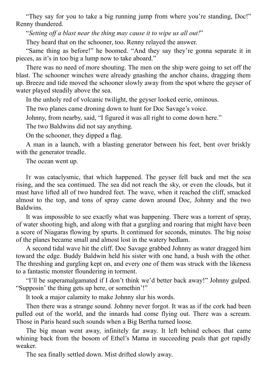"They say for you to take a big running jump from where you're standing, Doc!" Renny thundered.

"*Setting off a blast near the thing may cause it to wipe us all out!*"

They heard that on the schooner, too. Renny relayed the answer.

"Same thing as before!" he boomed. "And they say they're gonna separate it in pieces, as it's in too big a lump now to take aboard."

There was no need of more shouting. The men on the ship were going to set off the blast. The schooner winches were already gnashing the anchor chains, dragging them up. Breeze and tide moved the schooner slowly away from the spot where the geyser of water played steadily above the sea.

In the unholy red of volcanic twilight, the geyser looked eerie, ominous.

The two planes came droning down to hunt for Doc Savage's voice.

Johnny, from nearby, said, "I figured it was all right to come down here."

The two Baldwins did not say anything.

On the schooner, they dipped a flag.

A man in a launch, with a blasting generator between his feet, bent over briskly with the generator treadle.

The ocean went up.

It was cataclysmic, that which happened. The geyser fell back and met the sea rising, and the sea continued. The sea did not reach the sky, or even the clouds, but it must have lifted all of two hundred feet. The wave, when it reached the cliff, smacked almost to the top, and tons of spray came down around Doc, Johnny and the two Baldwins.

It was impossible to see exactly what was happening. There was a torrent of spray, of water shooting high, and along with that a gurgling and roaring that might have been a score of Niagaras flowing by spurts. It continued for seconds, minutes. The big noise of the planes became small and almost lost in the watery bedlam.

A second tidal wave hit the cliff. Doc Savage grabbed Johnny as water dragged him toward the edge. Buddy Baldwin held his sister with one hand, a bush with the other. The threshing and gurgling kept on, and every one of them was struck with the likeness to a fantastic monster floundering in torment.

"I'll be superamalgamated if I don't think we'd better back away!" Johnny gulped. "Supposin' the thing gets up here, or somethin'!"

It took a major calamity to make Johnny slur his words.

Then there was a strange sound. Johnny never forgot. It was as if the cork had been pulled out of the world, and the innards had come flying out. There was a scream. Those in Paris heard such sounds when a Big Bertha turned loose.

The big moan went away, infinitely far away. It left behind echoes that came whining back from the bosom of Ethel's Mama in succeeding peals that got rapidly weaker.

The sea finally settled down. Mist drifted slowly away.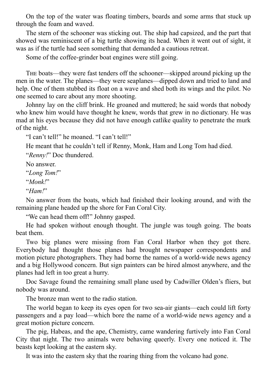On the top of the water was floating timbers, boards and some arms that stuck up through the foam and waved.

The stern of the schooner was sticking out. The ship had capsized, and the part that showed was reminiscent of a big turtle showing its head. When it went out of sight, it was as if the turtle had seen something that demanded a cautious retreat.

Some of the coffee-grinder boat engines were still going.

THE boats—they were fast tenders off the schooner—skipped around picking up the men in the water. The planes—they were seaplanes—dipped down and tried to land and help. One of them stubbed its float on a wave and shed both its wings and the pilot. No one seemed to care about any more shooting.

Johnny lay on the cliff brink. He groaned and muttered; he said words that nobody who knew him would have thought he knew, words that grew in no dictionary. He was mad at his eyes because they did not have enough catlike quality to penetrate the murk of the night.

"I can't tell!" he moaned. "I can't tell!"

He meant that he couldn't tell if Renny, Monk, Ham and Long Tom had died.

"*Renny!*" Doc thundered.

No answer.

"*Long Tom!*"

"*Monk!*"

"*Ham!*"

No answer from the boats, which had finished their looking around, and with the remaining plane headed up the shore for Fan Coral City.

"We can head them off!" Johnny gasped.

He had spoken without enough thought. The jungle was tough going. The boats beat them.

Two big planes were missing from Fan Coral Harbor when they got there. Everybody had thought those planes had brought newspaper correspondents and motion picture photographers. They had borne the names of a world-wide news agency and a big Hollywood concern. But sign painters can be hired almost anywhere, and the planes had left in too great a hurry.

Doc Savage found the remaining small plane used by Cadwiller Olden's fliers, but nobody was around.

The bronze man went to the radio station.

The world began to keep its eyes open for two sea-air giants—each could lift forty passengers and a pay load—which bore the name of a world-wide news agency and a great motion picture concern.

The pig, Habeas, and the ape, Chemistry, came wandering furtively into Fan Coral City that night. The two animals were behaving queerly. Every one noticed it. The beasts kept looking at the eastern sky.

It was into the eastern sky that the roaring thing from the volcano had gone.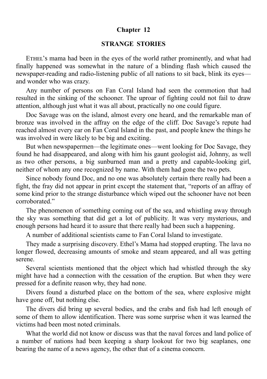#### **Chapter 12**

## **STRANGE STORIES**

ETHEL's mama had been in the eyes of the world rather prominently, and what had finally happened was somewhat in the nature of a blinding flash which caused the newspaper-reading and radio-listening public of all nations to sit back, blink its eyes and wonder who was crazy.

Any number of persons on Fan Coral Island had seen the commotion that had resulted in the sinking of the schooner. The uproar of fighting could not fail to draw attention, although just what it was all about, practically no one could figure.

Doc Savage was on the island, almost every one heard, and the remarkable man of bronze was involved in the affray on the edge of the cliff. Doc Savage's repute had reached almost every ear on Fan Coral Island in the past, and people knew the things he was involved in were likely to be big and exciting.

But when newspapermen—the legitimate ones—went looking for Doc Savage, they found he had disappeared, and along with him his gaunt geologist aid, Johnny, as well as two other persons, a big sunburned man and a pretty and capable-looking girl, neither of whom any one recognized by name. With them had gone the two pets.

Since nobody found Doc, and no one was absolutely certain there really had been a fight, the fray did not appear in print except the statement that, "reports of an affray of some kind prior to the strange disturbance which wiped out the schooner have not been corroborated."

The phenomenon of something coming out of the sea, and whistling away through the sky was something that did get a lot of publicity. It was very mysterious, and enough persons had heard it to assure that there really had been such a happening.

A number of additional scientists came to Fan Coral Island to investigate.

They made a surprising discovery. Ethel's Mama had stopped erupting. The lava no longer flowed, decreasing amounts of smoke and steam appeared, and all was getting serene.

Several scientists mentioned that the object which had whistled through the sky might have had a connection with the cessation of the eruption. But when they were pressed for a definite reason why, they had none.

Divers found a disturbed place on the bottom of the sea, where explosive might have gone off, but nothing else.

The divers did bring up several bodies, and the crabs and fish had left enough of some of them to allow identification. There was some surprise when it was learned the victims had been most noted criminals.

What the world did not know or discuss was that the naval forces and land police of a number of nations had been keeping a sharp lookout for two big seaplanes, one bearing the name of a news agency, the other that of a cinema concern.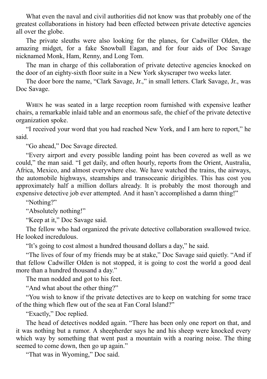What even the naval and civil authorities did not know was that probably one of the greatest collaborations in history had been effected between private detective agencies all over the globe.

The private sleuths were also looking for the planes, for Cadwiller Olden, the amazing midget, for a fake Snowball Eagan, and for four aids of Doc Savage nicknamed Monk, Ham, Renny, and Long Tom.

The man in charge of this collaboration of private detective agencies knocked on the door of an eighty-sixth floor suite in a New York skyscraper two weeks later.

The door bore the name, "Clark Savage, Jr.," in small letters. Clark Savage, Jr., was Doc Savage.

WHEN he was seated in a large reception room furnished with expensive leather chairs, a remarkable inlaid table and an enormous safe, the chief of the private detective organization spoke.

"I received your word that you had reached New York, and I am here to report," he said.

"Go ahead," Doc Savage directed.

"Every airport and every possible landing point has been covered as well as we could," the man said. "I get daily, and often hourly, reports from the Orient, Australia, Africa, Mexico, and almost everywhere else. We have watched the trains, the airways, the automobile highways, steamships and transoceanic dirigibles. This has cost you approximately half a million dollars already. It is probably the most thorough and expensive detective job ever attempted. And it hasn't accomplished a damn thing!"

"Nothing?"

"Absolutely nothing!"

"Keep at it," Doc Savage said.

The fellow who had organized the private detective collaboration swallowed twice. He looked incredulous.

"It's going to cost almost a hundred thousand dollars a day," he said.

"The lives of four of my friends may be at stake," Doc Savage said quietly. "And if that fellow Cadwiller Olden is not stopped, it is going to cost the world a good deal more than a hundred thousand a day."

The man nodded and got to his feet.

"And what about the other thing?"

"You wish to know if the private detectives are to keep on watching for some trace of the thing which flew out of the sea at Fan Coral Island?"

"Exactly," Doc replied.

The head of detectives nodded again. "There has been only one report on that, and it was nothing but a rumor. A sheepherder says he and his sheep were knocked every which way by something that went past a mountain with a roaring noise. The thing seemed to come down, then go up again."

"That was in Wyoming," Doc said.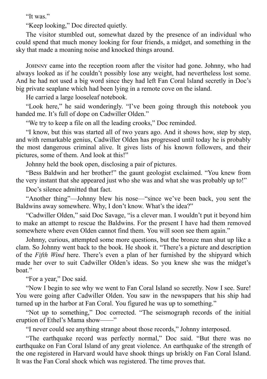"It was."

"Keep looking," Doc directed quietly.

The visitor stumbled out, somewhat dazed by the presence of an individual who could spend that much money looking for four friends, a midget, and something in the sky that made a moaning noise and knocked things around.

JOHNNY came into the reception room after the visitor had gone. Johnny, who had always looked as if he couldn't possibly lose any weight, had nevertheless lost some. And he had not used a big word since they had left Fan Coral Island secretly in Doc's big private seaplane which had been lying in a remote cove on the island.

He carried a large looseleaf notebook.

"Look here," he said wonderingly. "I've been going through this notebook you handed me. It's full of dope on Cadwiller Olden."

"We try to keep a file on all the leading crooks," Doc reminded.

"I know, but this was started all of two years ago. And it shows how, step by step, and with remarkable genius, Cadwiller Olden has progressed until today he is probably the most dangerous criminal alive. It gives lists of his known followers, and their pictures, some of them. And look at this!"

Johnny held the book open, disclosing a pair of pictures.

"Bess Baldwin and her brother!" the gaunt geologist exclaimed. "You knew from the very instant that she appeared just who she was and what she was probably up to!"

Doc's silence admitted that fact.

"Another thing"—Johnny blew his nose—"since we've been back, you sent the Baldwins away somewhere. Why, I don't know. What's the idea?"

"Cadwiller Olden," said Doc Savage, "is a clever man. I wouldn't put it beyond him to make an attempt to rescue the Baldwins. For the present I have had them removed somewhere where even Olden cannot find them. You will soon see them again."

Johnny, curious, attempted some more questions, but the bronze man shut up like a clam. So Johnny went back to the book. He shook it. "There's a picture and description of the *Fifth Wind* here. There's even a plan of her furnished by the shipyard which made her over to suit Cadwiller Olden's ideas. So you knew she was the midget's boat."

"For a year," Doc said.

"Now I begin to see why we went to Fan Coral Island so secretly. Now I see. Sure! You were going after Cadwiller Olden. You saw in the newspapers that his ship had turned up in the harbor at Fan Coral. You figured he was up to something."

"Not up to something," Doc corrected. "The seismograph records of the initial eruption of Ethel's Mama show——"

"I never could see anything strange about those records," Johnny interposed.

"The earthquake record was perfectly normal," Doc said. "But there was no earthquake on Fan Coral Island of any great violence. An earthquake of the strength of the one registered in Harvard would have shook things up briskly on Fan Coral Island. It was the Fan Coral shock which was registered. The time proves that.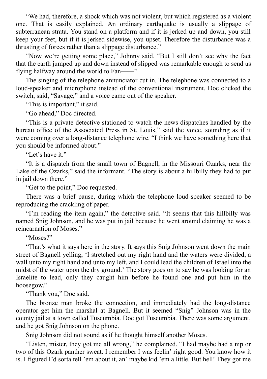"We had, therefore, a shock which was not violent, but which registered as a violent one. That is easily explained. An ordinary earthquake is usually a slippage of subterranean strata. You stand on a platform and if it is jerked up and down, you still keep your feet, but if it is jerked sidewise, you upset. Therefore the disturbance was a thrusting of forces rather than a slippage disturbance."

"Now we're getting some place," Johnny said. "But I still don't see why the fact that the earth jumped up and down instead of slipped was remarkable enough to send us flying halfway around the world to Fan——"

The singing of the telephone annunciator cut in. The telephone was connected to a loud-speaker and microphone instead of the conventional instrument. Doc clicked the switch, said, "Savage," and a voice came out of the speaker.

"This is important," it said.

"Go ahead," Doc directed.

"This is a private detective stationed to watch the news dispatches handled by the bureau office of the Associated Press in St. Louis," said the voice, sounding as if it were coming over a long-distance telephone wire. "I think we have something here that you should be informed about."

"Let's have it."

"It is a dispatch from the small town of Bagnell, in the Missouri Ozarks, near the Lake of the Ozarks," said the informant. "The story is about a hillbilly they had to put in jail down there."

"Get to the point," Doc requested.

There was a brief pause, during which the telephone loud-speaker seemed to be reproducing the crackling of paper.

"I'm reading the item again," the detective said. "It seems that this hillbilly was named Snig Johnson, and he was put in jail because he went around claiming he was a reincarnation of Moses."

"Moses?"

"That's what it says here in the story. It says this Snig Johnson went down the main street of Bagnell yelling, 'I stretched out my right hand and the waters were divided, a wall unto my right hand and unto my left, and I could lead the children of Israel into the midst of the water upon the dry ground.' The story goes on to say he was looking for an Israelite to lead, only they caught him before he found one and put him in the hoosegow."

"Thank you," Doc said.

The bronze man broke the connection, and immediately had the long-distance operator get him the marshal at Bagnell. But it seemed "Snig" Johnson was in the county jail at a town called Tuscumbia. Doc got Tuscumbia. There was some argument, and he got Snig Johnson on the phone.

Snig Johnson did not sound as if he thought himself another Moses.

"Listen, mister, they got me all wrong," he complained. "I had maybe had a nip or two of this Ozark panther sweat. I remember I was feelin' right good. You know how it is. I figured I'd sorta tell 'em about it, an' maybe kid 'em a little. But hell! They got me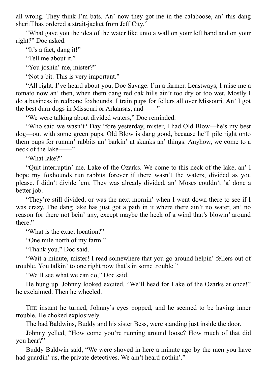all wrong. They think I'm bats. An' now they got me in the calaboose, an' this dang sheriff has ordered a strait-jacket from Jeff City."

"What gave you the idea of the water like unto a wall on your left hand and on your right?" Doc asked.

"It's a fact, dang it!"

"Tell me about it."

"You joshin' me, mister?"

"Not a bit. This is very important."

"All right. I've heard about you, Doc Savage. I'm a farmer. Leastways, I raise me a tomato now an' then, when them dang red oak hills ain't too dry or too wet. Mostly I do a business in redbone foxhounds. I train pups for fellers all over Missouri. An' I got the best durn dogs in Missouri or Arkansas, and——"

"We were talking about divided waters," Doc reminded.

"Who said we wasn't? Day 'fore yesterday, mister, I had Old Blow—he's my best dog—out with some green pups. Old Blow is dang good, because he'll pile right onto them pups for runnin' rabbits an' barkin' at skunks an' things. Anyhow, we come to a neck of the lake——"

"What lake?"

"Quit interruptin' me. Lake of the Ozarks. We come to this neck of the lake, an' I hope my foxhounds run rabbits forever if there wasn't the waters, divided as you please. I didn't divide 'em. They was already divided, an' Moses couldn't 'a' done a better job.

"They're still divided, or was the next mornin' when I went down there to see if I was crazy. The dang lake has just got a path in it where there ain't no water, an' no reason for there not bein' any, except maybe the heck of a wind that's blowin' around there."

"What is the exact location?"

"One mile north of my farm."

"Thank you," Doc said.

"Wait a minute, mister! I read somewhere that you go around helpin' fellers out of trouble. You talkin' to one right now that's in some trouble."

"We'll see what we can do," Doc said.

He hung up. Johnny looked excited. "We'll head for Lake of the Ozarks at once!" he exclaimed. Then he wheeled.

THE instant he turned, Johnny's eyes popped, and he seemed to be having inner trouble. He choked explosively.

The bad Baldwins, Buddy and his sister Bess, were standing just inside the door.

Johnny yelled, "How come you're running around loose? How much of that did you hear?"

Buddy Baldwin said, "We were shoved in here a minute ago by the men you have had guardin' us, the private detectives. We ain't heard nothin'."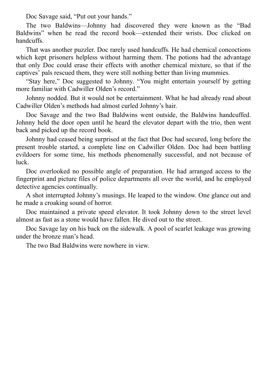Doc Savage said, "Put out your hands."

The two Baldwins—Johnny had discovered they were known as the "Bad Baldwins" when he read the record book—extended their wrists. Doc clicked on handcuffs.

That was another puzzler. Doc rarely used handcuffs. He had chemical concoctions which kept prisoners helpless without harming them. The potions had the advantage that only Doc could erase their effects with another chemical mixture, so that if the captives' pals rescued them, they were still nothing better than living mummies.

"Stay here," Doc suggested to Johnny. "You might entertain yourself by getting more familiar with Cadwiller Olden's record."

Johnny nodded. But it would not be entertainment. What he had already read about Cadwiller Olden's methods had almost curled Johnny's hair.

Doc Savage and the two Bad Baldwins went outside, the Baldwins handcuffed. Johnny held the door open until he heard the elevator depart with the trio, then went back and picked up the record book.

Johnny had ceased being surprised at the fact that Doc had secured, long before the present trouble started, a complete line on Cadwiller Olden. Doc had been battling evildoers for some time, his methods phenomenally successful, and not because of luck.

Doc overlooked no possible angle of preparation. He had arranged access to the fingerprint and picture files of police departments all over the world, and he employed detective agencies continually.

A shot interrupted Johnny's musings. He leaped to the window. One glance out and he made a croaking sound of horror.

Doc maintained a private speed elevator. It took Johnny down to the street level almost as fast as a stone would have fallen. He dived out to the street.

Doc Savage lay on his back on the sidewalk. A pool of scarlet leakage was growing under the bronze man's head.

The two Bad Baldwins were nowhere in view.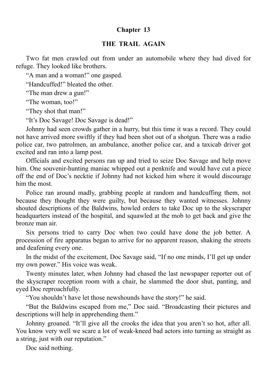## **THE TRAIL AGAIN**

Two fat men crawled out from under an automobile where they had dived for refuge. They looked like brothers.

"A man and a woman!" one gasped.

"Handcuffed!" bleated the other.

"The man drew a gun!"

"The woman, too!"

"They shot that man!"

"It's Doc Savage! Doc Savage is dead!"

Johnny had seen crowds gather in a hurry, but this time it was a record. They could not have arrived more swiftly if they had been shot out of a shotgun. There was a radio police car, two patrolmen, an ambulance, another police car, and a taxicab driver got excited and ran into a lamp post.

Officials and excited persons ran up and tried to seize Doc Savage and help move him. One souvenir-hunting maniac whipped out a penknife and would have cut a piece off the end of Doc's necktie if Johnny had not kicked him where it would discourage him the most.

Police ran around madly, grabbing people at random and handcuffing them, not because they thought they were guilty, but because they wanted witnesses. Johnny shouted descriptions of the Baldwins, howled orders to take Doc up to the skyscraper headquarters instead of the hospital, and squawled at the mob to get back and give the bronze man air.

Six persons tried to carry Doc when two could have done the job better. A procession of fire apparatus began to arrive for no apparent reason, shaking the streets and deafening every one.

In the midst of the excitement, Doc Savage said, "If no one minds, I'll get up under my own power." His voice was weak.

Twenty minutes later, when Johnny had chased the last newspaper reporter out of the skyscraper reception room with a chair, he slammed the door shut, panting, and eyed Doc reproachfully.

"You shouldn't have let those newshounds have the story!" he said.

"But the Baldwins escaped from me," Doc said. "Broadcasting their pictures and descriptions will help in apprehending them."

Johnny groaned. "It'll give all the crooks the idea that you aren't so hot, after all. You know very well we scare a lot of weak-kneed bad actors into turning as straight as a string, just with our reputation."

Doc said nothing.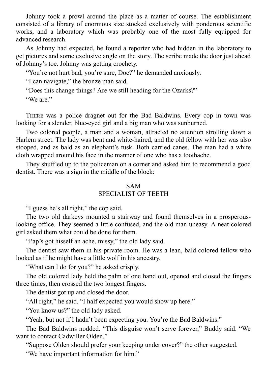Johnny took a prowl around the place as a matter of course. The establishment consisted of a library of enormous size stocked exclusively with ponderous scientific works, and a laboratory which was probably one of the most fully equipped for advanced research.

As Johnny had expected, he found a reporter who had hidden in the laboratory to get pictures and some exclusive angle on the story. The scribe made the door just ahead of Johnny's toe. Johnny was getting crochety.

"You're not hurt bad, you're sure, Doc?" he demanded anxiously.

"I can navigate," the bronze man said.

"Does this change things? Are we still heading for the Ozarks?"

"We are"

THERE was a police dragnet out for the Bad Baldwins. Every cop in town was looking for a slender, blue-eyed girl and a big man who was sunburned.

Two colored people, a man and a woman, attracted no attention strolling down a Harlem street. The lady was bent and white-haired, and the old fellow with her was also stooped, and as bald as an elephant's tusk. Both carried canes. The man had a white cloth wrapped around his face in the manner of one who has a toothache.

They shuffled up to the policeman on a corner and asked him to recommend a good dentist. There was a sign in the middle of the block:

#### SAM

## SPECIALIST OF TEETH

"I guess he's all right," the cop said.

The two old darkeys mounted a stairway and found themselves in a prosperouslooking office. They seemed a little confused, and the old man uneasy. A neat colored girl asked them what could be done for them.

"Pap's got hisself an ache, missy," the old lady said.

The dentist saw them in his private room. He was a lean, bald colored fellow who looked as if he might have a little wolf in his ancestry.

"What can I do for you?" he asked crisply.

The old colored lady held the palm of one hand out, opened and closed the fingers three times, then crossed the two longest fingers.

The dentist got up and closed the door.

"All right," he said. "I half expected you would show up here."

"You know us?" the old lady asked.

"Yeah, but not if I hadn't been expecting you. You're the Bad Baldwins."

The Bad Baldwins nodded. "This disguise won't serve forever," Buddy said. "We want to contact Cadwiller Olden."

"Suppose Olden should prefer your keeping under cover?" the other suggested.

"We have important information for him."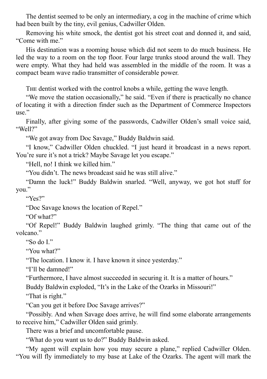The dentist seemed to be only an intermediary, a cog in the machine of crime which had been built by the tiny, evil genius, Cadwiller Olden.

Removing his white smock, the dentist got his street coat and donned it, and said, "Come with me."

His destination was a rooming house which did not seem to do much business. He led the way to a room on the top floor. Four large trunks stood around the wall. They were empty. What they had held was assembled in the middle of the room. It was a compact beam wave radio transmitter of considerable power.

THE dentist worked with the control knobs a while, getting the wave length.

"We move the station occasionally," he said. "Even if there is practically no chance of locating it with a direction finder such as the Department of Commerce Inspectors  $use$ "

Finally, after giving some of the passwords, Cadwiller Olden's small voice said, "Well?"

"We got away from Doc Savage," Buddy Baldwin said.

"I know," Cadwiller Olden chuckled. "I just heard it broadcast in a news report. You're sure it's not a trick? Maybe Savage let you escape."

"Hell, no! I think we killed him."

"You didn't. The news broadcast said he was still alive."

"Damn the luck!" Buddy Baldwin snarled. "Well, anyway, we got hot stuff for you."

"Yes?"

"Doc Savage knows the location of Repel."

"Of what?"

"Of Repel!" Buddy Baldwin laughed grimly. "The thing that came out of the volcano."

"So do I."

"You what?"

"The location. I know it. I have known it since yesterday."

"I'll be damned!"

"Furthermore, I have almost succeeded in securing it. It is a matter of hours."

Buddy Baldwin exploded, "It's in the Lake of the Ozarks in Missouri!"

"That is right."

"Can you get it before Doc Savage arrives?"

"Possibly. And when Savage does arrive, he will find some elaborate arrangements to receive him," Cadwiller Olden said grimly.

There was a brief and uncomfortable pause.

"What do you want us to do?" Buddy Baldwin asked.

"My agent will explain how you may secure a plane," replied Cadwiller Olden. "You will fly immediately to my base at Lake of the Ozarks. The agent will mark the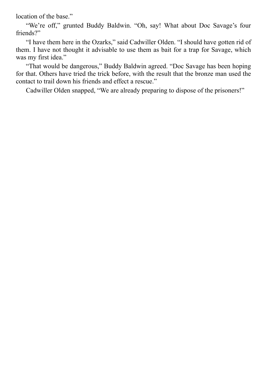location of the base."

"We're off," grunted Buddy Baldwin. "Oh, say! What about Doc Savage's four friends?"

"I have them here in the Ozarks," said Cadwiller Olden. "I should have gotten rid of them. I have not thought it advisable to use them as bait for a trap for Savage, which was my first idea."

"That would be dangerous," Buddy Baldwin agreed. "Doc Savage has been hoping for that. Others have tried the trick before, with the result that the bronze man used the contact to trail down his friends and effect a rescue."

Cadwiller Olden snapped, "We are already preparing to dispose of the prisoners!"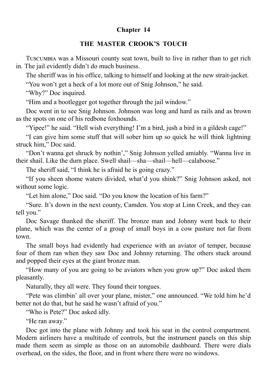## **THE MASTER CROOK'S TOUCH**

TUSCUMBIA was a Missouri county seat town, built to live in rather than to get rich in. The jail evidently didn't do much business.

The sheriff was in his office, talking to himself and looking at the new strait-jacket.

"You won't get a heck of a lot more out of Snig Johnson," he said.

"Why?" Doc inquired.

"Him and a bootlegger got together through the jail window."

Doc went in to see Snig Johnson. Johnson was long and hard as rails and as brown as the spots on one of his redbone foxhounds.

"Yipee!" he said. "Hell wish everything! I'm a bird, jush a bird in a gildesh cage!"

"I can give him some stuff that will sober him up so quick he will think lightning struck him," Doc said.

"Don't wanna get shruck by nothin'," Snig Johnson yelled amiably. "Wanna live in their shail. Like the durn place. Swell shail—sha—shail—hell—calaboose."

The sheriff said, "I think he is afraid he is going crazy."

"If you sheen shome waters divided, what'd you shink?" Snig Johnson asked, not without some logic.

"Let him alone," Doc said. "Do you know the location of his farm?"

"Sure. It's down in the next county, Camden. You stop at Linn Creek, and they can tell you."

Doc Savage thanked the sheriff. The bronze man and Johnny went back to their plane, which was the center of a group of small boys in a cow pasture not far from town.

The small boys had evidently had experience with an aviator of temper, because four of them ran when they saw Doc and Johnny returning. The others stuck around and popped their eyes at the giant bronze man.

"How many of you are going to be aviators when you grow up?" Doc asked them pleasantly.

Naturally, they all were. They found their tongues.

"Pete was climbin' all over your plane, mister," one announced. "We told him he'd better not do that, but he said he wasn't afraid of you."

"Who is Pete?" Doc asked idly.

"He ran away."

Doc got into the plane with Johnny and took his seat in the control compartment. Modern airliners have a multitude of controls, but the instrument panels on this ship made them seem as simple as those on an automobile dashboard. There were dials overhead, on the sides, the floor, and in front where there were no windows.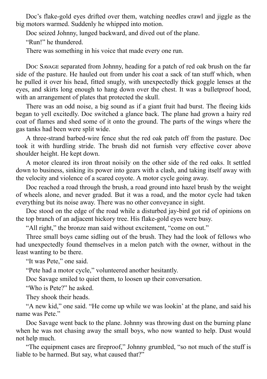Doc's flake-gold eyes drifted over them, watching needles crawl and jiggle as the big motors warmed. Suddenly he whipped into motion.

Doc seized Johnny, lunged backward, and dived out of the plane.

"Run!" he thundered.

There was something in his voice that made every one run.

Doc SAVAGE separated from Johnny, heading for a patch of red oak brush on the far side of the pasture. He hauled out from under his coat a sack of tan stuff which, when he pulled it over his head, fitted snugly, with unexpectedly thick goggle lenses at the eyes, and skirts long enough to hang down over the chest. It was a bulletproof hood, with an arrangement of plates that protected the skull.

There was an odd noise, a big sound as if a giant fruit had burst. The fleeing kids began to yell excitedly. Doc switched a glance back. The plane had grown a hairy red coat of flames and shed some of it onto the ground. The parts of the wings where the gas tanks had been were split wide.

A three-strand barbed-wire fence shut the red oak patch off from the pasture. Doc took it with hurdling stride. The brush did not furnish very effective cover above shoulder height. He kept down.

A motor cleared its iron throat noisily on the other side of the red oaks. It settled down to business, sinking its power into gears with a clash, and taking itself away with the velocity and violence of a scared coyote. A motor cycle going away.

Doc reached a road through the brush, a road ground into hazel brush by the weight of wheels alone, and never graded. But it was a road, and the motor cycle had taken everything but its noise away. There was no other conveyance in sight.

Doc stood on the edge of the road while a disturbed jay-bird got rid of opinions on the top branch of an adjacent hickory tree. His flake-gold eyes were busy.

"All right," the bronze man said without excitement, "come on out."

Three small boys came sidling out of the brush. They had the look of fellows who had unexpectedly found themselves in a melon patch with the owner, without in the least wanting to be there.

"It was Pete," one said.

"Pete had a motor cycle," volunteered another hesitantly.

Doc Savage smiled to quiet them, to loosen up their conversation.

"Who is Pete?" he asked.

They shook their heads.

"A new kid," one said. "He come up while we was lookin' at the plane, and said his name was Pete."

Doc Savage went back to the plane. Johnny was throwing dust on the burning plane when he was not chasing away the small boys, who now wanted to help. Dust would not help much.

"The equipment cases are fireproof," Johnny grumbled, "so not much of the stuff is liable to be harmed. But say, what caused that?"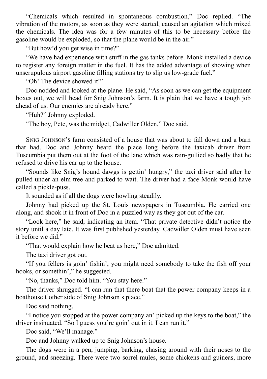"Chemicals which resulted in spontaneous combustion," Doc replied. "The vibration of the motors, as soon as they were started, caused an agitation which mixed the chemicals. The idea was for a few minutes of this to be necessary before the gasoline would be exploded, so that the plane would be in the air."

"But how'd you get wise in time?"

"We have had experience with stuff in the gas tanks before. Monk installed a device to register any foreign matter in the fuel. It has the added advantage of showing when unscrupulous airport gasoline filling stations try to slip us low-grade fuel."

"Oh! The device showed it!"

Doc nodded and looked at the plane. He said, "As soon as we can get the equipment boxes out, we will head for Snig Johnson's farm. It is plain that we have a tough job ahead of us. Our enemies are already here."

"Huh?" Johnny exploded.

"The boy, Pete, was the midget, Cadwiller Olden," Doc said.

SNIG JOHNSON's farm consisted of a house that was about to fall down and a barn that had. Doc and Johnny heard the place long before the taxicab driver from Tuscumbia put them out at the foot of the lane which was rain-gullied so badly that he refused to drive his car up to the house.

"Sounds like Snig's hound dawgs is gettin' hungry," the taxi driver said after he pulled under an elm tree and parked to wait. The driver had a face Monk would have called a pickle-puss.

It sounded as if all the dogs were howling steadily.

Johnny had picked up the St. Louis newspapers in Tuscumbia. He carried one along, and shook it in front of Doc in a puzzled way as they got out of the car.

"Look here," he said, indicating an item. "That private detective didn't notice the story until a day late. It was first published yesterday. Cadwiller Olden must have seen it before we did."

"That would explain how he beat us here," Doc admitted.

The taxi driver got out.

"If you fellers is goin' fishin', you might need somebody to take the fish off your hooks, or somethin'," he suggested.

"No, thanks," Doc told him. "You stay here."

The driver shrugged. "I can run that there boat that the power company keeps in a boathouse t'other side of Snig Johnson's place."

Doc said nothing.

"I notice you stopped at the power company an' picked up the keys to the boat," the driver insinuated. "So I guess you're goin' out in it. I can run it."

Doc said, "We'll manage."

Doc and Johnny walked up to Snig Johnson's house.

The dogs were in a pen, jumping, barking, chasing around with their noses to the ground, and sneezing. There were two sorrel mules, some chickens and guineas, more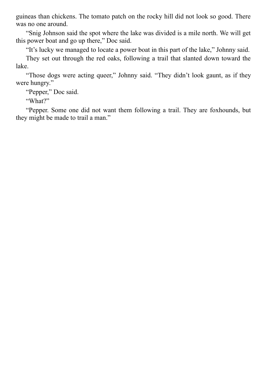guineas than chickens. The tomato patch on the rocky hill did not look so good. There was no one around.

"Snig Johnson said the spot where the lake was divided is a mile north. We will get this power boat and go up there," Doc said.

"It's lucky we managed to locate a power boat in this part of the lake," Johnny said.

They set out through the red oaks, following a trail that slanted down toward the lake.

"Those dogs were acting queer," Johnny said. "They didn't look gaunt, as if they were hungry."

"Pepper," Doc said.

"What?"

"Pepper. Some one did not want them following a trail. They are foxhounds, but they might be made to trail a man."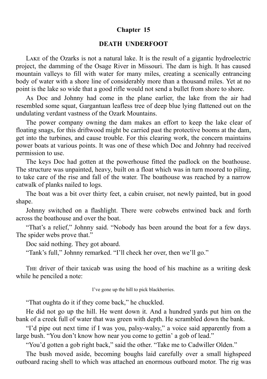#### **DEATH UNDERFOOT**

LAKE of the Ozarks is not a natural lake. It is the result of a gigantic hydroelectric project, the damming of the Osage River in Missouri. The dam is high. It has caused mountain valleys to fill with water for many miles, creating a scenically entrancing body of water with a shore line of considerably more than a thousand miles. Yet at no point is the lake so wide that a good rifle would not send a bullet from shore to shore.

As Doc and Johnny had come in the plane earlier, the lake from the air had resembled some squat, Gargantuan leafless tree of deep blue lying flattened out on the undulating verdant vastness of the Ozark Mountains.

The power company owning the dam makes an effort to keep the lake clear of floating snags, for this driftwood might be carried past the protective booms at the dam, get into the turbines, and cause trouble. For this clearing work, the concern maintains power boats at various points. It was one of these which Doc and Johnny had received permission to use.

The keys Doc had gotten at the powerhouse fitted the padlock on the boathouse. The structure was unpainted, heavy, built on a float which was in turn moored to piling, to take care of the rise and fall of the water. The boathouse was reached by a narrow catwalk of planks nailed to logs.

The boat was a bit over thirty feet, a cabin cruiser, not newly painted, but in good shape.

Johnny switched on a flashlight. There were cobwebs entwined back and forth across the boathouse and over the boat.

"That's a relief," Johnny said. "Nobody has been around the boat for a few days. The spider webs prove that."

Doc said nothing. They got aboard.

"Tank's full," Johnny remarked. "I'll check her over, then we'll go."

THE driver of their taxicab was using the hood of his machine as a writing desk while he penciled a note:

I've gone up the hill to pick blackberries.

"That oughta do it if they come back," he chuckled.

He did not go up the hill. He went down it. And a hundred yards put him on the bank of a creek full of water that was green with depth. He scrambled down the bank.

"I'd pipe out next time if I was you, palsy-walsy," a voice said apparently from a large bush. "You don't know how near you come to gettin' a gob of lead."

"You'd gotten a gob right back," said the other. "Take me to Cadwiller Olden."

The bush moved aside, becoming boughs laid carefully over a small highspeed outboard racing shell to which was attached an enormous outboard motor. The rig was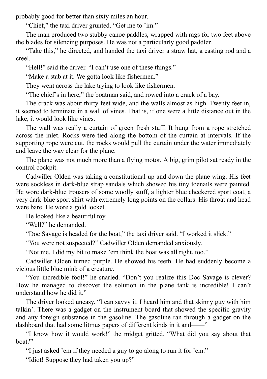probably good for better than sixty miles an hour.

"Chief," the taxi driver grunted. "Get me to 'im."

The man produced two stubby canoe paddles, wrapped with rags for two feet above the blades for silencing purposes. He was not a particularly good paddler.

"Take this," he directed, and handed the taxi driver a straw hat, a casting rod and a creel.

"Hell!" said the driver. "I can't use one of these things."

"Make a stab at it. We gotta look like fishermen."

They went across the lake trying to look like fishermen.

"The chief's in here," the boatman said, and rowed into a crack of a bay.

The crack was about thirty feet wide, and the walls almost as high. Twenty feet in, it seemed to terminate in a wall of vines. That is, if one were a little distance out in the lake, it would look like vines.

The wall was really a curtain of green fresh stuff. It hung from a rope stretched across the inlet. Rocks were tied along the bottom of the curtain at intervals. If the supporting rope were cut, the rocks would pull the curtain under the water immediately and leave the way clear for the plane.

The plane was not much more than a flying motor. A big, grim pilot sat ready in the control cockpit.

Cadwiller Olden was taking a constitutional up and down the plane wing. His feet were sockless in dark-blue strap sandals which showed his tiny toenails were painted. He wore dark-blue trousers of some woolly stuff, a lighter blue checkered sport coat, a very dark-blue sport shirt with extremely long points on the collars. His throat and head were bare. He wore a gold locket.

He looked like a beautiful toy.

"Well?" he demanded.

"Doc Savage is headed for the boat," the taxi driver said. "I worked it slick."

"You were not suspected?" Cadwiller Olden demanded anxiously.

"Not me. I did my bit to make 'em think the boat was all right, too."

Cadwiller Olden turned purple. He showed his teeth. He had suddenly become a vicious little blue mink of a creature.

"You incredible fool!" he snarled. "Don't you realize this Doc Savage is clever? How he managed to discover the solution in the plane tank is incredible! I can't understand how he did it."

The driver looked uneasy. "I can savvy it. I heard him and that skinny guy with him talkin'. There was a gadget on the instrument board that showed the specific gravity and any foreign substance in the gasoline. The gasoline ran through a gadget on the dashboard that had some litmus papers of different kinds in it and——"

"I know how it would work!" the midget gritted. "What did you say about that boat?"

"I just asked 'em if they needed a guy to go along to run it for 'em."

"Idiot! Suppose they had taken you up?"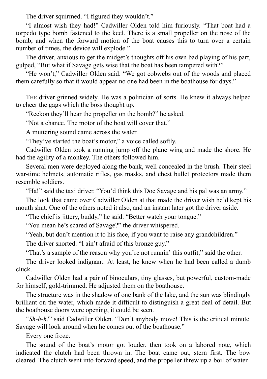The driver squirmed. "I figured they wouldn't."

"I almost wish they had!" Cadwiller Olden told him furiously. "That boat had a torpedo type bomb fastened to the keel. There is a small propeller on the nose of the bomb, and when the forward motion of the boat causes this to turn over a certain number of times, the device will explode."

The driver, anxious to get the midget's thoughts off his own bad playing of his part, gulped, "But what if Savage gets wise that the boat has been tampered with?"

"He won't," Cadwiller Olden said. "We got cobwebs out of the woods and placed them carefully so that it would appear no one had been in the boathouse for days."

THE driver grinned widely. He was a politician of sorts. He knew it always helped to cheer the gags which the boss thought up.

"Reckon they'll hear the propeller on the bomb?" he asked.

"Not a chance. The motor of the boat will cover that."

A muttering sound came across the water.

"They've started the boat's motor," a voice called softly.

Cadwiller Olden took a running jump off the plane wing and made the shore. He had the agility of a monkey. The others followed him.

Several men were deployed along the bank, well concealed in the brush. Their steel war-time helmets, automatic rifles, gas masks, and chest bullet protectors made them resemble soldiers.

"Ha!" said the taxi driver. "You'd think this Doc Savage and his pal was an army."

The look that came over Cadwiller Olden at that made the driver wish he'd kept his mouth shut. One of the others noted it also, and an instant later got the driver aside.

"The chief is jittery, buddy," he said. "Better watch your tongue."

"You mean he's scared of Savage?" the driver whispered.

"Yeah, but don't mention it to his face, if you want to raise any grandchildren."

The driver snorted. "I ain't afraid of this bronze guy."

"That's a sample of the reason why you're not runnin' this outfit," said the other.

The driver looked indignant. At least, he knew when he had been called a dumb cluck.

Cadwiller Olden had a pair of binoculars, tiny glasses, but powerful, custom-made for himself, gold-trimmed. He adjusted them on the boathouse.

The structure was in the shadow of one bank of the lake, and the sun was blindingly brilliant on the water, which made it difficult to distinguish a great deal of detail. But the boathouse doors were opening, it could be seen.

"*Sh-h-h!*" said Cadwiller Olden. "Don't anybody move! This is the critical minute. Savage will look around when he comes out of the boathouse."

Every one froze.

The sound of the boat's motor got louder, then took on a labored note, which indicated the clutch had been thrown in. The boat came out, stern first. The bow cleared. The clutch went into forward speed, and the propeller threw up a boil of water.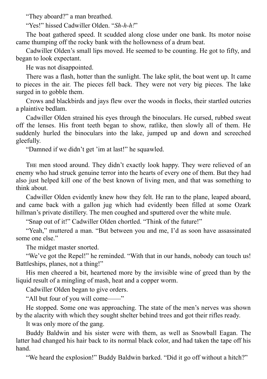"They aboard?" a man breathed.

"Yes!" hissed Cadwiller Olden. "*Sh-h-h!*"

The boat gathered speed. It scudded along close under one bank. Its motor noise came thumping off the rocky bank with the hollowness of a drum beat.

Cadwiller Olden's small lips moved. He seemed to be counting. He got to fifty, and began to look expectant.

He was not disappointed.

There was a flash, hotter than the sunlight. The lake split, the boat went up. It came to pieces in the air. The pieces fell back. They were not very big pieces. The lake surged in to gobble them.

Crows and blackbirds and jays flew over the woods in flocks, their startled outcries a plaintive bedlam.

Cadwiller Olden strained his eyes through the binoculars. He cursed, rubbed sweat off the lenses. His front teeth began to show, ratlike, then slowly all of them. He suddenly hurled the binoculars into the lake, jumped up and down and screeched gleefully.

"Damned if we didn't get 'im at last!" he squawled.

THE men stood around. They didn't exactly look happy. They were relieved of an enemy who had struck genuine terror into the hearts of every one of them. But they had also just helped kill one of the best known of living men, and that was something to think about.

Cadwiller Olden evidently knew how they felt. He ran to the plane, leaped aboard, and came back with a gallon jug which had evidently been filled at some Ozark hillman's private distillery. The men coughed and sputtered over the white mule.

"Snap out of it!" Cadwiller Olden chortled. "Think of the future!"

"Yeah," muttered a man. "But between you and me, I'd as soon have assassinated some one else."

The midget master snorted.

"We've got the Repel!" he reminded. "With that in our hands, nobody can touch us! Battleships, planes, not a thing!"

His men cheered a bit, heartened more by the invisible wine of greed than by the liquid result of a mingling of mash, heat and a copper worm.

Cadwiller Olden began to give orders.

"All but four of you will come——"

He stopped. Some one was approaching. The state of the men's nerves was shown by the alacrity with which they sought shelter behind trees and got their rifles ready.

It was only more of the gang.

Buddy Baldwin and his sister were with them, as well as Snowball Eagan. The latter had changed his hair back to its normal black color, and had taken the tape off his hand.

"We heard the explosion!" Buddy Baldwin barked. "Did it go off without a hitch?"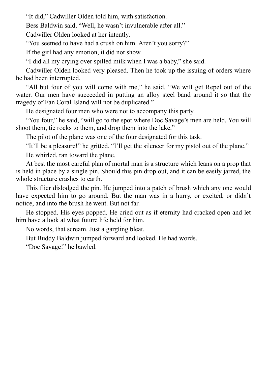"It did," Cadwiller Olden told him, with satisfaction.

Bess Baldwin said, "Well, he wasn't invulnerable after all."

Cadwiller Olden looked at her intently.

"You seemed to have had a crush on him. Aren't you sorry?"

If the girl had any emotion, it did not show.

"I did all my crying over spilled milk when I was a baby," she said.

Cadwiller Olden looked very pleased. Then he took up the issuing of orders where he had been interrupted.

"All but four of you will come with me," he said. "We will get Repel out of the water. Our men have succeeded in putting an alloy steel band around it so that the tragedy of Fan Coral Island will not be duplicated."

He designated four men who were not to accompany this party.

"You four," he said, "will go to the spot where Doc Savage's men are held. You will shoot them, tie rocks to them, and drop them into the lake."

The pilot of the plane was one of the four designated for this task.

"It'll be a pleasure!" he gritted. "I'll get the silencer for my pistol out of the plane."

He whirled, ran toward the plane.

At best the most careful plan of mortal man is a structure which leans on a prop that is held in place by a single pin. Should this pin drop out, and it can be easily jarred, the whole structure crashes to earth.

This flier dislodged the pin. He jumped into a patch of brush which any one would have expected him to go around. But the man was in a hurry, or excited, or didn't notice, and into the brush he went. But not far.

He stopped. His eyes popped. He cried out as if eternity had cracked open and let him have a look at what future life held for him.

No words, that scream. Just a gargling bleat.

But Buddy Baldwin jumped forward and looked. He had words.

"Doc Savage!" he bawled.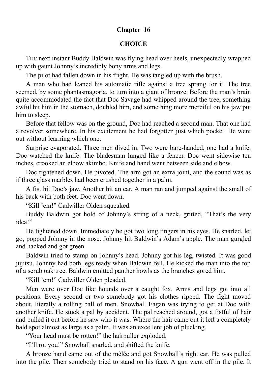#### **CHOICE**

THE next instant Buddy Baldwin was flying head over heels, unexpectedly wrapped up with gaunt Johnny's incredibly bony arms and legs.

The pilot had fallen down in his fright. He was tangled up with the brush.

A man who had leaned his automatic rifle against a tree sprang for it. The tree seemed, by some phantasmagoria, to turn into a giant of bronze. Before the man's brain quite accommodated the fact that Doc Savage had whipped around the tree, something awful hit him in the stomach, doubled him, and something more merciful on his jaw put him to sleep.

Before that fellow was on the ground, Doc had reached a second man. That one had a revolver somewhere. In his excitement he had forgotten just which pocket. He went out without learning which one.

Surprise evaporated. Three men dived in. Two were bare-handed, one had a knife. Doc watched the knife. The bladesman lunged like a fencer. Doc went sidewise ten inches, crooked an elbow akimbo. Knife and hand went between side and elbow.

Doc tightened down. He pivoted. The arm got an extra joint, and the sound was as if three glass marbles had been crushed together in a palm.

A fist hit Doc's jaw. Another hit an ear. A man ran and jumped against the small of his back with both feet. Doc went down.

"Kill 'em!" Cadwiller Olden squeaked.

Buddy Baldwin got hold of Johnny's string of a neck, gritted, "That's the very idea!"

He tightened down. Immediately he got two long fingers in his eyes. He snarled, let go, popped Johnny in the nose. Johnny hit Baldwin's Adam's apple. The man gurgled and hacked and got green.

Baldwin tried to stamp on Johnny's head. Johnny got his leg, twisted. It was good jujitsu. Johnny had both legs ready when Baldwin fell. He kicked the man into the top of a scrub oak tree. Baldwin emitted panther howls as the branches gored him.

"Kill 'em!" Cadwiller Olden pleaded.

Men were over Doc like hounds over a caught fox. Arms and legs got into all positions. Every second or two somebody got his clothes ripped. The fight moved about, literally a rolling ball of men. Snowball Eagan was trying to get at Doc with another knife. He stuck a pal by accident. The pal reached around, got a fistful of hair and pulled it out before he saw who it was. Where the hair came out it left a completely bald spot almost as large as a palm. It was an excellent job of plucking.

"Your head must be rotten!" the hairpuller exploded.

"I'll rot you!" Snowball snarled, and shifted the knife.

A bronze hand came out of the mêlée and got Snowball's right ear. He was pulled into the pile. Then somebody tried to stand on his face. A gun went off in the pile. It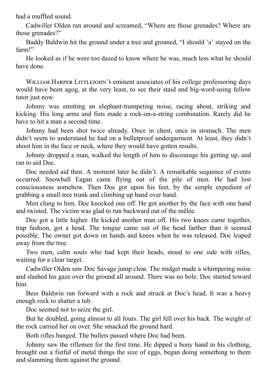had a muffled sound.

Cadwiller Olden ran around and screamed, "Where are those grenades? Where are those grenades?"

Buddy Baldwin hit the ground under a tree and groaned, "I should 'a' stayed on the farm!"

He looked as if he were too dazed to know where he was, much less what he should have done.

WILLIAM HARPER LITTLEJOHN's eminent associates of his college professoring days would have been agog, at the very least, to see their staid and big-word-using fellow tutor just now.

Johnny was emitting an elephant-trumpeting noise, racing about, striking and kicking. His long arms and fists made a rock-on-a-string combination. Rarely did he have to hit a man a second time.

Johnny had been shot twice already. Once in chest, once in stomach. The men didn't seem to understand he had on a bulletproof undergarment. At least, they didn't shoot him in the face or neck, where they would have gotten results.

Johnny dropped a man, walked the length of him to discourage his getting up, and ran to aid Doc.

Doc needed aid then. A moment later he didn't. A remarkable sequence of events occurred. Snowball Eagan came flying out of the pile of men. He had lost consciousness somehow. Then Doc got upon his feet, by the simple expedient of grabbing a small tree trunk and climbing up hand over hand.

Men clung to him. Doc knocked one off. He got another by the face with one hand and twisted. The victim was glad to run backward out of the mêlée.

Doc got a little higher. He kicked another man off. His two knees came together, trap fashion, got a head. The tongue came out of the head farther than it seemed possible. The owner got down on hands and knees when he was released. Doc leaped away from the tree.

Two men, calm souls who had kept their heads, stood to one side with rifles, waiting for a clear target.

Cadwiller Olden saw Doc Savage jump clear. The midget made a whimpering noise and slashed his gaze over the ground all around. There was no hole. Doc started toward him.

Bess Baldwin ran forward with a rock and struck at Doc's head. It was a heavy enough rock to shatter a tub.

Doc seemed not to seize the girl.

But he doubled, going almost to all fours. The girl fell over his back. The weight of the rock carried her on over. She smacked the ground hard.

Both rifles banged. The bullets passed where Doc had been.

Johnny saw the riflemen for the first time. He dipped a bony hand in his clothing, brought out a fistful of metal things the size of eggs, began doing something to them and slamming them against the ground.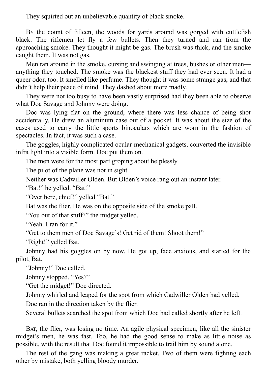They squirted out an unbelievable quantity of black smoke.

By the count of fifteen, the woods for yards around was gorged with cuttlefish black. The riflemen let fly a few bullets. Then they turned and ran from the approaching smoke. They thought it might be gas. The brush was thick, and the smoke caught them. It was not gas.

Men ran around in the smoke, cursing and swinging at trees, bushes or other men anything they touched. The smoke was the blackest stuff they had ever seen. It had a queer odor, too. It smelled like perfume. They thought it was some strange gas, and that didn't help their peace of mind. They dashed about more madly.

They were not too busy to have been vastly surprised had they been able to observe what Doc Savage and Johnny were doing.

Doc was lying flat on the ground, where there was less chance of being shot accidentally. He drew an aluminum case out of a pocket. It was about the size of the cases used to carry the little sports binoculars which are worn in the fashion of spectacles. In fact, it was such a case.

The goggles, highly complicated ocular-mechanical gadgets, converted the invisible infra light into a visible form. Doc put them on.

The men were for the most part groping about helplessly.

The pilot of the plane was not in sight.

Neither was Cadwiller Olden. But Olden's voice rang out an instant later.

"Bat!" he yelled. "Bat!"

"Over here, chief!" yelled "Bat."

Bat was the flier. He was on the opposite side of the smoke pall.

"You out of that stuff?" the midget yelled.

"Yeah. I ran for it."

"Get to them men of Doc Savage's! Get rid of them! Shoot them!"

"Right!" yelled Bat.

Johnny had his goggles on by now. He got up, face anxious, and started for the pilot, Bat.

"Johnny!" Doc called.

Johnny stopped. "Yes?"

"Get the midget!" Doc directed.

Johnny whirled and leaped for the spot from which Cadwiller Olden had yelled.

Doc ran in the direction taken by the flier.

Several bullets searched the spot from which Doc had called shortly after he left.

B<sub>AT</sub>, the flier, was losing no time. An agile physical specimen, like all the sinister midget's men, he was fast. Too, he had the good sense to make as little noise as possible, with the result that Doc found it impossible to trail him by sound alone.

The rest of the gang was making a great racket. Two of them were fighting each other by mistake, both yelling bloody murder.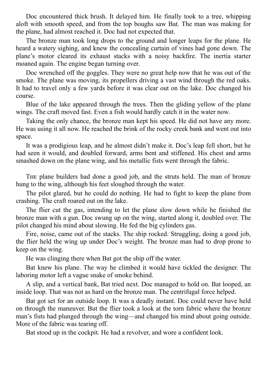Doc encountered thick brush. It delayed him. He finally took to a tree, whipping aloft with smooth speed, and from the top boughs saw Bat. The man was making for the plane, had almost reached it. Doc had not expected that.

The bronze man took long drops to the ground and longer leaps for the plane. He heard a watery sighing, and knew the concealing curtain of vines had gone down. The plane's motor cleared its exhaust stacks with a noisy backfire. The inertia starter moaned again. The engine began turning over.

Doc wrenched off the goggles. They were no great help now that he was out of the smoke. The plane was moving, its propellers driving a vast wind through the red oaks. It had to travel only a few yards before it was clear out on the lake. Doc changed his course.

Blue of the lake appeared through the trees. Then the gliding yellow of the plane wings. The craft moved fast. Even a fish would hardly catch it in the water now.

Taking the only chance, the bronze man kept his speed. He did not have any more. He was using it all now. He reached the brink of the rocky creek bank and went out into space.

It was a prodigious leap, and he almost didn't make it. Doc's leap fell short, but he had seen it would, and doubled forward, arms bent and stiffened. His chest and arms smashed down on the plane wing, and his metallic fists went through the fabric.

THE plane builders had done a good job, and the struts held. The man of bronze hung to the wing, although his feet sloughed through the water.

The pilot glared, but he could do nothing. He had to fight to keep the plane from crashing. The craft roared out on the lake.

The flier cut the gas, intending to let the plane slow down while he finished the bronze man with a gun. Doc swung up on the wing, started along it, doubled over. The pilot changed his mind about slowing. He fed the big cylinders gas.

Fire, noise, came out of the stacks. The ship rocked. Struggling, doing a good job, the flier held the wing up under Doc's weight. The bronze man had to drop prone to keep on the wing.

He was clinging there when Bat got the ship off the water.

Bat knew his plane. The way he climbed it would have tickled the designer. The laboring motor left a vague snake of smoke behind.

A slip, and a vertical bank, Bat tried next. Doc managed to hold on. Bat looped, an inside loop. That was not as hard on the bronze man. The centrifugal force helped.

Bat got set for an outside loop. It was a deadly instant. Doc could never have held on through the maneuver. But the flier took a look at the torn fabric where the bronze man's fists had plunged through the wing—and changed his mind about going outside. More of the fabric was tearing off.

Bat stood up in the cockpit. He had a revolver, and wore a confident look.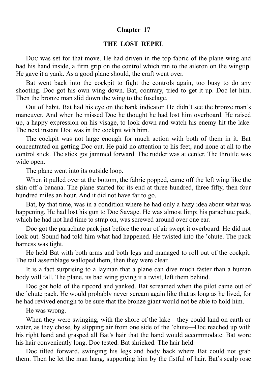#### **THE LOST REPEL**

Doc was set for that move. He had driven in the top fabric of the plane wing and had his hand inside, a firm grip on the control which ran to the aileron on the wingtip. He gave it a yank. As a good plane should, the craft went over.

Bat went back into the cockpit to fight the controls again, too busy to do any shooting. Doc got his own wing down. Bat, contrary, tried to get it up. Doc let him. Then the bronze man slid down the wing to the fuselage.

Out of habit, Bat had his eye on the bank indicator. He didn't see the bronze man's maneuver. And when he missed Doc he thought he had lost him overboard. He raised up, a happy expression on his visage, to look down and watch his enemy hit the lake. The next instant Doc was in the cockpit with him.

The cockpit was not large enough for much action with both of them in it. Bat concentrated on getting Doc out. He paid no attention to his feet, and none at all to the control stick. The stick got jammed forward. The rudder was at center. The throttle was wide open.

The plane went into its outside loop.

When it pulled over at the bottom, the fabric popped, came off the left wing like the skin off a banana. The plane started for its end at three hundred, three fifty, then four hundred miles an hour. And it did not have far to go.

Bat, by that time, was in a condition where he had only a hazy idea about what was happening. He had lost his gun to Doc Savage. He was almost limp; his parachute pack, which he had not had time to strap on, was screwed around over one ear.

Doc got the parachute pack just before the roar of air swept it overboard. He did not look out. Sound had told him what had happened. He twisted into the 'chute. The pack harness was tight.

He held Bat with both arms and both legs and managed to roll out of the cockpit. The tail assemblage walloped them, then they were clear.

It is a fact surprising to a layman that a plane can dive much faster than a human body will fall. The plane, its bad wing giving it a twist, left them behind.

Doc got hold of the ripcord and yanked. Bat screamed when the pilot came out of the 'chute pack. He would probably never scream again like that as long as he lived, for he had revived enough to be sure that the bronze giant would not be able to hold him.

He was wrong.

When they were swinging, with the shore of the lake—they could land on earth or water, as they chose, by slipping air from one side of the 'chute—Doc reached up with his right hand and grasped all Bat's hair that the hand would accommodate. Bat wore his hair conveniently long. Doc tested. Bat shrieked. The hair held.

Doc tilted forward, swinging his legs and body back where Bat could not grab them. Then he let the man hang, supporting him by the fistful of hair. Bat's scalp rose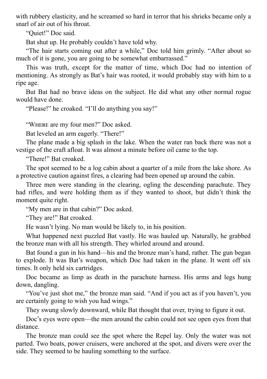with rubbery elasticity, and he screamed so hard in terror that his shrieks became only a snarl of air out of his throat.

"Quiet!" Doc said.

Bat shut up. He probably couldn't have told why.

"The hair starts coming out after a while," Doc told him grimly. "After about so much of it is gone, you are going to be somewhat embarrassed."

This was truth, except for the matter of time, which Doc had no intention of mentioning. As strongly as Bat's hair was rooted, it would probably stay with him to a ripe age.

But Bat had no brave ideas on the subject. He did what any other normal rogue would have done.

"Please!" he croaked. "I'll do anything you say!"

"WHERE are my four men?" Doc asked.

Bat leveled an arm eagerly. "There!"

The plane made a big splash in the lake. When the water ran back there was not a vestige of the craft afloat. It was almost a minute before oil came to the top.

"There!" Bat croaked.

The spot seemed to be a log cabin about a quarter of a mile from the lake shore. As a protective caution against fires, a clearing had been opened up around the cabin.

Three men were standing in the clearing, ogling the descending parachute. They had rifles, and were holding them as if they wanted to shoot, but didn't think the moment quite right.

"My men are in that cabin?" Doc asked.

"They are!" Bat croaked.

He wasn't lying. No man would be likely to, in his position.

What happened next puzzled Bat vastly. He was hauled up. Naturally, he grabbed the bronze man with all his strength. They whirled around and around.

Bat found a gun in his hand—his and the bronze man's hand, rather. The gun began to explode. It was Bat's weapon, which Doc had taken in the plane. It went off six times. It only held six cartridges.

Doc became as limp as death in the parachute harness. His arms and legs hung down, dangling.

"You've just shot me," the bronze man said. "And if you act as if you haven't, you are certainly going to wish you had wings."

They swung slowly downward, while Bat thought that over, trying to figure it out.

Doc's eyes were open—the men around the cabin could not see open eyes from that distance.

The bronze man could see the spot where the Repel lay. Only the water was not parted. Two boats, power cruisers, were anchored at the spot, and divers were over the side. They seemed to be hauling something to the surface.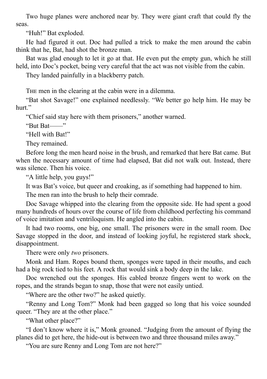Two huge planes were anchored near by. They were giant craft that could fly the seas.

"Huh!" Bat exploded.

He had figured it out. Doc had pulled a trick to make the men around the cabin think that he, Bat, had shot the bronze man.

Bat was glad enough to let it go at that. He even put the empty gun, which he still held, into Doc's pocket, being very careful that the act was not visible from the cabin.

They landed painfully in a blackberry patch.

THE men in the clearing at the cabin were in a dilemma.

"Bat shot Savage!" one explained needlessly. "We better go help him. He may be hurt."

"Chief said stay here with them prisoners," another warned.

"But Bat——"

"Hell with Bat!"

They remained.

Before long the men heard noise in the brush, and remarked that here Bat came. But when the necessary amount of time had elapsed, Bat did not walk out. Instead, there was silence. Then his voice.

"A little help, you guys!"

It was Bat's voice, but queer and croaking, as if something had happened to him.

The men ran into the brush to help their comrade.

Doc Savage whipped into the clearing from the opposite side. He had spent a good many hundreds of hours over the course of life from childhood perfecting his command of voice imitation and ventriloquism. He angled into the cabin.

It had two rooms, one big, one small. The prisoners were in the small room. Doc Savage stopped in the door, and instead of looking joyful, he registered stark shock, disappointment.

There were only *two* prisoners.

Monk and Ham. Ropes bound them, sponges were taped in their mouths, and each had a big rock tied to his feet. A rock that would sink a body deep in the lake.

Doc wrenched out the sponges. His cabled bronze fingers went to work on the ropes, and the strands began to snap, those that were not easily untied.

"Where are the other two?" he asked quietly.

"Renny and Long Tom?" Monk had been gagged so long that his voice sounded queer. "They are at the other place."

"What other place?"

"I don't know where it is," Monk groaned. "Judging from the amount of flying the planes did to get here, the hide-out is between two and three thousand miles away."

"You are sure Renny and Long Tom are not here?"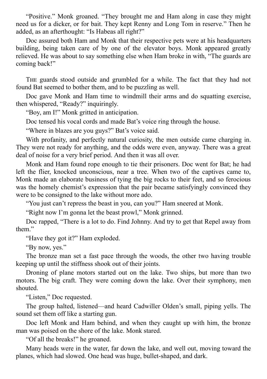"Positive." Monk groaned. "They brought me and Ham along in case they might need us for a dicker, or for bait. They kept Renny and Long Tom in reserve." Then he added, as an afterthought: "Is Habeas all right?"

Doc assured both Ham and Monk that their respective pets were at his headquarters building, being taken care of by one of the elevator boys. Monk appeared greatly relieved. He was about to say something else when Ham broke in with, "The guards are coming back!"

THE guards stood outside and grumbled for a while. The fact that they had not found Bat seemed to bother them, and to be puzzling as well.

Doc gave Monk and Ham time to windmill their arms and do squatting exercise, then whispered, "Ready?" inquiringly.

"Boy, am I!" Monk gritted in anticipation.

Doc tensed his vocal cords and made Bat's voice ring through the house.

"Where in blazes are you guys?" Bat's voice said.

With profanity, and perfectly natural curiosity, the men outside came charging in. They were not ready for anything, and the odds were even, anyway. There was a great deal of noise for a very brief period. And then it was all over.

Monk and Ham found rope enough to tie their prisoners. Doc went for Bat; he had left the flier, knocked unconscious, near a tree. When two of the captives came to, Monk made an elaborate business of tying the big rocks to their feet, and so ferocious was the homely chemist's expression that the pair became satisfyingly convinced they were to be consigned to the lake without more ado.

"You just can't repress the beast in you, can you?" Ham sneered at Monk.

"Right now I'm gonna let the beast prowl," Monk grinned.

Doc rapped, "There is a lot to do. Find Johnny. And try to get that Repel away from them."

"Have they got it?" Ham exploded.

"By now, yes."

The bronze man set a fast pace through the woods, the other two having trouble keeping up until the stiffness shook out of their joints.

Droning of plane motors started out on the lake. Two ships, but more than two motors. The big craft. They were coming down the lake. Over their symphony, men shouted.

"Listen," Doc requested.

The group halted, listened—and heard Cadwiller Olden's small, piping yells. The sound set them off like a starting gun.

Doc left Monk and Ham behind, and when they caught up with him, the bronze man was poised on the shore of the lake. Monk stared.

"Of all the breaks!" he groaned.

Many heads were in the water, far down the lake, and well out, moving toward the planes, which had slowed. One head was huge, bullet-shaped, and dark.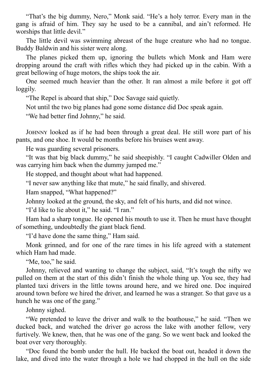"That's the big dummy, Nero," Monk said. "He's a holy terror. Every man in the gang is afraid of him. They say he used to be a cannibal, and ain't reformed. He worships that little devil."

The little devil was swimming abreast of the huge creature who had no tongue. Buddy Baldwin and his sister were along.

The planes picked them up, ignoring the bullets which Monk and Ham were dropping around the craft with rifles which they had picked up in the cabin. With a great bellowing of huge motors, the ships took the air.

One seemed much heavier than the other. It ran almost a mile before it got off loggily.

"The Repel is aboard that ship," Doc Savage said quietly.

Not until the two big planes had gone some distance did Doc speak again.

"We had better find Johnny," he said.

JOHNNY looked as if he had been through a great deal. He still wore part of his pants, and one shoe. It would be months before his bruises went away.

He was guarding several prisoners.

"It was that big black dummy," he said sheepishly. "I caught Cadwiller Olden and was carrying him back when the dummy jumped me."

He stopped, and thought about what had happened.

"I never saw anything like that mute," he said finally, and shivered.

Ham snapped, "What happened?"

Johnny looked at the ground, the sky, and felt of his hurts, and did not wince.

"I'd like to lie about it," he said. "I ran."

Ham had a sharp tongue. He opened his mouth to use it. Then he must have thought of something, undoubtedly the giant black fiend.

"I'd have done the same thing," Ham said.

Monk grinned, and for one of the rare times in his life agreed with a statement which Ham had made.

"Me, too," he said.

Johnny, relieved and wanting to change the subject, said, "It's tough the nifty we pulled on them at the start of this didn't finish the whole thing up. You see, they had planted taxi drivers in the little towns around here, and we hired one. Doc inquired around town before we hired the driver, and learned he was a stranger. So that gave us a hunch he was one of the gang."

Johnny sighed.

"We pretended to leave the driver and walk to the boathouse," he said. "Then we ducked back, and watched the driver go across the lake with another fellow, very furtively. We knew, then, that he was one of the gang. So we went back and looked the boat over very thoroughly.

"Doc found the bomb under the hull. He backed the boat out, headed it down the lake, and dived into the water through a hole we had chopped in the hull on the side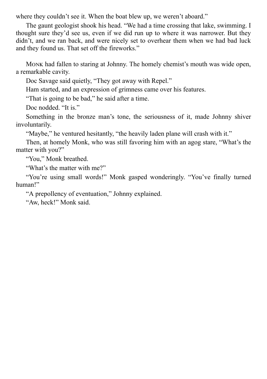where they couldn't see it. When the boat blew up, we weren't aboard."

The gaunt geologist shook his head. "We had a time crossing that lake, swimming. I thought sure they'd see us, even if we did run up to where it was narrower. But they didn't, and we ran back, and were nicely set to overhear them when we had bad luck and they found us. That set off the fireworks."

MONK had fallen to staring at Johnny. The homely chemist's mouth was wide open, a remarkable cavity.

Doc Savage said quietly, "They got away with Repel."

Ham started, and an expression of grimness came over his features.

"That is going to be bad," he said after a time.

Doc nodded. "It is."

Something in the bronze man's tone, the seriousness of it, made Johnny shiver involuntarily.

"Maybe," he ventured hesitantly, "the heavily laden plane will crash with it."

Then, at homely Monk, who was still favoring him with an agog stare, "What's the matter with you?"

"You," Monk breathed.

"What's the matter with me?"

"You're using small words!" Monk gasped wonderingly. "You've finally turned human!"

"A prepollency of eventuation," Johnny explained.

"Aw, heck!" Monk said.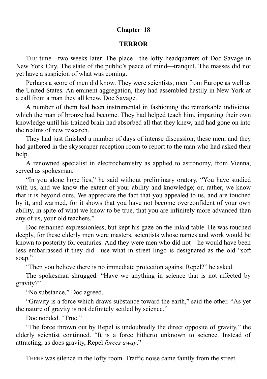### **TERROR**

THE time—two weeks later. The place—the lofty headquarters of Doc Savage in New York City. The state of the public's peace of mind—tranquil. The masses did not yet have a suspicion of what was coming.

Perhaps a score of men did know. They were scientists, men from Europe as well as the United States. An eminent aggregation, they had assembled hastily in New York at a call from a man they all knew, Doc Savage.

A number of them had been instrumental in fashioning the remarkable individual which the man of bronze had become. They had helped teach him, imparting their own knowledge until his trained brain had absorbed all that they knew, and had gone on into the realms of new research.

They had just finished a number of days of intense discussion, these men, and they had gathered in the skyscraper reception room to report to the man who had asked their help.

A renowned specialist in electrochemistry as applied to astronomy, from Vienna, served as spokesman.

"In you alone hope lies," he said without preliminary oratory. "You have studied with us, and we know the extent of your ability and knowledge; or, rather, we know that it is beyond ours. We appreciate the fact that you appealed to us, and are touched by it, and warmed, for it shows that you have not become overconfident of your own ability, in spite of what we know to be true, that you are infinitely more advanced than any of us, your old teachers."

Doc remained expressionless, but kept his gaze on the inlaid table. He was touched deeply, for these elderly men were masters, scientists whose names and work would be known to posterity for centuries. And they were men who did not—he would have been less embarrassed if they did—use what in street lingo is designated as the old "soft soap."

"Then you believe there is no immediate protection against Repel?" he asked.

The spokesman shrugged. "Have we anything in science that is not affected by gravity?"

"No substance," Doc agreed.

"Gravity is a force which draws substance toward the earth," said the other. "As yet the nature of gravity is not definitely settled by science."

Doc nodded. "True."

"The force thrown out by Repel is undoubtedly the direct opposite of gravity," the elderly scientist continued. "It is a force hitherto unknown to science. Instead of attracting, as does gravity, Repel *forces away*."

THERE was silence in the lofty room. Traffic noise came faintly from the street.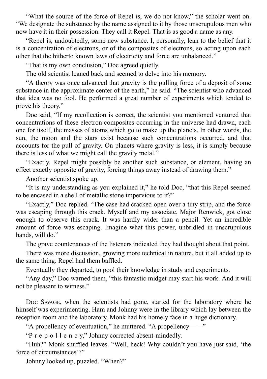"What the source of the force of Repel is, we do not know," the scholar went on. "We designate the substance by the name assigned to it by those unscrupulous men who now have it in their possession. They call it Repel. That is as good a name as any.

"Repel is, undoubtedly, some new substance. I, personally, lean to the belief that it is a concentration of electrons, or of the composites of electrons, so acting upon each other that the hitherto known laws of electricity and force are unbalanced."

"That is my own conclusion," Doc agreed quietly.

The old scientist leaned back and seemed to delve into his memory.

"A theory was once advanced that gravity is the pulling force of a deposit of some substance in the approximate center of the earth," he said. "The scientist who advanced that idea was no fool. He performed a great number of experiments which tended to prove his theory."

Doc said, "If my recollection is correct, the scientist you mentioned ventured that concentrations of these electron composites occurring in the universe had drawn, each one for itself, the masses of atoms which go to make up the planets. In other words, the sun, the moon and the stars exist because such concentrations occurred, and that accounts for the pull of gravity. On planets where gravity is less, it is simply because there is less of what we might call the gravity metal."

"Exactly. Repel might possibly be another such substance, or element, having an effect exactly opposite of gravity, forcing things away instead of drawing them."

Another scientist spoke up.

"It is my understanding as you explained it," he told Doc, "that this Repel seemed to be encased in a shell of metallic stone impervious to it?"

"Exactly," Doc replied. "The case had cracked open over a tiny strip, and the force was escaping through this crack. Myself and my associate, Major Renwick, got close enough to observe this crack. It was hardly wider than a pencil. Yet an incredible amount of force was escaping. Imagine what this power, unbridled in unscrupulous hands, will do."

The grave countenances of the listeners indicated they had thought about that point.

There was more discussion, growing more technical in nature, but it all added up to the same thing. Repel had them baffled.

Eventually they departed, to pool their knowledge in study and experiments.

"Any day," Doc warned them, "this fantastic midget may start his work. And it will not be pleasant to witness."

Doc SAVAGE, when the scientists had gone, started for the laboratory where he himself was experimenting. Ham and Johnny were in the library which lay between the reception room and the laboratory. Monk had his homely face in a huge dictionary.

"A propellency of eventuation," he muttered. "A propellency——"

"P-r-e-p-o-l-l-e-n-c-y," Johnny corrected absent-mindedly.

"Huh?" Monk shuffled leaves. "Well, heck! Why couldn't you have just said, 'the force of circumstances'?"

Johnny looked up, puzzled. "When?"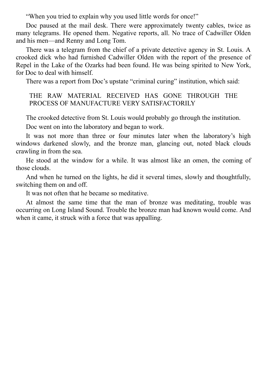"When you tried to explain why you used little words for once!"

Doc paused at the mail desk. There were approximately twenty cables, twice as many telegrams. He opened them. Negative reports, all. No trace of Cadwiller Olden and his men—and Renny and Long Tom.

There was a telegram from the chief of a private detective agency in St. Louis. A crooked dick who had furnished Cadwiller Olden with the report of the presence of Repel in the Lake of the Ozarks had been found. He was being spirited to New York, for Doc to deal with himself.

There was a report from Doc's upstate "criminal curing" institution, which said:

## THE RAW MATERIAL RECEIVED HAS GONE THROUGH THE PROCESS OF MANUFACTURE VERY SATISFACTORILY

The crooked detective from St. Louis would probably go through the institution.

Doc went on into the laboratory and began to work.

It was not more than three or four minutes later when the laboratory's high windows darkened slowly, and the bronze man, glancing out, noted black clouds crawling in from the sea.

He stood at the window for a while. It was almost like an omen, the coming of those clouds.

And when he turned on the lights, he did it several times, slowly and thoughtfully, switching them on and off.

It was not often that he became so meditative.

At almost the same time that the man of bronze was meditating, trouble was occurring on Long Island Sound. Trouble the bronze man had known would come. And when it came, it struck with a force that was appalling.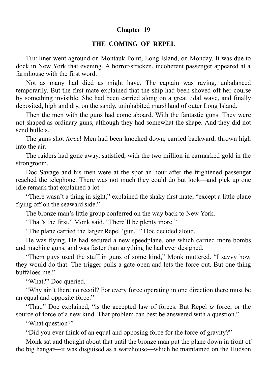#### **THE COMING OF REPEL**

THE liner went aground on Montauk Point, Long Island, on Monday. It was due to dock in New York that evening. A horror-stricken, incoherent passenger appeared at a farmhouse with the first word.

Not as many had died as might have. The captain was raving, unbalanced temporarily. But the first mate explained that the ship had been shoved off her course by something invisible. She had been carried along on a great tidal wave, and finally deposited, high and dry, on the sandy, uninhabited marshland of outer Long Island.

Then the men with the guns had come aboard. With the fantastic guns. They were not shaped as ordinary guns, although they had somewhat the shape. And they did not send bullets.

The guns shot *force*! Men had been knocked down, carried backward, thrown high into the air.

The raiders had gone away, satisfied, with the two million in earmarked gold in the strongroom.

Doc Savage and his men were at the spot an hour after the frightened passenger reached the telephone. There was not much they could do but look—and pick up one idle remark that explained a lot.

"There wasn't a thing in sight," explained the shaky first mate, "except a little plane flying off on the seaward side."

The bronze man's little group conferred on the way back to New York.

"That's the first," Monk said. "There'll be plenty more."

"The plane carried the larger Repel 'gun,' " Doc decided aloud.

He was flying. He had secured a new speedplane, one which carried more bombs and machine guns, and was faster than anything he had ever designed.

"Them guys used the stuff in guns of some kind," Monk muttered. "I savvy how they would do that. The trigger pulls a gate open and lets the force out. But one thing buffaloes me."

"What?" Doc queried.

"Why ain't there no recoil? For every force operating in one direction there must be an equal and opposite force."

"That," Doc explained, "is the accepted law of forces. But Repel *is* force, or the source of force of a new kind. That problem can best be answered with a question."

"What question?"

"Did you ever think of an equal and opposing force for the force of gravity?"

Monk sat and thought about that until the bronze man put the plane down in front of the big hangar—it was disguised as a warehouse—which he maintained on the Hudson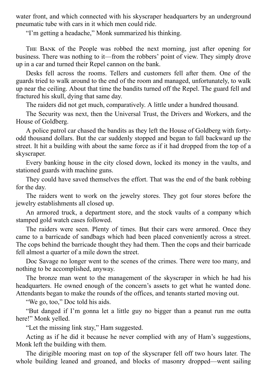water front, and which connected with his skyscraper headquarters by an underground pneumatic tube with cars in it which men could ride.

"I'm getting a headache," Monk summarized his thinking.

THE BANK of the People was robbed the next morning, just after opening for business. There was nothing to it—from the robbers' point of view. They simply drove up in a car and turned their Repel cannon on the bank.

Desks fell across the rooms. Tellers and customers fell after them. One of the guards tried to walk around to the end of the room and managed, unfortunately, to walk up near the ceiling. About that time the bandits turned off the Repel. The guard fell and fractured his skull, dying that same day.

The raiders did not get much, comparatively. A little under a hundred thousand.

The Security was next, then the Universal Trust, the Drivers and Workers, and the House of Goldberg.

A police patrol car chased the bandits as they left the House of Goldberg with fortyodd thousand dollars. But the car suddenly stopped and began to fall backward up the street. It hit a building with about the same force as if it had dropped from the top of a skyscraper.

Every banking house in the city closed down, locked its money in the vaults, and stationed guards with machine guns.

They could have saved themselves the effort. That was the end of the bank robbing for the day.

The raiders went to work on the jewelry stores. They got four stores before the jewelry establishments all closed up.

An armored truck, a department store, and the stock vaults of a company which stamped gold watch cases followed.

The raiders were seen. Plenty of times. But their cars were armored. Once they came to a barricade of sandbags which had been placed conveniently across a street. The cops behind the barricade thought they had them. Then the cops and their barricade fell almost a quarter of a mile down the street.

Doc Savage no longer went to the scenes of the crimes. There were too many, and nothing to be accomplished, anyway.

The bronze man went to the management of the skyscraper in which he had his headquarters. He owned enough of the concern's assets to get what he wanted done. Attendants began to make the rounds of the offices, and tenants started moving out.

"We go, too," Doc told his aids.

"But danged if I'm gonna let a little guy no bigger than a peanut run me outta here!" Monk yelled.

"Let the missing link stay," Ham suggested.

Acting as if he did it because he never complied with any of Ham's suggestions, Monk left the building with them.

The dirigible mooring mast on top of the skyscraper fell off two hours later. The whole building leaned and groaned, and blocks of masonry dropped—went sailing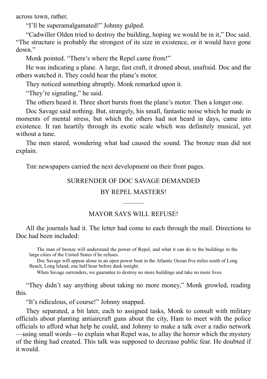across town, rather.

"I'll be superamalgamated!" Johnny gulped.

"Cadwiller Olden tried to destroy the building, hoping we would be in it," Doc said. "The structure is probably the strongest of its size in existence, or it would have gone down."

Monk pointed. "There's where the Repel came from!"

He was indicating a plane. A large, fast craft, it droned about, unafraid. Doc and the others watched it. They could hear the plane's motor.

They noticed something abruptly. Monk remarked upon it.

"They're signaling," he said.

The others heard it. Three short bursts from the plane's motor. Then a longer one.

Doc Savage said nothing. But, strangely, his small, fantastic noise which he made in moments of mental stress, but which the others had not heard in days, came into existence. It ran heartily through its exotic scale which was definitely musical, yet without a tune.

The men stared, wondering what had caused the sound. The bronze man did not explain.

THE newspapers carried the next development on their front pages.

#### SURRENDER OF DOC SAVAGE DEMANDED

# BY REPEL MASTERS! ———

#### MAYOR SAYS WILL REFUSE!

All the journals had it. The letter had come to each through the mail. Directions to Doc had been included:

The man of bronze will understand the power of Repel, and what it can do to the buildings in the large cities of the United States if he refuses.

Doc Savage will appear alone in an open power boat in the Atlantic Ocean five miles south of Long Beach, Long Island, one half hour before dusk tonight.

When Savage surrenders, we guarantee to destroy no more buildings and take no more lives.

"They didn't say anything about taking no more money," Monk growled, reading this.

"It's ridiculous, of course!" Johnny snapped.

They separated, a bit later, each to assigned tasks, Monk to consult with military officials about planting antiaircraft guns about the city, Ham to meet with the police officials to afford what help he could, and Johnny to make a talk over a radio network —using small words—to explain what Repel was, to allay the horror which the mystery of the thing had created. This talk was supposed to decrease public fear. He doubted if it would.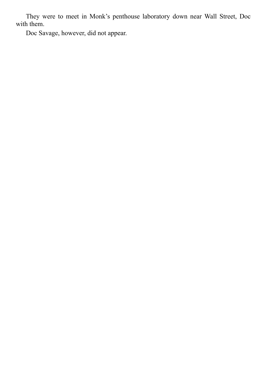They were to meet in Monk's penthouse laboratory down near Wall Street, Doc with them.

Doc Savage, however, did not appear.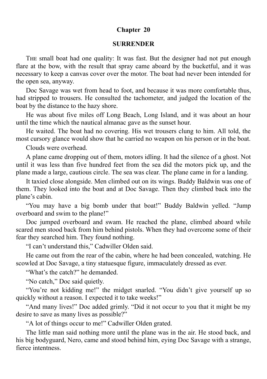#### **SURRENDER**

THE small boat had one quality: It was fast. But the designer had not put enough flare at the bow, with the result that spray came aboard by the bucketful, and it was necessary to keep a canvas cover over the motor. The boat had never been intended for the open sea, anyway.

Doc Savage was wet from head to foot, and because it was more comfortable thus, had stripped to trousers. He consulted the tachometer, and judged the location of the boat by the distance to the hazy shore.

He was about five miles off Long Beach, Long Island, and it was about an hour until the time which the nautical almanac gave as the sunset hour.

He waited. The boat had no covering. His wet trousers clung to him. All told, the most cursory glance would show that he carried no weapon on his person or in the boat.

Clouds were overhead.

A plane came dropping out of them, motors idling. It had the silence of a ghost. Not until it was less than five hundred feet from the sea did the motors pick up, and the plane made a large, cautious circle. The sea was clear. The plane came in for a landing.

It taxied close alongside. Men climbed out on its wings. Buddy Baldwin was one of them. They looked into the boat and at Doc Savage. Then they climbed back into the plane's cabin.

"You may have a big bomb under that boat!" Buddy Baldwin yelled. "Jump overboard and swim to the plane!"

Doc jumped overboard and swam. He reached the plane, climbed aboard while scared men stood back from him behind pistols. When they had overcome some of their fear they searched him. They found nothing.

"I can't understand this," Cadwiller Olden said.

He came out from the rear of the cabin, where he had been concealed, watching. He scowled at Doc Savage, a tiny statuesque figure, immaculately dressed as ever.

"What's the catch?" he demanded.

"No catch," Doc said quietly.

"You're not kidding me!" the midget snarled. "You didn't give yourself up so quickly without a reason. I expected it to take weeks!"

"And many lives!" Doc added grimly. "Did it not occur to you that it might be my desire to save as many lives as possible?"

"A lot of things occur to me!" Cadwiller Olden grated.

The little man said nothing more until the plane was in the air. He stood back, and his big bodyguard, Nero, came and stood behind him, eying Doc Savage with a strange, fierce intentness.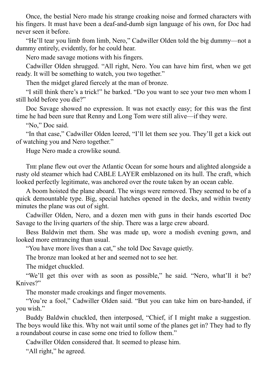Once, the bestial Nero made his strange croaking noise and formed characters with his fingers. It must have been a deaf-and-dumb sign language of his own, for Doc had never seen it before.

"He'll tear you limb from limb, Nero," Cadwiller Olden told the big dummy—not a dummy entirely, evidently, for he could hear.

Nero made savage motions with his fingers.

Cadwiller Olden shrugged. "All right, Nero. You can have him first, when we get ready. It will be something to watch, you two together."

Then the midget glared fiercely at the man of bronze.

"I still think there's a trick!" he barked. "Do you want to see your two men whom I still hold before you die?"

Doc Savage showed no expression. It was not exactly easy; for this was the first time he had been sure that Renny and Long Tom were still alive—if they were.

"No." Doc said.

"In that case," Cadwiller Olden leered, "I'll let them see you. They'll get a kick out of watching you and Nero together."

Huge Nero made a crowlike sound.

THE plane flew out over the Atlantic Ocean for some hours and alighted alongside a rusty old steamer which had CABLE LAYER emblazoned on its hull. The craft, which looked perfectly legitimate, was anchored over the route taken by an ocean cable.

A boom hoisted the plane aboard. The wings were removed. They seemed to be of a quick demountable type. Big, special hatches opened in the decks, and within twenty minutes the plane was out of sight.

Cadwiller Olden, Nero, and a dozen men with guns in their hands escorted Doc Savage to the living quarters of the ship. There was a large crew aboard.

Bess Baldwin met them. She was made up, wore a modish evening gown, and looked more entrancing than usual.

"You have more lives than a cat," she told Doc Savage quietly.

The bronze man looked at her and seemed not to see her.

The midget chuckled.

"We'll get this over with as soon as possible," he said. "Nero, what'll it be? Knives?"

The monster made croakings and finger movements.

"You're a fool," Cadwiller Olden said. "But you can take him on bare-handed, if you wish."

Buddy Baldwin chuckled, then interposed, "Chief, if I might make a suggestion. The boys would like this. Why not wait until some of the planes get in? They had to fly a roundabout course in case some one tried to follow them."

Cadwiller Olden considered that. It seemed to please him.

"All right," he agreed.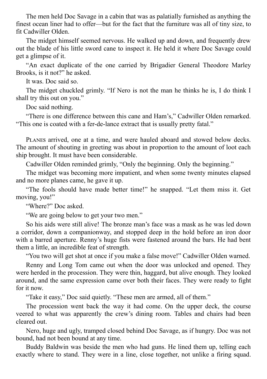The men held Doc Savage in a cabin that was as palatially furnished as anything the finest ocean liner had to offer—but for the fact that the furniture was all of tiny size, to fit Cadwiller Olden.

The midget himself seemed nervous. He walked up and down, and frequently drew out the blade of his little sword cane to inspect it. He held it where Doc Savage could get a glimpse of it.

"An exact duplicate of the one carried by Brigadier General Theodore Marley Brooks, is it not?" he asked.

It was. Doc said so.

The midget chuckled grimly. "If Nero is not the man he thinks he is, I do think I shall try this out on you."

Doc said nothing.

"There is one difference between this cane and Ham's," Cadwiller Olden remarked. "This one is coated with a fer-de-lance extract that is usually pretty fatal."

PLANES arrived, one at a time, and were hauled aboard and stowed below decks. The amount of shouting in greeting was about in proportion to the amount of loot each ship brought. It must have been considerable.

Cadwiller Olden reminded grimly, "Only the beginning. Only the beginning."

The midget was becoming more impatient, and when some twenty minutes elapsed and no more planes came, he gave it up.

"The fools should have made better time!" he snapped. "Let them miss it. Get moving, you!"

"Where?" Doc asked.

"We are going below to get your two men."

So his aids were still alive! The bronze man's face was a mask as he was led down a corridor, down a companionway, and stopped deep in the hold before an iron door with a barred aperture. Renny's huge fists were fastened around the bars. He had bent them a little, an incredible feat of strength.

"You two will get shot at once if you make a false move!" Cadwiller Olden warned.

Renny and Long Tom came out when the door was unlocked and opened. They were herded in the procession. They were thin, haggard, but alive enough. They looked around, and the same expression came over both their faces. They were ready to fight for it now.

"Take it easy," Doc said quietly. "These men are armed, all of them."

The procession went back the way it had come. On the upper deck, the course veered to what was apparently the crew's dining room. Tables and chairs had been cleared out.

Nero, huge and ugly, tramped closed behind Doc Savage, as if hungry. Doc was not bound, had not been bound at any time.

Buddy Baldwin was beside the men who had guns. He lined them up, telling each exactly where to stand. They were in a line, close together, not unlike a firing squad.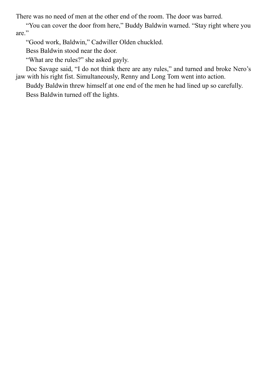There was no need of men at the other end of the room. The door was barred.

"You can cover the door from here," Buddy Baldwin warned. "Stay right where you are."

"Good work, Baldwin," Cadwiller Olden chuckled.

Bess Baldwin stood near the door.

"What are the rules?" she asked gayly.

Doc Savage said, "I do not think there are any rules," and turned and broke Nero's jaw with his right fist. Simultaneously, Renny and Long Tom went into action.

Buddy Baldwin threw himself at one end of the men he had lined up so carefully. Bess Baldwin turned off the lights.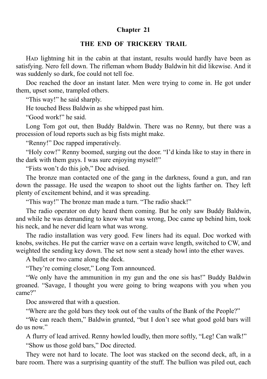## **Chapter 21**

## **THE END OF TRICKERY TRAIL**

HAD lightning hit in the cabin at that instant, results would hardly have been as satisfying. Nero fell down. The rifleman whom Buddy Baldwin hit did likewise. And it was suddenly so dark, foe could not tell foe.

Doc reached the door an instant later. Men were trying to come in. He got under them, upset some, trampled others.

"This way!" he said sharply.

He touched Bess Baldwin as she whipped past him.

"Good work!" he said.

Long Tom got out, then Buddy Baldwin. There was no Renny, but there was a procession of loud reports such as big fists might make.

"Renny!" Doc rapped imperatively.

"Holy cow!" Renny boomed, surging out the door. "I'd kinda like to stay in there in the dark with them guys. I was sure enjoying myself!"

"Fists won't do this job," Doc advised.

The bronze man contacted one of the gang in the darkness, found a gun, and ran down the passage. He used the weapon to shoot out the lights farther on. They left plenty of excitement behind, and it was spreading.

"This way!" The bronze man made a turn. "The radio shack!"

The radio operator on duty heard them coming. But he only saw Buddy Baldwin, and while he was demanding to know what was wrong, Doc came up behind him, took his neck, and he never did learn what was wrong.

The radio installation was very good. Few liners had its equal. Doc worked with knobs, switches. He put the carrier wave on a certain wave length, switched to CW, and weighted the sending key down. The set now sent a steady howl into the ether waves.

A bullet or two came along the deck.

"They're coming closer," Long Tom announced.

"We only have the ammunition in my gun and the one sis has!" Buddy Baldwin groaned. "Savage, I thought you were going to bring weapons with you when you came?"

Doc answered that with a question.

"Where are the gold bars they took out of the vaults of the Bank of the People?"

"We can reach them," Baldwin grunted, "but I don't see what good gold bars will do us now."

A flurry of lead arrived. Renny howled loudly, then more softly, "Leg! Can walk!" "Show us those gold bars," Doc directed.

They were not hard to locate. The loot was stacked on the second deck, aft, in a bare room. There was a surprising quantity of the stuff. The bullion was piled out, each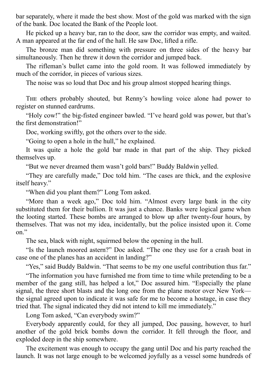bar separately, where it made the best show. Most of the gold was marked with the sign of the bank. Doc located the Bank of the People loot.

He picked up a heavy bar, ran to the door, saw the corridor was empty, and waited. A man appeared at the far end of the hall. He saw Doc, lifted a rifle.

The bronze man did something with pressure on three sides of the heavy bar simultaneously. Then he threw it down the corridor and jumped back.

The rifleman's bullet came into the gold room. It was followed immediately by much of the corridor, in pieces of various sizes.

The noise was so loud that Doc and his group almost stopped hearing things.

THE others probably shouted, but Renny's howling voice alone had power to register on stunned eardrums.

"Holy cow!" the big-fisted engineer bawled. "I've heard gold was power, but that's the first demonstration!"

Doc, working swiftly, got the others over to the side.

"Going to open a hole in the hull," he explained.

It was quite a hole the gold bar made in that part of the ship. They picked themselves up.

"But we never dreamed them wasn't gold bars!" Buddy Baldwin yelled.

"They are carefully made," Doc told him. "The cases are thick, and the explosive itself heavy."

"When did you plant them?" Long Tom asked.

"More than a week ago," Doc told him. "Almost every large bank in the city substituted them for their bullion. It was just a chance. Banks were logical game when the looting started. These bombs are arranged to blow up after twenty-four hours, by themselves. That was not my idea, incidentally, but the police insisted upon it. Come on."

The sea, black with night, squirmed below the opening in the hull.

"Is the launch moored astern?" Doc asked. "The one they use for a crash boat in case one of the planes has an accident in landing?"

"Yes," said Buddy Baldwin. "That seems to be my one useful contribution thus far."

"The information you have furnished me from time to time while pretending to be a member of the gang still, has helped a lot," Doc assured him. "Especially the plane signal, the three short blasts and the long one from the plane motor over New York the signal agreed upon to indicate it was safe for me to become a hostage, in case they tried that. The signal indicated they did not intend to kill me immediately."

Long Tom asked, "Can everybody swim?"

Everybody apparently could, for they all jumped, Doc pausing, however, to hurl another of the gold brick bombs down the corridor. It fell through the floor, and exploded deep in the ship somewhere.

The excitement was enough to occupy the gang until Doc and his party reached the launch. It was not large enough to be welcomed joyfully as a vessel some hundreds of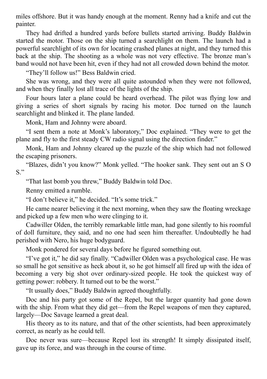miles offshore. But it was handy enough at the moment. Renny had a knife and cut the painter.

They had drifted a hundred yards before bullets started arriving. Buddy Baldwin started the motor. Those on the ship turned a searchlight on them. The launch had a powerful searchlight of its own for locating crashed planes at night, and they turned this back at the ship. The shooting as a whole was not very effective. The bronze man's band would not have been hit, even if they had not all crowded down behind the motor.

"They'll follow us!" Bess Baldwin cried.

She was wrong, and they were all quite astounded when they were not followed, and when they finally lost all trace of the lights of the ship.

Four hours later a plane could be heard overhead. The pilot was flying low and giving a series of short signals by racing his motor. Doc turned on the launch searchlight and blinked it. The plane landed.

Monk, Ham and Johnny were aboard.

"I sent them a note at Monk's laboratory," Doc explained. "They were to get the plane and fly to the first steady CW radio signal using the direction finder."

Monk, Ham and Johnny cleared up the puzzle of the ship which had not followed the escaping prisoners.

"Blazes, didn't you know?" Monk yelled. "The hooker sank. They sent out an S O  $S$ ."

"That last bomb you threw," Buddy Baldwin told Doc.

Renny emitted a rumble.

"I don't believe it," he decided. "It's some trick."

He came nearer believing it the next morning, when they saw the floating wreckage and picked up a few men who were clinging to it.

Cadwiller Olden, the terribly remarkable little man, had gone silently to his roomful of doll furniture, they said, and no one had seen him thereafter. Undoubtedly he had perished with Nero, his huge bodyguard.

Monk pondered for several days before he figured something out.

"I've got it," he did say finally. "Cadwiller Olden was a psychological case. He was so small he got sensitive as heck about it, so he got himself all fired up with the idea of becoming a very big shot over ordinary-sized people. He took the quickest way of getting power: robbery. It turned out to be the worst."

"It usually does," Buddy Baldwin agreed thoughtfully.

Doc and his party got some of the Repel, but the larger quantity had gone down with the ship. From what they did get—from the Repel weapons of men they captured, largely—Doc Savage learned a great deal.

His theory as to its nature, and that of the other scientists, had been approximately correct, as nearly as he could tell.

Doc never was sure—because Repel lost its strength! It simply dissipated itself, gave up its force, and was through in the course of time.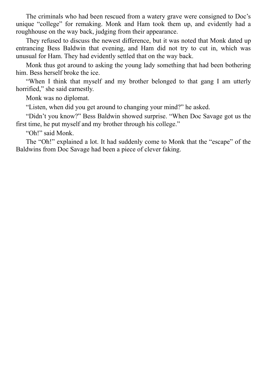The criminals who had been rescued from a watery grave were consigned to Doc's unique "college" for remaking. Monk and Ham took them up, and evidently had a roughhouse on the way back, judging from their appearance.

They refused to discuss the newest difference, but it was noted that Monk dated up entrancing Bess Baldwin that evening, and Ham did not try to cut in, which was unusual for Ham. They had evidently settled that on the way back.

Monk thus got around to asking the young lady something that had been bothering him. Bess herself broke the ice.

"When I think that myself and my brother belonged to that gang I am utterly horrified," she said earnestly.

Monk was no diplomat.

"Listen, when did you get around to changing your mind?" he asked.

"Didn't you know?" Bess Baldwin showed surprise. "When Doc Savage got us the first time, he put myself and my brother through his college."

"Oh!" said Monk.

The "Oh!" explained a lot. It had suddenly come to Monk that the "escape" of the Baldwins from Doc Savage had been a piece of clever faking.